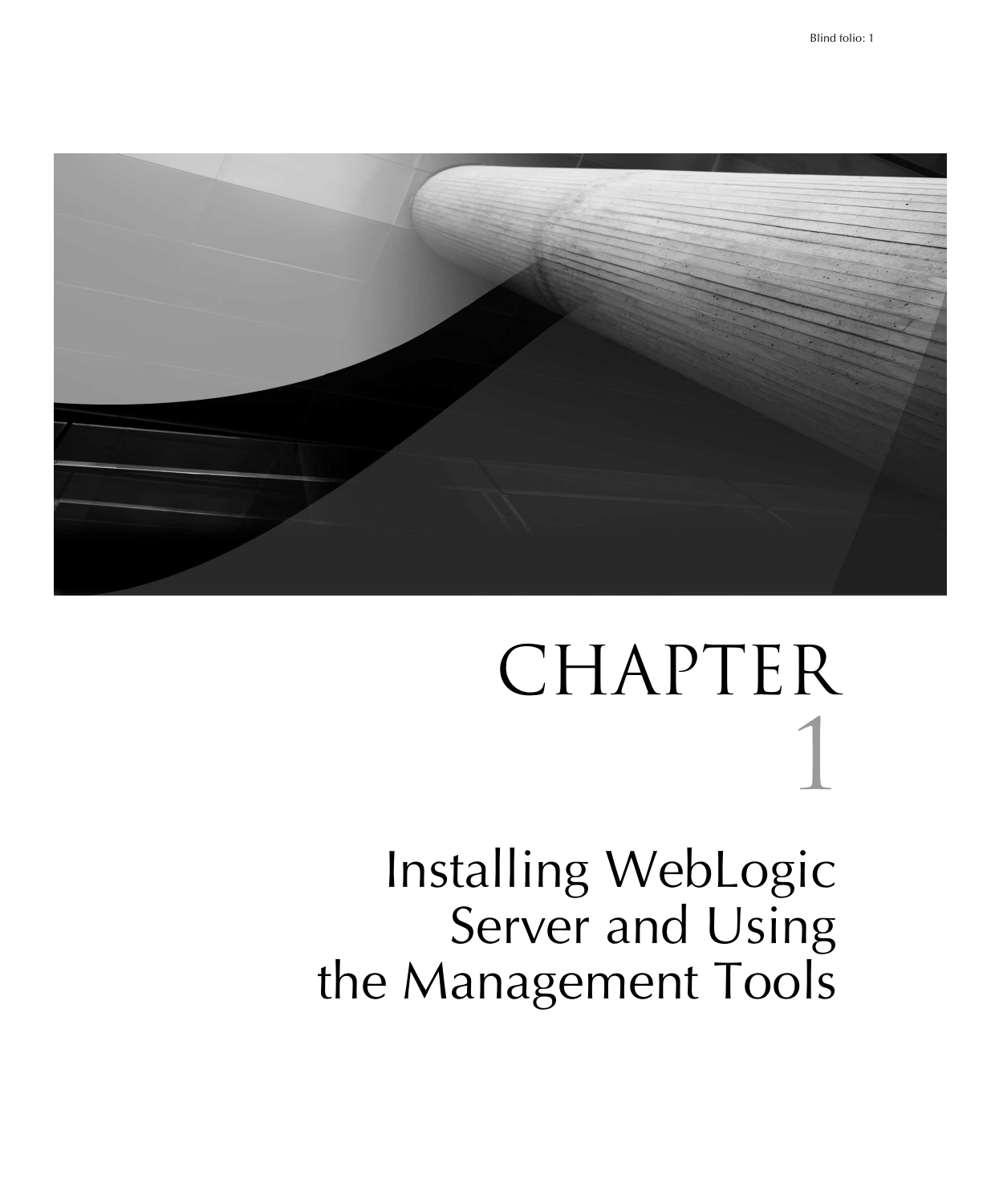

# CHAPTER 1

Installing WebLogic Server and Using the Management Tools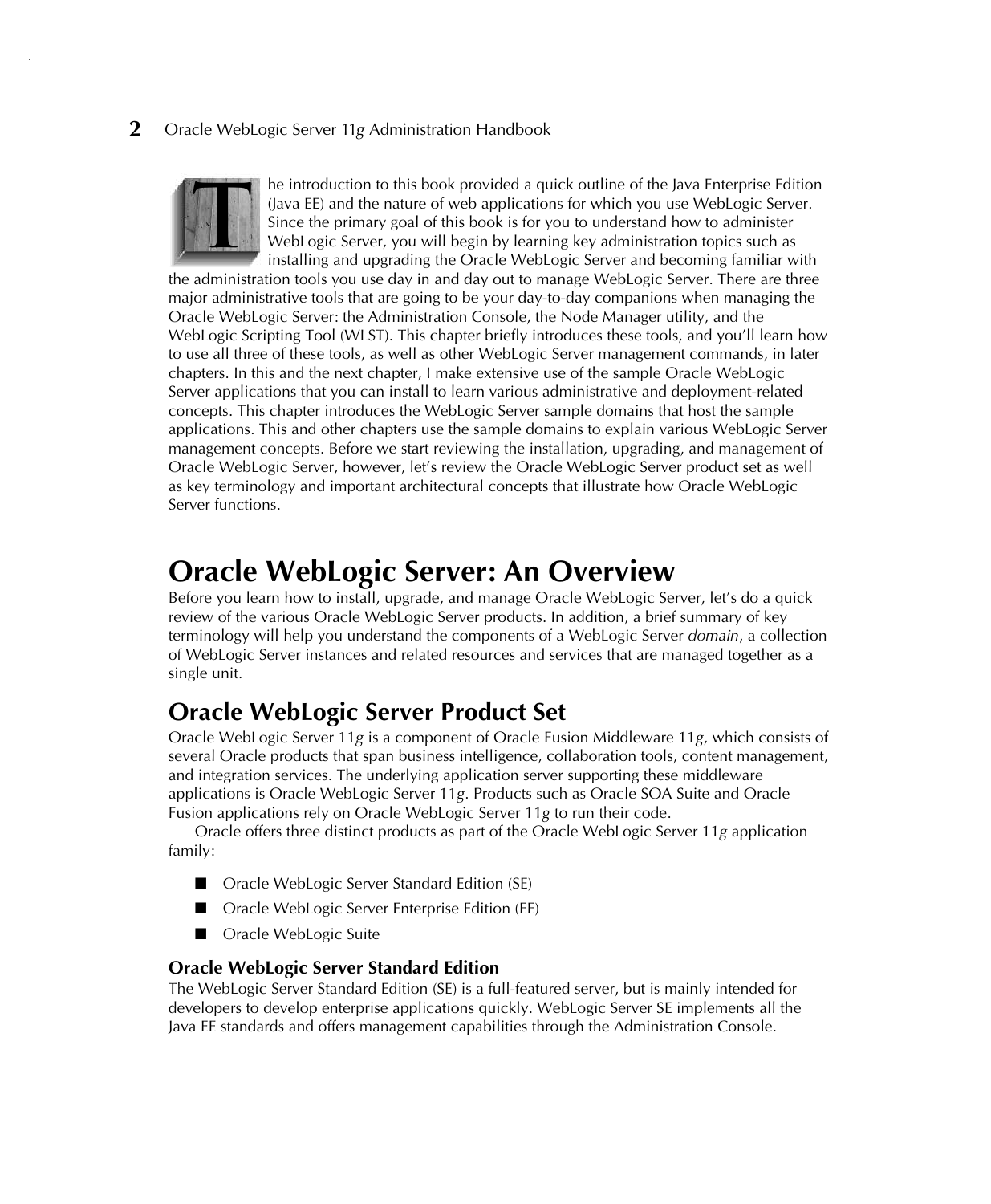

he introduction to this book provided a quick outline of the Java Enterprise Edition (Java EE) and the nature of web applications for which you use WebLogic Server. Since the primary goal of this book is for you to understand how to administer WebLogic Server, you will begin by learning key administration topics such as installing and upgrading the Oracle WebLogic Server and becoming familiar with

the administration tools you use day in and day out to manage WebLogic Server. There are three major administrative tools that are going to be your day-to-day companions when managing the Oracle WebLogic Server: the Administration Console, the Node Manager utility, and the WebLogic Scripting Tool (WLST). This chapter briefly introduces these tools, and you'll learn how to use all three of these tools, as well as other WebLogic Server management commands, in later chapters. In this and the next chapter, I make extensive use of the sample Oracle WebLogic Server applications that you can install to learn various administrative and deployment-related concepts. This chapter introduces the WebLogic Server sample domains that host the sample applications. This and other chapters use the sample domains to explain various WebLogic Server management concepts. Before we start reviewing the installation, upgrading, and management of Oracle WebLogic Server, however, let's review the Oracle WebLogic Server product set as well as key terminology and important architectural concepts that illustrate how Oracle WebLogic Server functions.

## **Oracle WebLogic Server: An Overview**

Before you learn how to install, upgrade, and manage Oracle WebLogic Server, let's do a quick review of the various Oracle WebLogic Server products. In addition, a brief summary of key terminology will help you understand the components of a WebLogic Server *domain*, a collection of WebLogic Server instances and related resources and services that are managed together as a single unit.

### **Oracle WebLogic Server product Set**

Oracle WebLogic Server 11*g* is a component of Oracle Fusion Middleware 11*g*, which consists of several Oracle products that span business intelligence, collaboration tools, content management, and integration services. The underlying application server supporting these middleware applications is Oracle WebLogic Server 11*g*. Products such as Oracle SOA Suite and Oracle Fusion applications rely on Oracle WebLogic Server 11*g* to run their code.

Oracle offers three distinct products as part of the Oracle WebLogic Server 11*g* application family:

- Oracle WebLogic Server Standard Edition (SE)
- Oracle WebLogic Server Enterprise Edition (EE)
- Oracle WebLogic Suite

#### **Oracle WebLogic Server Standard Edition**

The WebLogic Server Standard Edition (SE) is a full-featured server, but is mainly intended for developers to develop enterprise applications quickly. WebLogic Server SE implements all the Java EE standards and offers management capabilities through the Administration Console.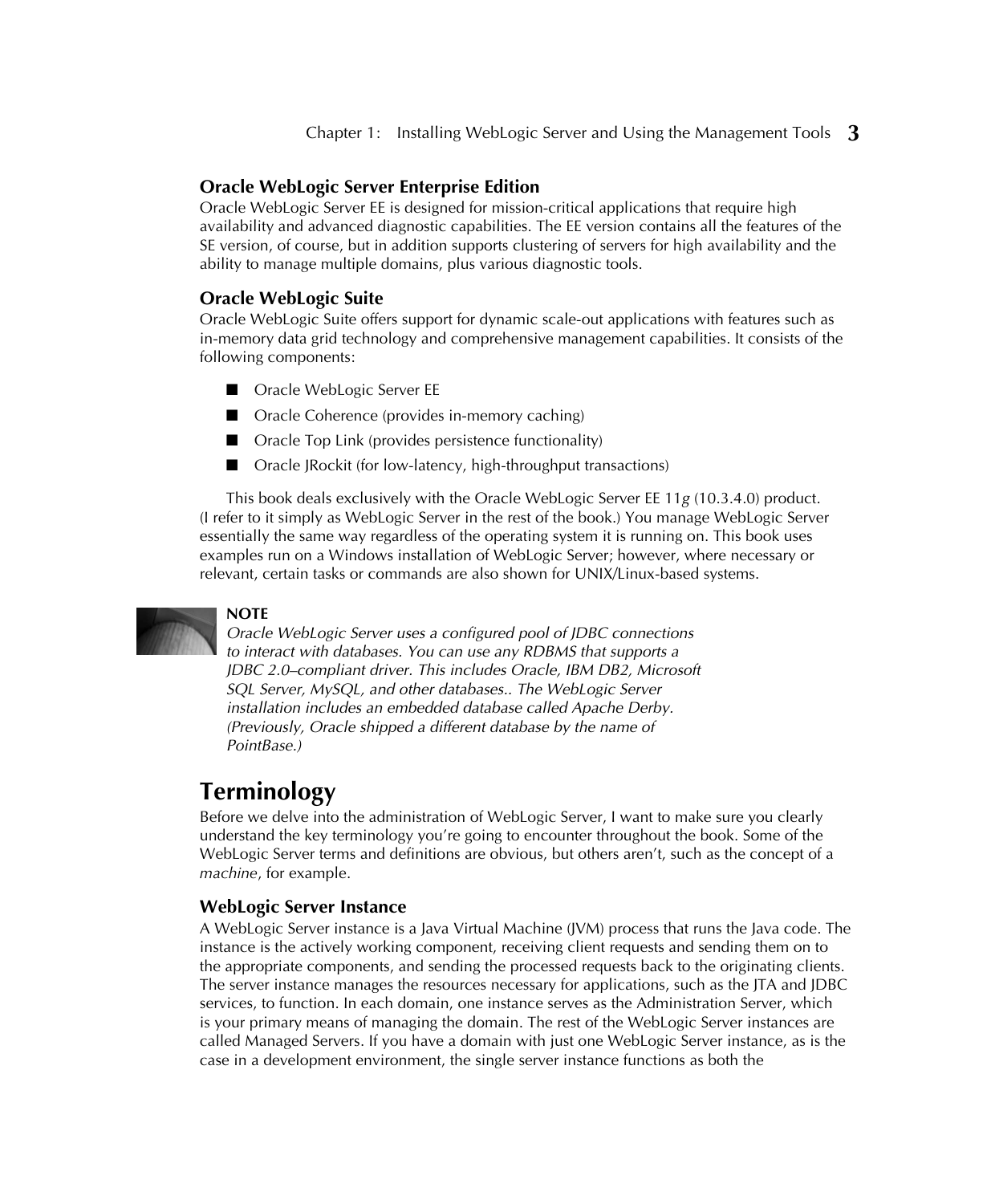#### **Oracle WebLogic Server Enterprise Edition**

Oracle WebLogic Server EE is designed for mission-critical applications that require high availability and advanced diagnostic capabilities. The EE version contains all the features of the SE version, of course, but in addition supports clustering of servers for high availability and the ability to manage multiple domains, plus various diagnostic tools.

#### **Oracle WebLogic Suite**

Oracle WebLogic Suite offers support for dynamic scale-out applications with features such as in-memory data grid technology and comprehensive management capabilities. It consists of the following components:

- Oracle WebLogic Server EE
- Oracle Coherence (provides in-memory caching)
- Oracle Top Link (provides persistence functionality)
- Oracle JRockit (for low-latency, high-throughput transactions)

This book deals exclusively with the Oracle WebLogic Server EE 11*g* (10.3.4.0) product. (I refer to it simply as WebLogic Server in the rest of the book.) You manage WebLogic Server essentially the same way regardless of the operating system it is running on. This book uses examples run on a Windows installation of WebLogic Server; however, where necessary or relevant, certain tasks or commands are also shown for UNIX/Linux-based systems.

#### **NOTE**

Oracle WebLogic Server uses a configured pool of JDBC connections to interact with databases. You can use any RDBMS that supports a JDBC 2.0–compliant driver. This includes Oracle, IBM DB2, Microsoft SQL Server, MySQL, and other databases.. The WebLogic Server installation includes an embedded database called Apache Derby. (Previously, Oracle shipped a different database by the name of PointBase.)

### **Terminology**

Before we delve into the administration of WebLogic Server, I want to make sure you clearly understand the key terminology you're going to encounter throughout the book. Some of the WebLogic Server terms and definitions are obvious, but others aren't, such as the concept of a *machine*, for example.

#### **WebLogic Server Instance**

A WebLogic Server instance is a Java Virtual Machine (JVM) process that runs the Java code. The instance is the actively working component, receiving client requests and sending them on to the appropriate components, and sending the processed requests back to the originating clients. The server instance manages the resources necessary for applications, such as the JTA and JDBC services, to function. In each domain, one instance serves as the Administration Server, which is your primary means of managing the domain. The rest of the WebLogic Server instances are called Managed Servers. If you have a domain with just one WebLogic Server instance, as is the case in a development environment, the single server instance functions as both the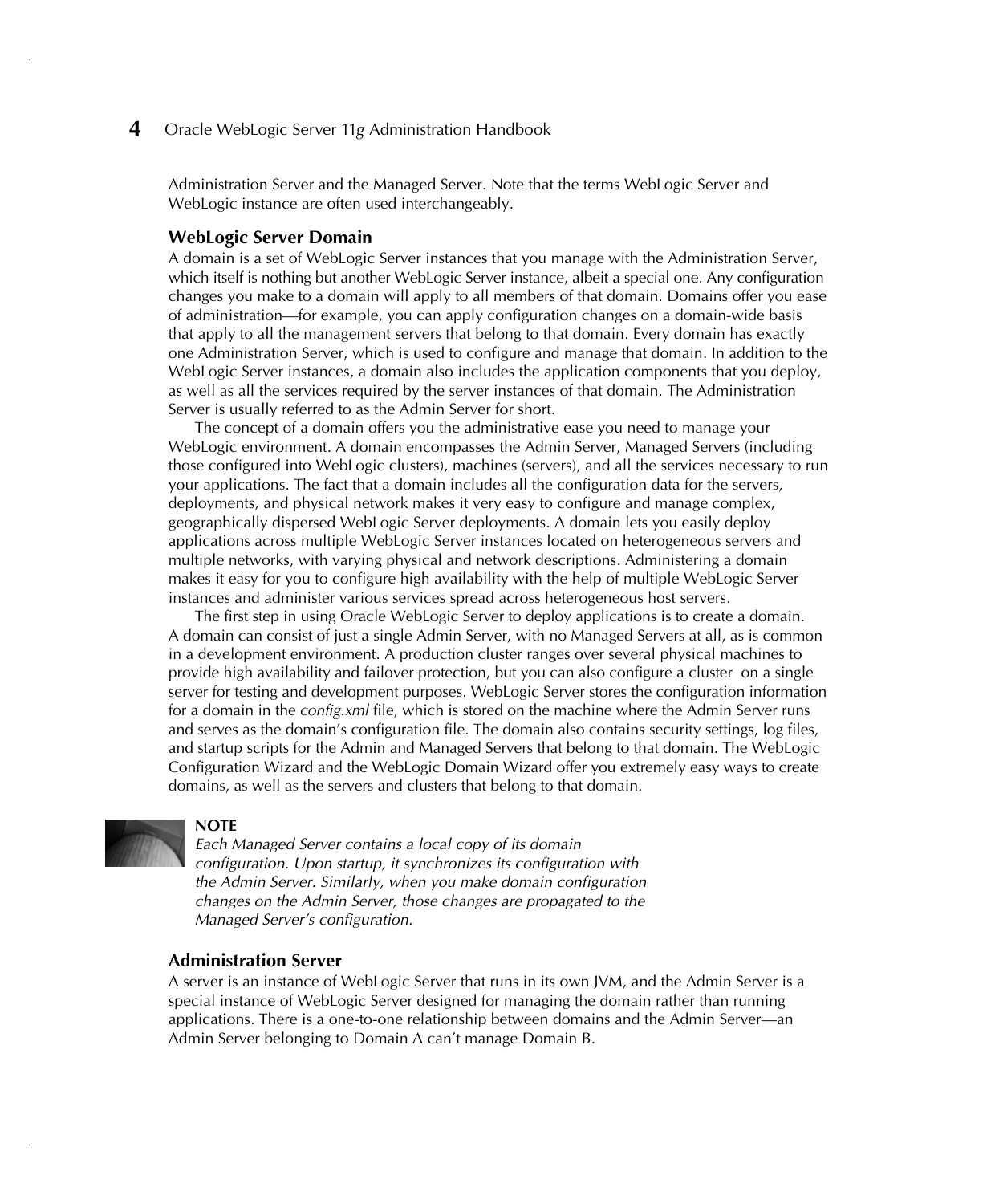Administration Server and the Managed Server. Note that the terms WebLogic Server and WebLogic instance are often used interchangeably.

#### **WebLogic Server Domain**

A domain is a set of WebLogic Server instances that you manage with the Administration Server, which itself is nothing but another WebLogic Server instance, albeit a special one. Any configuration changes you make to a domain will apply to all members of that domain. Domains offer you ease of administration—for example, you can apply configuration changes on a domain-wide basis that apply to all the management servers that belong to that domain. Every domain has exactly one Administration Server, which is used to configure and manage that domain. In addition to the WebLogic Server instances, a domain also includes the application components that you deploy, as well as all the services required by the server instances of that domain. The Administration Server is usually referred to as the Admin Server for short.

The concept of a domain offers you the administrative ease you need to manage your WebLogic environment. A domain encompasses the Admin Server, Managed Servers (including those configured into WebLogic clusters), machines (servers), and all the services necessary to run your applications. The fact that a domain includes all the configuration data for the servers, deployments, and physical network makes it very easy to configure and manage complex, geographically dispersed WebLogic Server deployments. A domain lets you easily deploy applications across multiple WebLogic Server instances located on heterogeneous servers and multiple networks, with varying physical and network descriptions. Administering a domain makes it easy for you to configure high availability with the help of multiple WebLogic Server instances and administer various services spread across heterogeneous host servers.

The first step in using Oracle WebLogic Server to deploy applications is to create a domain. A domain can consist of just a single Admin Server, with no Managed Servers at all, as is common in a development environment. A production cluster ranges over several physical machines to provide high availability and failover protection, but you can also configure a cluster on a single server for testing and development purposes. WebLogic Server stores the configuration information for a domain in the *config.xml* file, which is stored on the machine where the Admin Server runs and serves as the domain's configuration file. The domain also contains security settings, log files, and startup scripts for the Admin and Managed Servers that belong to that domain. The WebLogic Configuration Wizard and the WebLogic Domain Wizard offer you extremely easy ways to create domains, as well as the servers and clusters that belong to that domain.



#### **NOTE**

Each Managed Server contains a local copy of its domain configuration. Upon startup, it synchronizes its configuration with the Admin Server. Similarly, when you make domain configuration changes on the Admin Server, those changes are propagated to the Managed Server's configuration.

#### **Administration Server**

A server is an instance of WebLogic Server that runs in its own JVM, and the Admin Server is a special instance of WebLogic Server designed for managing the domain rather than running applications. There is a one-to-one relationship between domains and the Admin Server—an Admin Server belonging to Domain A can't manage Domain B.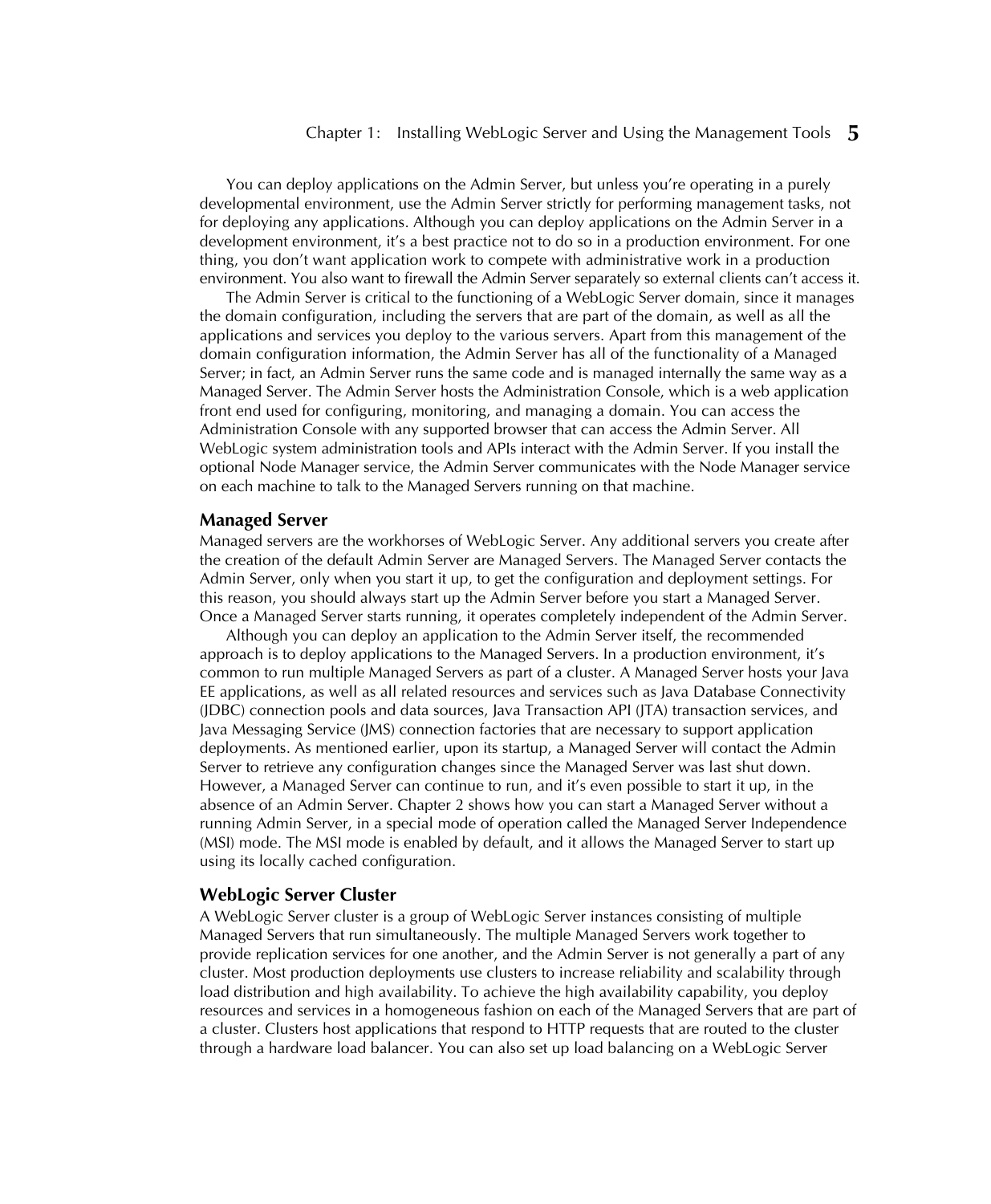You can deploy applications on the Admin Server, but unless you're operating in a purely developmental environment, use the Admin Server strictly for performing management tasks, not for deploying any applications. Although you can deploy applications on the Admin Server in a development environment, it's a best practice not to do so in a production environment. For one thing, you don't want application work to compete with administrative work in a production environment. You also want to firewall the Admin Server separately so external clients can't access it.

The Admin Server is critical to the functioning of a WebLogic Server domain, since it manages the domain configuration, including the servers that are part of the domain, as well as all the applications and services you deploy to the various servers. Apart from this management of the domain configuration information, the Admin Server has all of the functionality of a Managed Server; in fact, an Admin Server runs the same code and is managed internally the same way as a Managed Server. The Admin Server hosts the Administration Console, which is a web application front end used for configuring, monitoring, and managing a domain. You can access the Administration Console with any supported browser that can access the Admin Server. All WebLogic system administration tools and APIs interact with the Admin Server. If you install the optional Node Manager service, the Admin Server communicates with the Node Manager service on each machine to talk to the Managed Servers running on that machine.

#### **Managed Server**

Managed servers are the workhorses of WebLogic Server. Any additional servers you create after the creation of the default Admin Server are Managed Servers. The Managed Server contacts the Admin Server, only when you start it up, to get the configuration and deployment settings. For this reason, you should always start up the Admin Server before you start a Managed Server. Once a Managed Server starts running, it operates completely independent of the Admin Server.

Although you can deploy an application to the Admin Server itself, the recommended approach is to deploy applications to the Managed Servers. In a production environment, it's common to run multiple Managed Servers as part of a cluster. A Managed Server hosts your Java EE applications, as well as all related resources and services such as Java Database Connectivity (JDBC) connection pools and data sources, Java Transaction API (JTA) transaction services, and Java Messaging Service (JMS) connection factories that are necessary to support application deployments. As mentioned earlier, upon its startup, a Managed Server will contact the Admin Server to retrieve any configuration changes since the Managed Server was last shut down. However, a Managed Server can continue to run, and it's even possible to start it up, in the absence of an Admin Server. Chapter 2 shows how you can start a Managed Server without a running Admin Server, in a special mode of operation called the Managed Server Independence (MSI) mode. The MSI mode is enabled by default, and it allows the Managed Server to start up using its locally cached configuration.

#### **WebLogic Server Cluster**

A WebLogic Server cluster is a group of WebLogic Server instances consisting of multiple Managed Servers that run simultaneously. The multiple Managed Servers work together to provide replication services for one another, and the Admin Server is not generally a part of any cluster. Most production deployments use clusters to increase reliability and scalability through load distribution and high availability. To achieve the high availability capability, you deploy resources and services in a homogeneous fashion on each of the Managed Servers that are part of a cluster. Clusters host applications that respond to HTTP requests that are routed to the cluster through a hardware load balancer. You can also set up load balancing on a WebLogic Server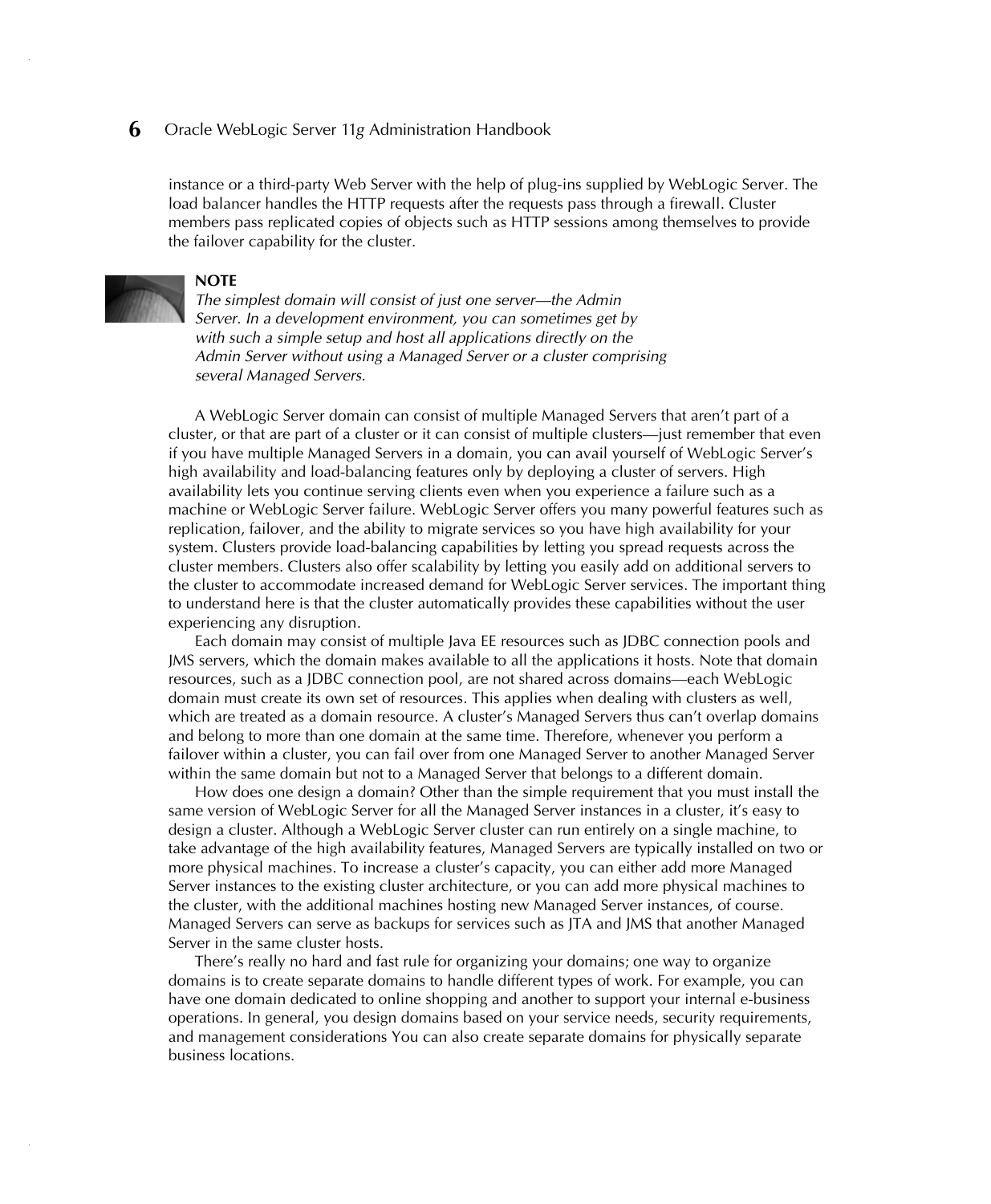instance or a third-party Web Server with the help of plug-ins supplied by WebLogic Server. The load balancer handles the HTTP requests after the requests pass through a firewall. Cluster members pass replicated copies of objects such as HTTP sessions among themselves to provide the failover capability for the cluster.



#### **NOTE**

The simplest domain will consist of just one server—the Admin Server. In a development environment, you can sometimes get by with such a simple setup and host all applications directly on the Admin Server without using a Managed Server or a cluster comprising several Managed Servers.

A WebLogic Server domain can consist of multiple Managed Servers that aren't part of a cluster, or that are part of a cluster or it can consist of multiple clusters—just remember that even if you have multiple Managed Servers in a domain, you can avail yourself of WebLogic Server's high availability and load-balancing features only by deploying a cluster of servers. High availability lets you continue serving clients even when you experience a failure such as a machine or WebLogic Server failure. WebLogic Server offers you many powerful features such as replication, failover, and the ability to migrate services so you have high availability for your system. Clusters provide load-balancing capabilities by letting you spread requests across the cluster members. Clusters also offer scalability by letting you easily add on additional servers to the cluster to accommodate increased demand for WebLogic Server services. The important thing to understand here is that the cluster automatically provides these capabilities without the user experiencing any disruption.

Each domain may consist of multiple Java EE resources such as JDBC connection pools and JMS servers, which the domain makes available to all the applications it hosts. Note that domain resources, such as a JDBC connection pool, are not shared across domains—each WebLogic domain must create its own set of resources. This applies when dealing with clusters as well, which are treated as a domain resource. A cluster's Managed Servers thus can't overlap domains and belong to more than one domain at the same time. Therefore, whenever you perform a failover within a cluster, you can fail over from one Managed Server to another Managed Server within the same domain but not to a Managed Server that belongs to a different domain.

How does one design a domain? Other than the simple requirement that you must install the same version of WebLogic Server for all the Managed Server instances in a cluster, it's easy to design a cluster. Although a WebLogic Server cluster can run entirely on a single machine, to take advantage of the high availability features, Managed Servers are typically installed on two or more physical machines. To increase a cluster's capacity, you can either add more Managed Server instances to the existing cluster architecture, or you can add more physical machines to the cluster, with the additional machines hosting new Managed Server instances, of course. Managed Servers can serve as backups for services such as JTA and JMS that another Managed Server in the same cluster hosts.

There's really no hard and fast rule for organizing your domains; one way to organize domains is to create separate domains to handle different types of work. For example, you can have one domain dedicated to online shopping and another to support your internal e-business operations. In general, you design domains based on your service needs, security requirements, and management considerations You can also create separate domains for physically separate business locations.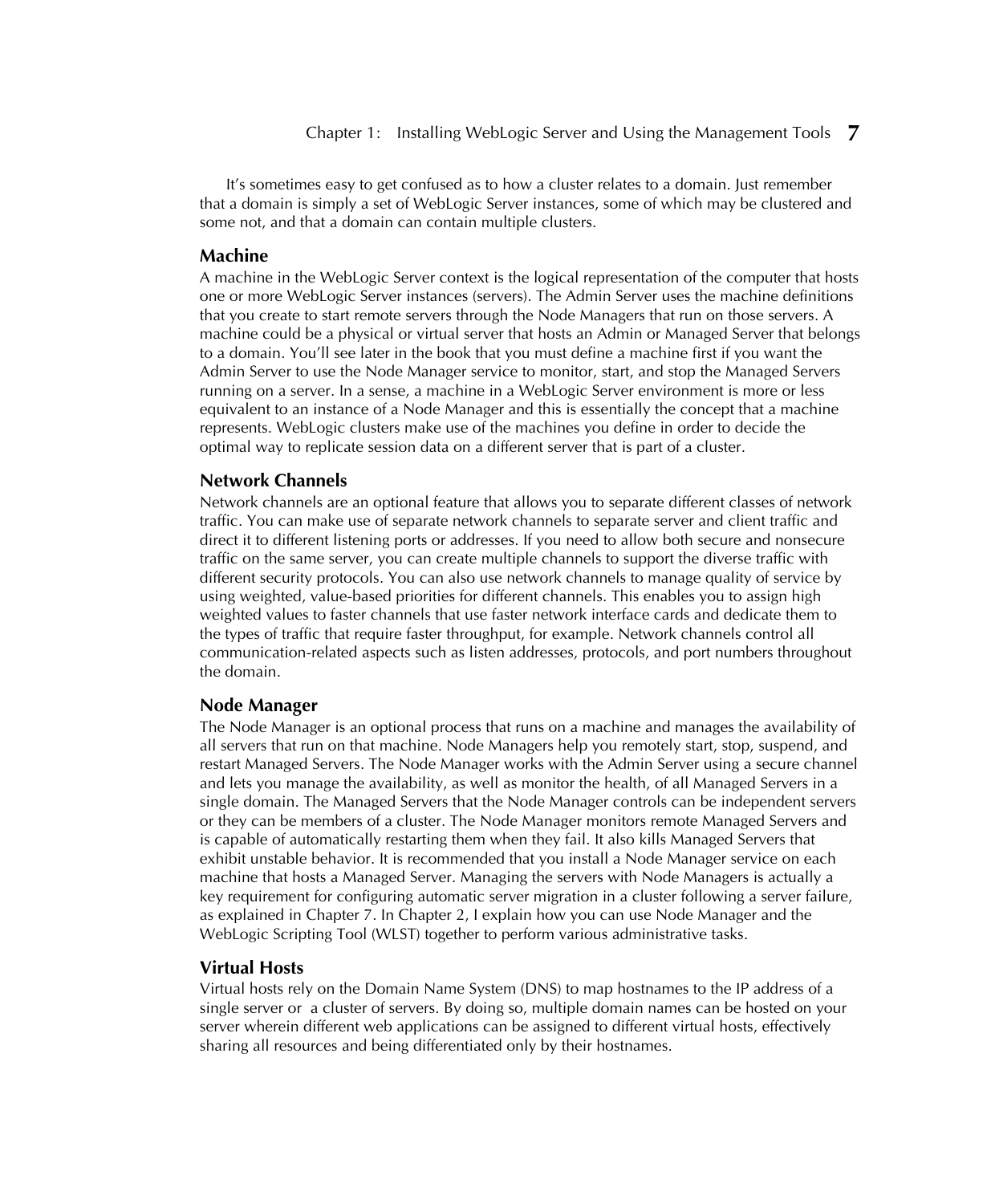It's sometimes easy to get confused as to how a cluster relates to a domain. Just remember that a domain is simply a set of WebLogic Server instances, some of which may be clustered and some not, and that a domain can contain multiple clusters.

#### **Machine**

A machine in the WebLogic Server context is the logical representation of the computer that hosts one or more WebLogic Server instances (servers). The Admin Server uses the machine definitions that you create to start remote servers through the Node Managers that run on those servers. A machine could be a physical or virtual server that hosts an Admin or Managed Server that belongs to a domain. You'll see later in the book that you must define a machine first if you want the Admin Server to use the Node Manager service to monitor, start, and stop the Managed Servers running on a server. In a sense, a machine in a WebLogic Server environment is more or less equivalent to an instance of a Node Manager and this is essentially the concept that a machine represents. WebLogic clusters make use of the machines you define in order to decide the optimal way to replicate session data on a different server that is part of a cluster.

#### **Network Channels**

Network channels are an optional feature that allows you to separate different classes of network traffic. You can make use of separate network channels to separate server and client traffic and direct it to different listening ports or addresses. If you need to allow both secure and nonsecure traffic on the same server, you can create multiple channels to support the diverse traffic with different security protocols. You can also use network channels to manage quality of service by using weighted, value-based priorities for different channels. This enables you to assign high weighted values to faster channels that use faster network interface cards and dedicate them to the types of traffic that require faster throughput, for example. Network channels control all communication-related aspects such as listen addresses, protocols, and port numbers throughout the domain.

#### **Node Manager**

The Node Manager is an optional process that runs on a machine and manages the availability of all servers that run on that machine. Node Managers help you remotely start, stop, suspend, and restart Managed Servers. The Node Manager works with the Admin Server using a secure channel and lets you manage the availability, as well as monitor the health, of all Managed Servers in a single domain. The Managed Servers that the Node Manager controls can be independent servers or they can be members of a cluster. The Node Manager monitors remote Managed Servers and is capable of automatically restarting them when they fail. It also kills Managed Servers that exhibit unstable behavior. It is recommended that you install a Node Manager service on each machine that hosts a Managed Server. Managing the servers with Node Managers is actually a key requirement for configuring automatic server migration in a cluster following a server failure, as explained in Chapter 7. In Chapter 2, I explain how you can use Node Manager and the WebLogic Scripting Tool (WLST) together to perform various administrative tasks.

#### **Virtual Hosts**

Virtual hosts rely on the Domain Name System (DNS) to map hostnames to the IP address of a single server or a cluster of servers. By doing so, multiple domain names can be hosted on your server wherein different web applications can be assigned to different virtual hosts, effectively sharing all resources and being differentiated only by their hostnames.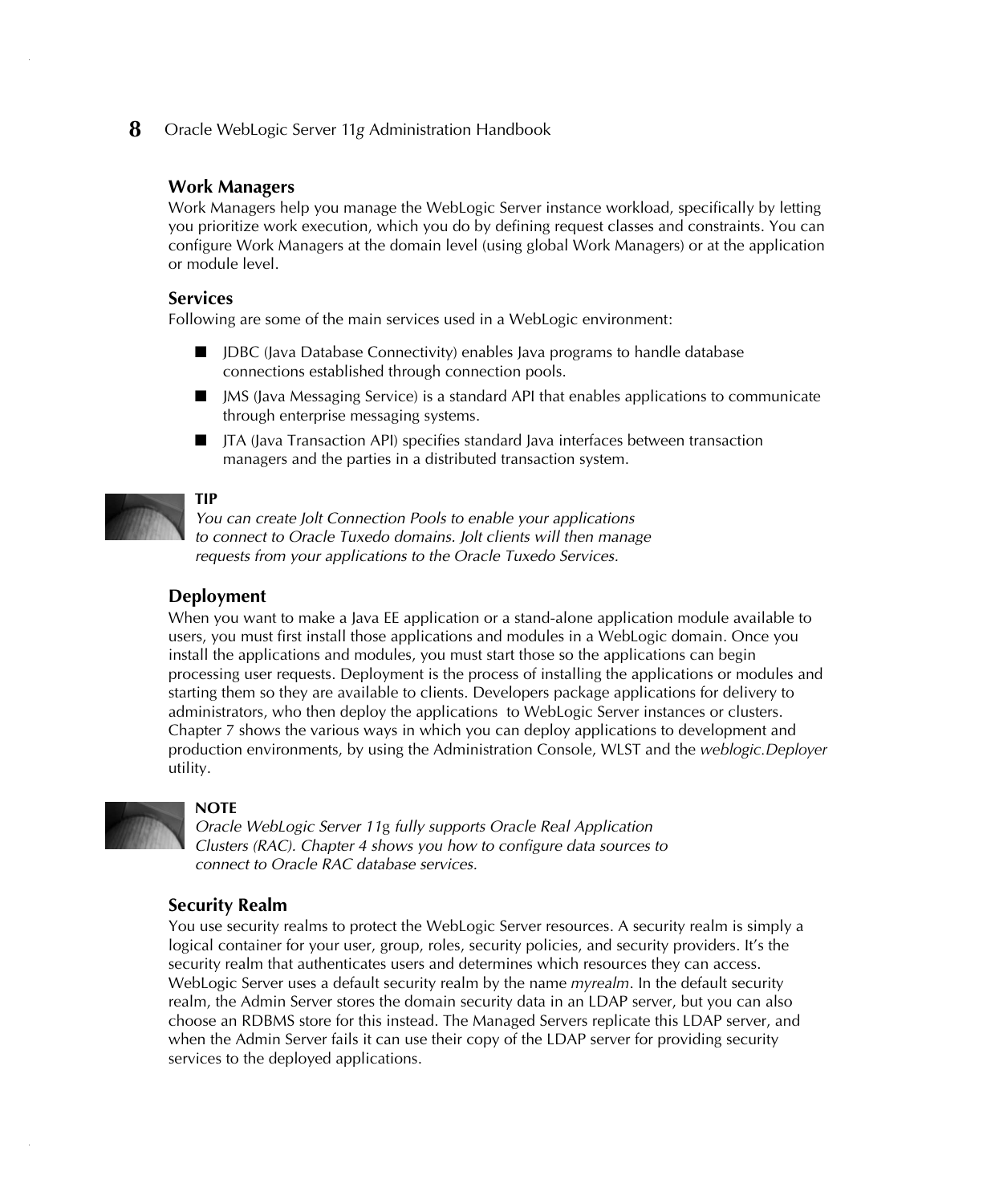#### **Work Managers**

Work Managers help you manage the WebLogic Server instance workload, specifically by letting you prioritize work execution, which you do by defining request classes and constraints. You can configure Work Managers at the domain level (using global Work Managers) or at the application or module level.

#### **Services**

Following are some of the main services used in a WebLogic environment:

- IDBC (lava Database Connectivity) enables Java programs to handle database connections established through connection pools.
- JMS (Java Messaging Service) is a standard API that enables applications to communicate through enterprise messaging systems.
- JTA (Java Transaction API) specifies standard Java interfaces between transaction managers and the parties in a distributed transaction system.

**TIp**

You can create Jolt Connection Pools to enable your applications to connect to Oracle Tuxedo domains. Jolt clients will then manage requests from your applications to the Oracle Tuxedo Services.

### **Deployment**

When you want to make a Java EE application or a stand-alone application module available to users, you must first install those applications and modules in a WebLogic domain. Once you install the applications and modules, you must start those so the applications can begin processing user requests. Deployment is the process of installing the applications or modules and starting them so they are available to clients. Developers package applications for delivery to administrators, who then deploy the applications to WebLogic Server instances or clusters. Chapter 7 shows the various ways in which you can deploy applications to development and production environments, by using the Administration Console, WLST and the *weblogic.Deployer* utility.



#### **NOTE**

Oracle WebLogic Server 11g fully supports Oracle Real Application Clusters (RAC). Chapter 4 shows you how to configure data sources to connect to Oracle RAC database services.

#### **Security Realm**

You use security realms to protect the WebLogic Server resources. A security realm is simply a logical container for your user, group, roles, security policies, and security providers. It's the security realm that authenticates users and determines which resources they can access. WebLogic Server uses a default security realm by the name *myrealm*. In the default security realm, the Admin Server stores the domain security data in an LDAP server, but you can also choose an RDBMS store for this instead. The Managed Servers replicate this LDAP server, and when the Admin Server fails it can use their copy of the LDAP server for providing security services to the deployed applications.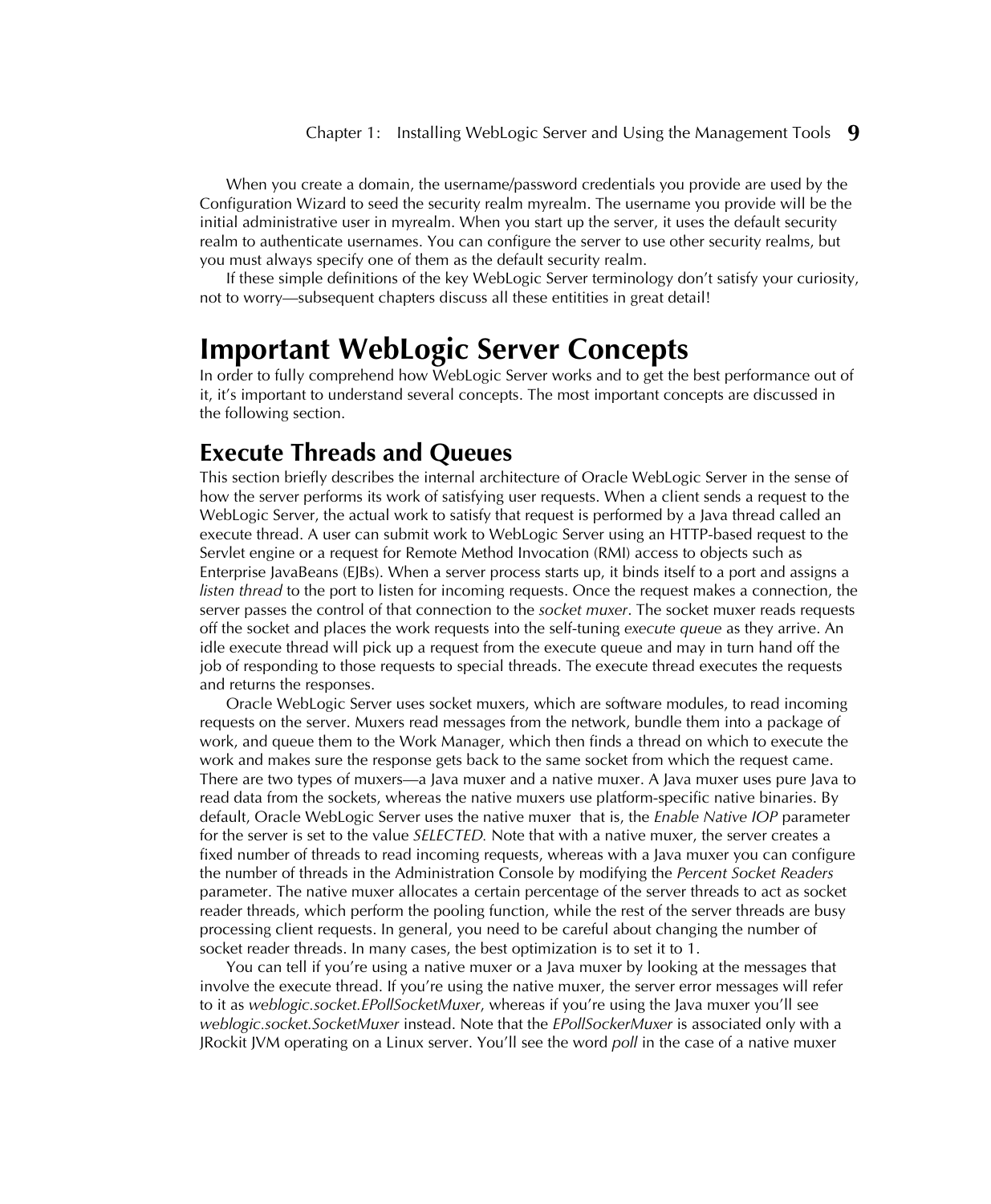When you create a domain, the username/password credentials you provide are used by the Configuration Wizard to seed the security realm myrealm. The username you provide will be the initial administrative user in myrealm. When you start up the server, it uses the default security realm to authenticate usernames. You can configure the server to use other security realms, but you must always specify one of them as the default security realm.

If these simple definitions of the key WebLogic Server terminology don't satisfy your curiosity, not to worry—subsequent chapters discuss all these entitities in great detail!

### **Important WebLogic Server Concepts**

In order to fully comprehend how WebLogic Server works and to get the best performance out of it, it's important to understand several concepts. The most important concepts are discussed in the following section.

### **Execute Threads and Queues**

This section briefly describes the internal architecture of Oracle WebLogic Server in the sense of how the server performs its work of satisfying user requests. When a client sends a request to the WebLogic Server, the actual work to satisfy that request is performed by a Java thread called an execute thread. A user can submit work to WebLogic Server using an HTTP-based request to the Servlet engine or a request for Remote Method Invocation (RMI) access to objects such as Enterprise JavaBeans (EJBs). When a server process starts up, it binds itself to a port and assigns a *listen thread* to the port to listen for incoming requests. Once the request makes a connection, the server passes the control of that connection to the *socket muxer*. The socket muxer reads requests off the socket and places the work requests into the self-tuning *execute queue* as they arrive. An idle execute thread will pick up a request from the execute queue and may in turn hand off the job of responding to those requests to special threads. The execute thread executes the requests and returns the responses.

Oracle WebLogic Server uses socket muxers, which are software modules, to read incoming requests on the server. Muxers read messages from the network, bundle them into a package of work, and queue them to the Work Manager, which then finds a thread on which to execute the work and makes sure the response gets back to the same socket from which the request came. There are two types of muxers—a Java muxer and a native muxer. A Java muxer uses pure Java to read data from the sockets, whereas the native muxers use platform-specific native binaries. By default, Oracle WebLogic Server uses the native muxer that is, the *Enable Native IOP* parameter for the server is set to the value *SELECTED.* Note that with a native muxer, the server creates a fixed number of threads to read incoming requests, whereas with a Java muxer you can configure the number of threads in the Administration Console by modifying the *Percent Socket Readers* parameter. The native muxer allocates a certain percentage of the server threads to act as socket reader threads, which perform the pooling function, while the rest of the server threads are busy processing client requests. In general, you need to be careful about changing the number of socket reader threads. In many cases, the best optimization is to set it to 1.

You can tell if you're using a native muxer or a Java muxer by looking at the messages that involve the execute thread. If you're using the native muxer, the server error messages will refer to it as *weblogic.socket.EPollSocketMuxer*, whereas if you're using the Java muxer you'll see *weblogic.socket.SocketMuxer* instead. Note that the *EPollSockerMuxer* is associated only with a JRockit JVM operating on a Linux server. You'll see the word *poll* in the case of a native muxer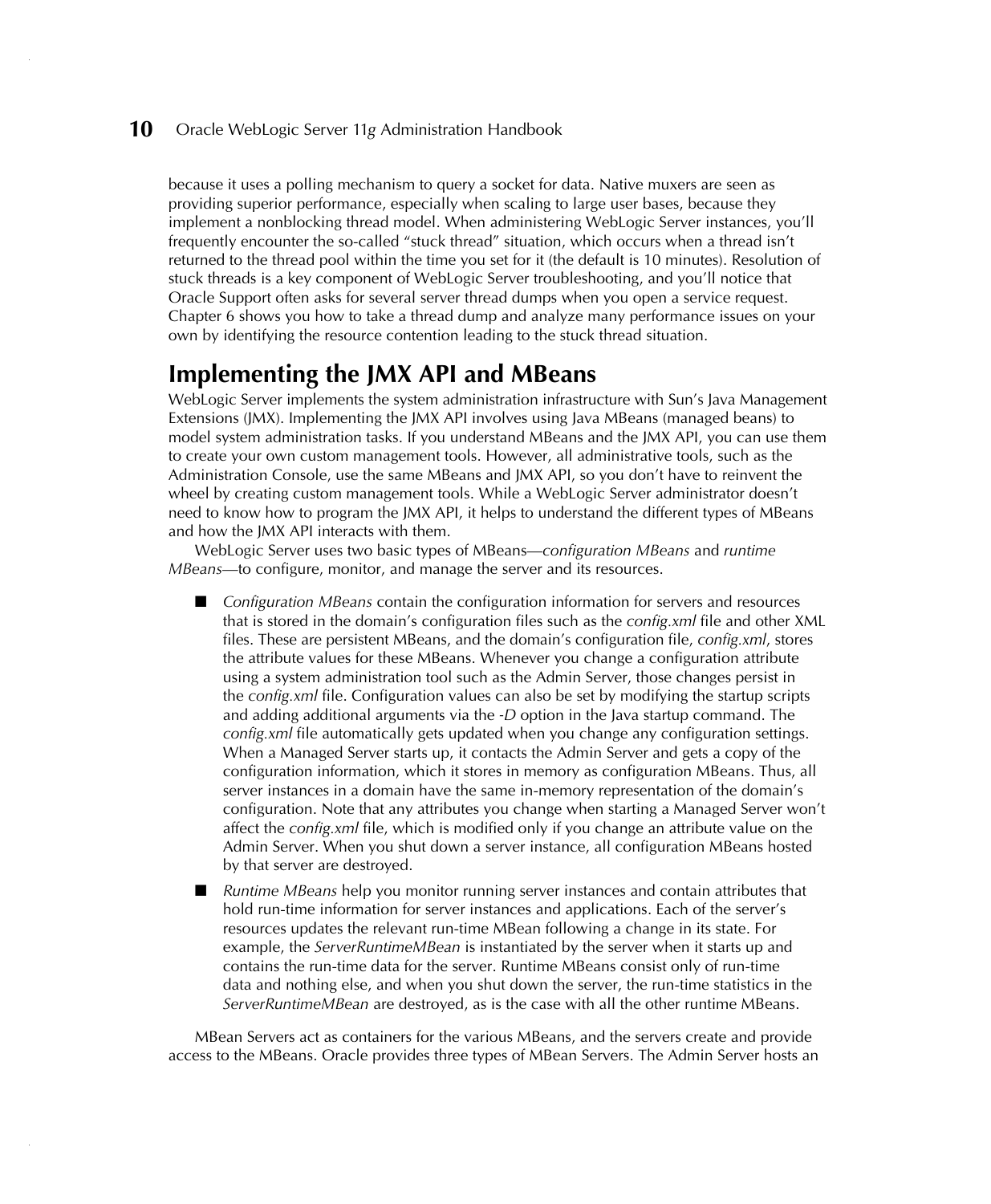because it uses a polling mechanism to query a socket for data. Native muxers are seen as providing superior performance, especially when scaling to large user bases, because they implement a nonblocking thread model. When administering WebLogic Server instances, you'll frequently encounter the so-called "stuck thread" situation, which occurs when a thread isn't returned to the thread pool within the time you set for it (the default is 10 minutes). Resolution of stuck threads is a key component of WebLogic Server troubleshooting, and you'll notice that Oracle Support often asks for several server thread dumps when you open a service request. Chapter 6 shows you how to take a thread dump and analyze many performance issues on your own by identifying the resource contention leading to the stuck thread situation.

### **Implementing the JMX ApI and MBeans**

WebLogic Server implements the system administration infrastructure with Sun's Java Management Extensions (JMX). Implementing the JMX API involves using Java MBeans (managed beans) to model system administration tasks. If you understand MBeans and the JMX API, you can use them to create your own custom management tools. However, all administrative tools, such as the Administration Console, use the same MBeans and JMX API, so you don't have to reinvent the wheel by creating custom management tools. While a WebLogic Server administrator doesn't need to know how to program the JMX API, it helps to understand the different types of MBeans and how the JMX API interacts with them.

WebLogic Server uses two basic types of MBeans—*configuration MBeans* and *runtime MBeans*—to configure, monitor, and manage the server and its resources.

- *Configuration MBeans* contain the configuration information for servers and resources that is stored in the domain's configuration files such as the *config.xml* file and other XML files. These are persistent MBeans, and the domain's configuration file, *config.xml*, stores the attribute values for these MBeans. Whenever you change a configuration attribute using a system administration tool such as the Admin Server, those changes persist in the *config.xml* file. Configuration values can also be set by modifying the startup scripts and adding additional arguments via the *-D* option in the Java startup command. The *config.xml* file automatically gets updated when you change any configuration settings. When a Managed Server starts up, it contacts the Admin Server and gets a copy of the configuration information, which it stores in memory as configuration MBeans. Thus, all server instances in a domain have the same in-memory representation of the domain's configuration. Note that any attributes you change when starting a Managed Server won't affect the *config.xml* file, which is modified only if you change an attribute value on the Admin Server. When you shut down a server instance, all configuration MBeans hosted by that server are destroyed.
- *Runtime MBeans* help you monitor running server instances and contain attributes that hold run-time information for server instances and applications. Each of the server's resources updates the relevant run-time MBean following a change in its state. For example, the *ServerRuntimeMBean* is instantiated by the server when it starts up and contains the run-time data for the server. Runtime MBeans consist only of run-time data and nothing else, and when you shut down the server, the run-time statistics in the *ServerRuntimeMBean* are destroyed, as is the case with all the other runtime MBeans.

MBean Servers act as containers for the various MBeans, and the servers create and provide access to the MBeans. Oracle provides three types of MBean Servers. The Admin Server hosts an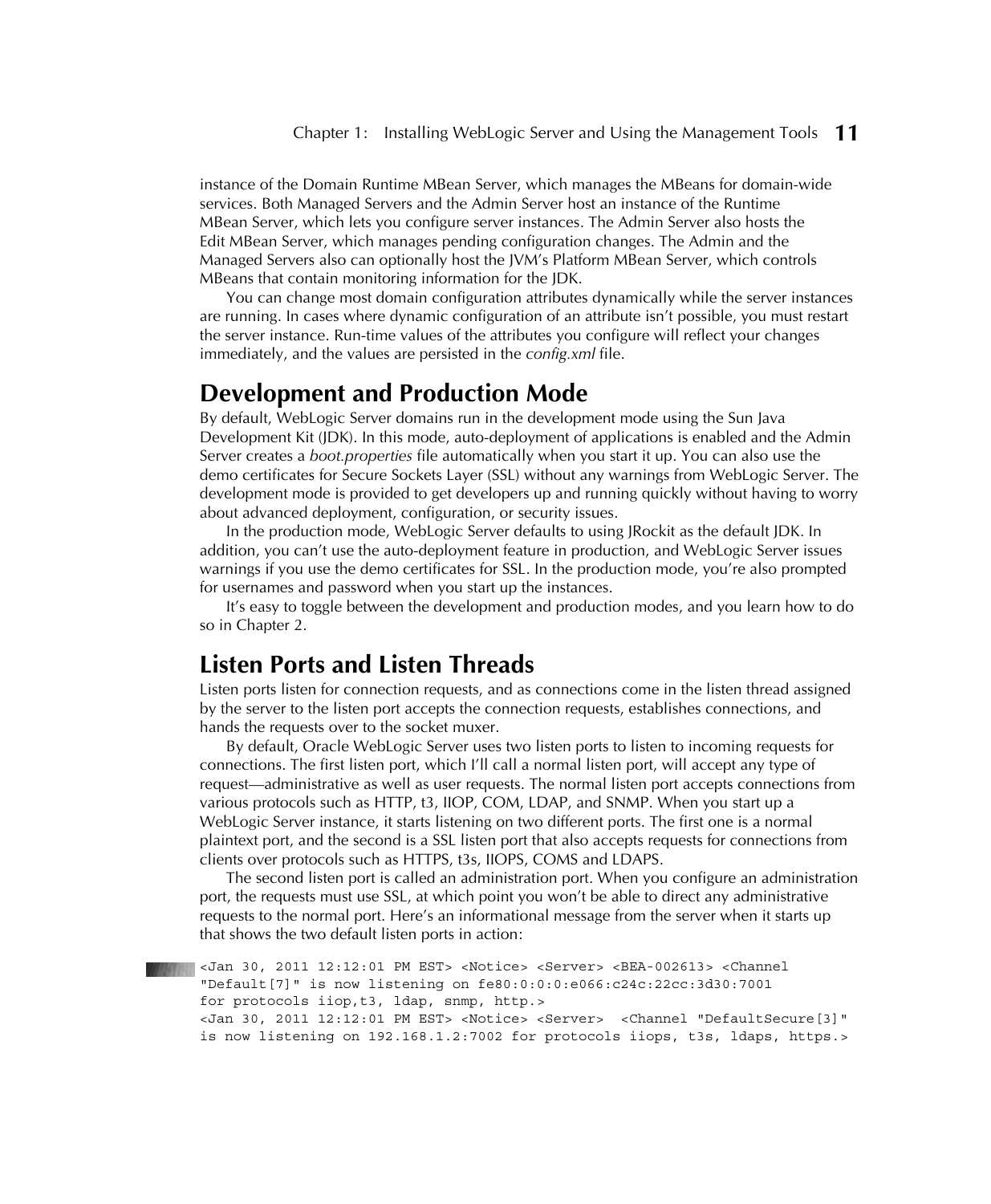instance of the Domain Runtime MBean Server, which manages the MBeans for domain-wide services. Both Managed Servers and the Admin Server host an instance of the Runtime MBean Server, which lets you configure server instances. The Admin Server also hosts the Edit MBean Server, which manages pending configuration changes. The Admin and the Managed Servers also can optionally host the JVM's Platform MBean Server, which controls MBeans that contain monitoring information for the JDK.

You can change most domain configuration attributes dynamically while the server instances are running. In cases where dynamic configuration of an attribute isn't possible, you must restart the server instance. Run-time values of the attributes you configure will reflect your changes immediately, and the values are persisted in the *config.xml* file.

### **Development and production Mode**

By default, WebLogic Server domains run in the development mode using the Sun Java Development Kit (JDK). In this mode, auto-deployment of applications is enabled and the Admin Server creates a *boot.properties* file automatically when you start it up. You can also use the demo certificates for Secure Sockets Layer (SSL) without any warnings from WebLogic Server. The development mode is provided to get developers up and running quickly without having to worry about advanced deployment, configuration, or security issues.

In the production mode, WebLogic Server defaults to using JRockit as the default JDK. In addition, you can't use the auto-deployment feature in production, and WebLogic Server issues warnings if you use the demo certificates for SSL. In the production mode, you're also prompted for usernames and password when you start up the instances.

It's easy to toggle between the development and production modes, and you learn how to do so in Chapter 2.

### **Listen ports and Listen Threads**

Listen ports listen for connection requests, and as connections come in the listen thread assigned by the server to the listen port accepts the connection requests, establishes connections, and hands the requests over to the socket muxer.

By default, Oracle WebLogic Server uses two listen ports to listen to incoming requests for connections. The first listen port, which I'll call a normal listen port, will accept any type of request—administrative as well as user requests. The normal listen port accepts connections from various protocols such as HTTP, t3, IIOP, COM, LDAP, and SNMP. When you start up a WebLogic Server instance, it starts listening on two different ports. The first one is a normal plaintext port, and the second is a SSL listen port that also accepts requests for connections from clients over protocols such as HTTPS, t3s, IIOPS, COMS and LDAPS.

The second listen port is called an administration port. When you configure an administration port, the requests must use SSL, at which point you won't be able to direct any administrative requests to the normal port. Here's an informational message from the server when it starts up that shows the two default listen ports in action:

```
<Jan 30, 2011 12:12:01 PM EST> <Notice> <Server> <BEA-002613> <Channel 
      "Default[7]" is now listening on fe80:0:0:0:e066:c24c:22cc:3d30:7001 
      for protocols iiop,t3, ldap, snmp, http.> 
      <Jan 30, 2011 12:12:01 PM EST> <Notice> <Server> <Channel "DefaultSecure[3]" 
      is now listening on 192.168.1.2:7002 for protocols iiops, t3s, ldaps, https.>
```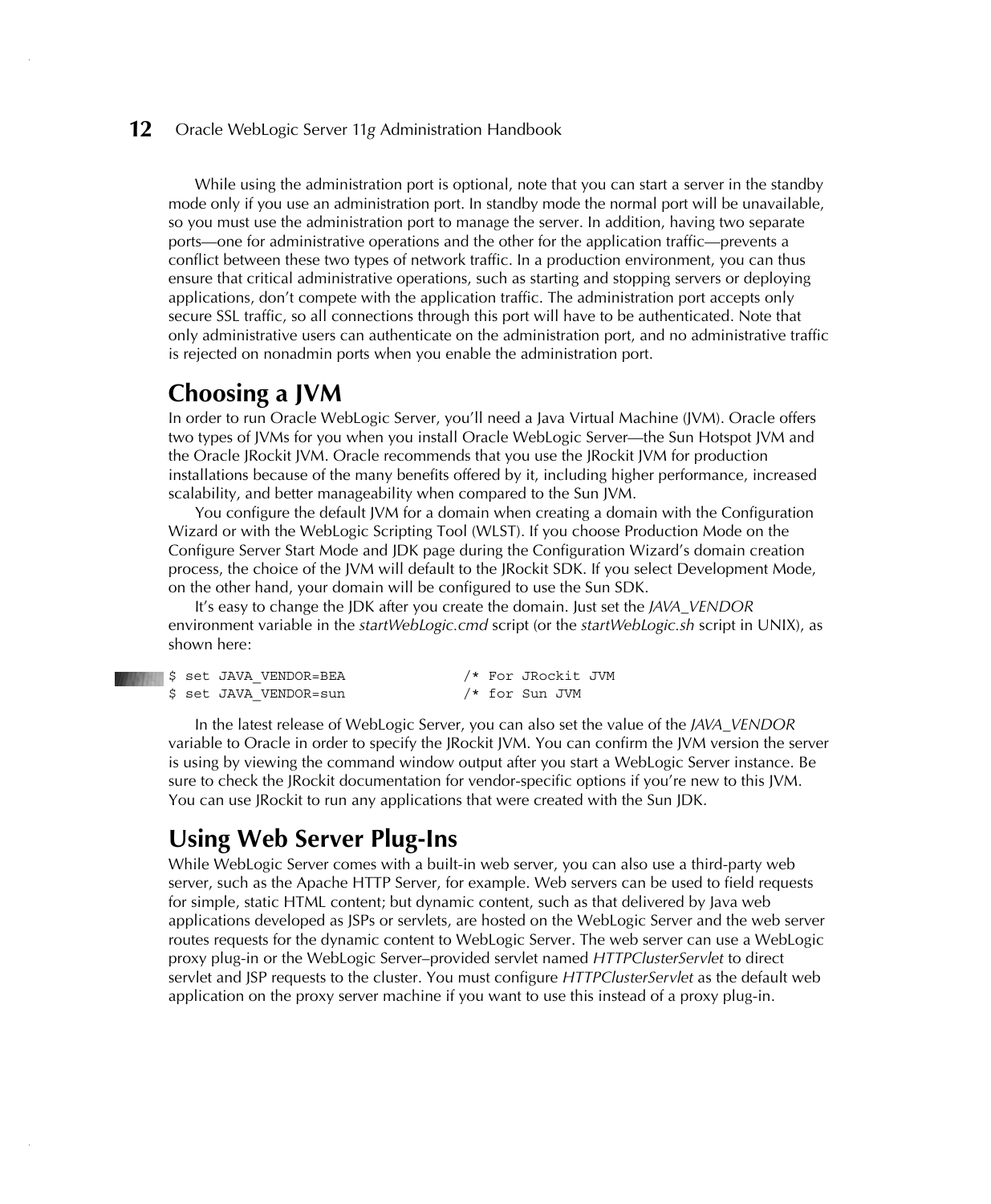While using the administration port is optional, note that you can start a server in the standby mode only if you use an administration port. In standby mode the normal port will be unavailable, so you must use the administration port to manage the server. In addition, having two separate ports—one for administrative operations and the other for the application traffic—prevents a conflict between these two types of network traffic. In a production environment, you can thus ensure that critical administrative operations, such as starting and stopping servers or deploying applications, don't compete with the application traffic. The administration port accepts only secure SSL traffic, so all connections through this port will have to be authenticated. Note that only administrative users can authenticate on the administration port, and no administrative traffic is rejected on nonadmin ports when you enable the administration port.

### **Choosing a JVM**

In order to run Oracle WebLogic Server, you'll need a Java Virtual Machine (JVM). Oracle offers two types of JVMs for you when you install Oracle WebLogic Server—the Sun Hotspot JVM and the Oracle JRockit JVM. Oracle recommends that you use the JRockit JVM for production installations because of the many benefits offered by it, including higher performance, increased scalability, and better manageability when compared to the Sun JVM.

You configure the default JVM for a domain when creating a domain with the Configuration Wizard or with the WebLogic Scripting Tool (WLST). If you choose Production Mode on the Configure Server Start Mode and JDK page during the Configuration Wizard's domain creation process, the choice of the JVM will default to the JRockit SDK. If you select Development Mode, on the other hand, your domain will be configured to use the Sun SDK.

It's easy to change the JDK after you create the domain. Just set the *JAVA\_VENDOR* environment variable in the *startWebLogic.cmd* script (or the *startWebLogic.sh* script in UNIX), as shown here:

|  | ■\$ set JAVA VENDOR=BEA |  | /* For JRockit JVM |
|--|-------------------------|--|--------------------|
|  | \$ set JAVA VENDOR=sun  |  | /* for Sun JVM     |

In the latest release of WebLogic Server, you can also set the value of the *JAVA\_VENDOR* variable to Oracle in order to specify the JRockit JVM. You can confirm the JVM version the server is using by viewing the command window output after you start a WebLogic Server instance. Be sure to check the JRockit documentation for vendor-specific options if you're new to this JVM. You can use JRockit to run any applications that were created with the Sun JDK.

### **Using Web Server plug-Ins**

While WebLogic Server comes with a built-in web server, you can also use a third-party web server, such as the Apache HTTP Server, for example. Web servers can be used to field requests for simple, static HTML content; but dynamic content, such as that delivered by Java web applications developed as JSPs or servlets, are hosted on the WebLogic Server and the web server routes requests for the dynamic content to WebLogic Server. The web server can use a WebLogic proxy plug-in or the WebLogic Server–provided servlet named *HTTPClusterServlet* to direct servlet and JSP requests to the cluster. You must configure *HTTPClusterServlet* as the default web application on the proxy server machine if you want to use this instead of a proxy plug-in.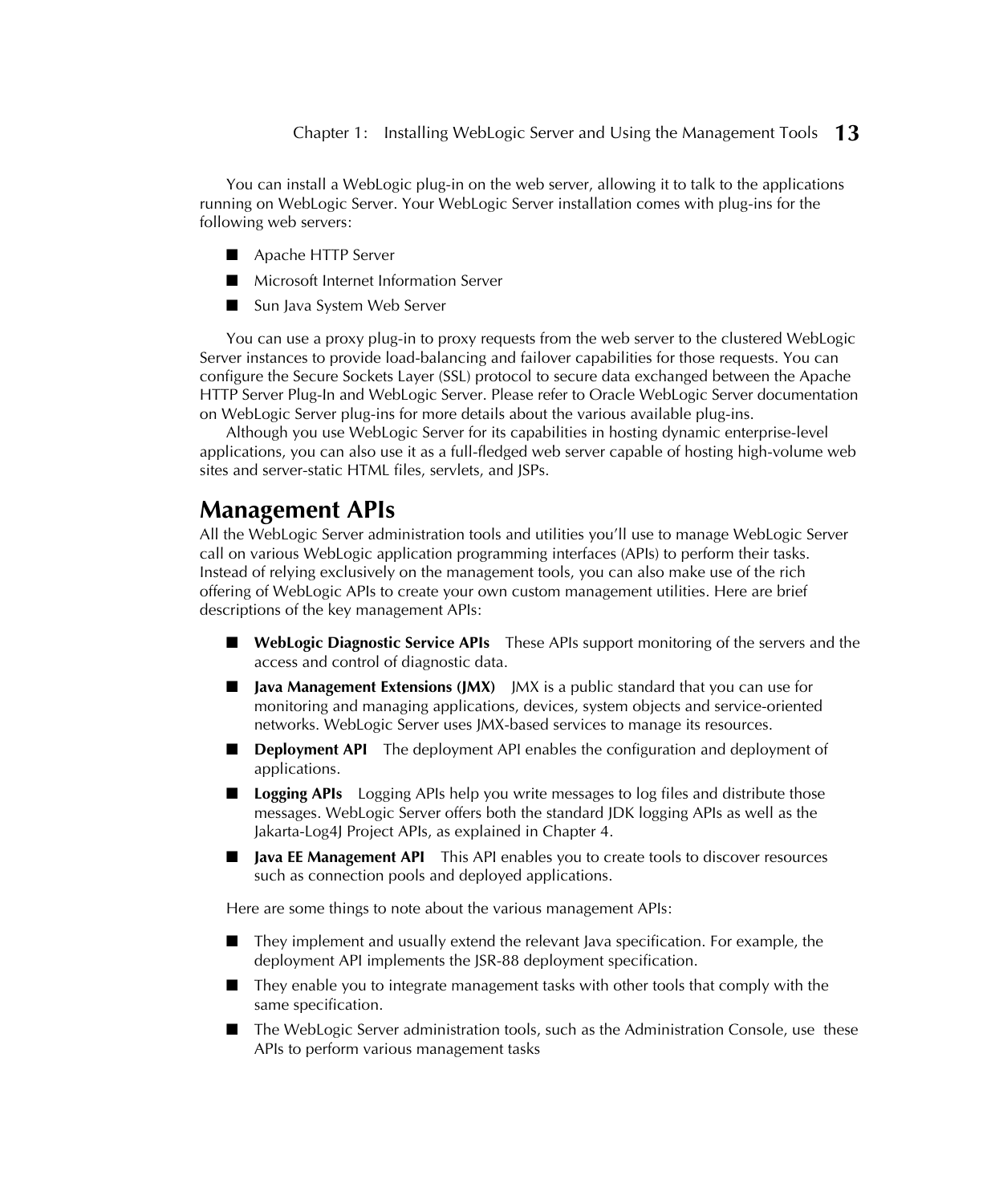You can install a WebLogic plug-in on the web server, allowing it to talk to the applications running on WebLogic Server. Your WebLogic Server installation comes with plug-ins for the following web servers:

- Apache HTTP Server
- Microsoft Internet Information Server
- Sun Java System Web Server

You can use a proxy plug-in to proxy requests from the web server to the clustered WebLogic Server instances to provide load-balancing and failover capabilities for those requests. You can configure the Secure Sockets Layer (SSL) protocol to secure data exchanged between the Apache HTTP Server Plug-In and WebLogic Server. Please refer to Oracle WebLogic Server documentation on WebLogic Server plug-ins for more details about the various available plug-ins.

Although you use WebLogic Server for its capabilities in hosting dynamic enterprise-level applications, you can also use it as a full-fledged web server capable of hosting high-volume web sites and server-static HTML files, servlets, and JSPs.

### **Management ApIs**

All the WebLogic Server administration tools and utilities you'll use to manage WebLogic Server call on various WebLogic application programming interfaces (APIs) to perform their tasks. Instead of relying exclusively on the management tools, you can also make use of the rich offering of WebLogic APIs to create your own custom management utilities. Here are brief descriptions of the key management APIs:

- **WebLogic Diagnostic Service APIs** These APIs support monitoring of the servers and the access and control of diagnostic data.
- **Java Management Extensions (JMX)** JMX is a public standard that you can use for monitoring and managing applications, devices, system objects and service-oriented networks. WebLogic Server uses JMX-based services to manage its resources.
- **Deployment API** The deployment API enables the configuration and deployment of applications.
- **Logging APIs** Logging APIs help you write messages to log files and distribute those messages. WebLogic Server offers both the standard JDK logging APIs as well as the Jakarta-Log4J Project APIs, as explained in Chapter 4.
- **Java EE Management API** This API enables you to create tools to discover resources such as connection pools and deployed applications.

Here are some things to note about the various management APIs:

- They implement and usually extend the relevant Java specification. For example, the deployment API implements the JSR-88 deployment specification.
- $\blacksquare$  They enable you to integrate management tasks with other tools that comply with the same specification.
- The WebLogic Server administration tools, such as the Administration Console, use these APIs to perform various management tasks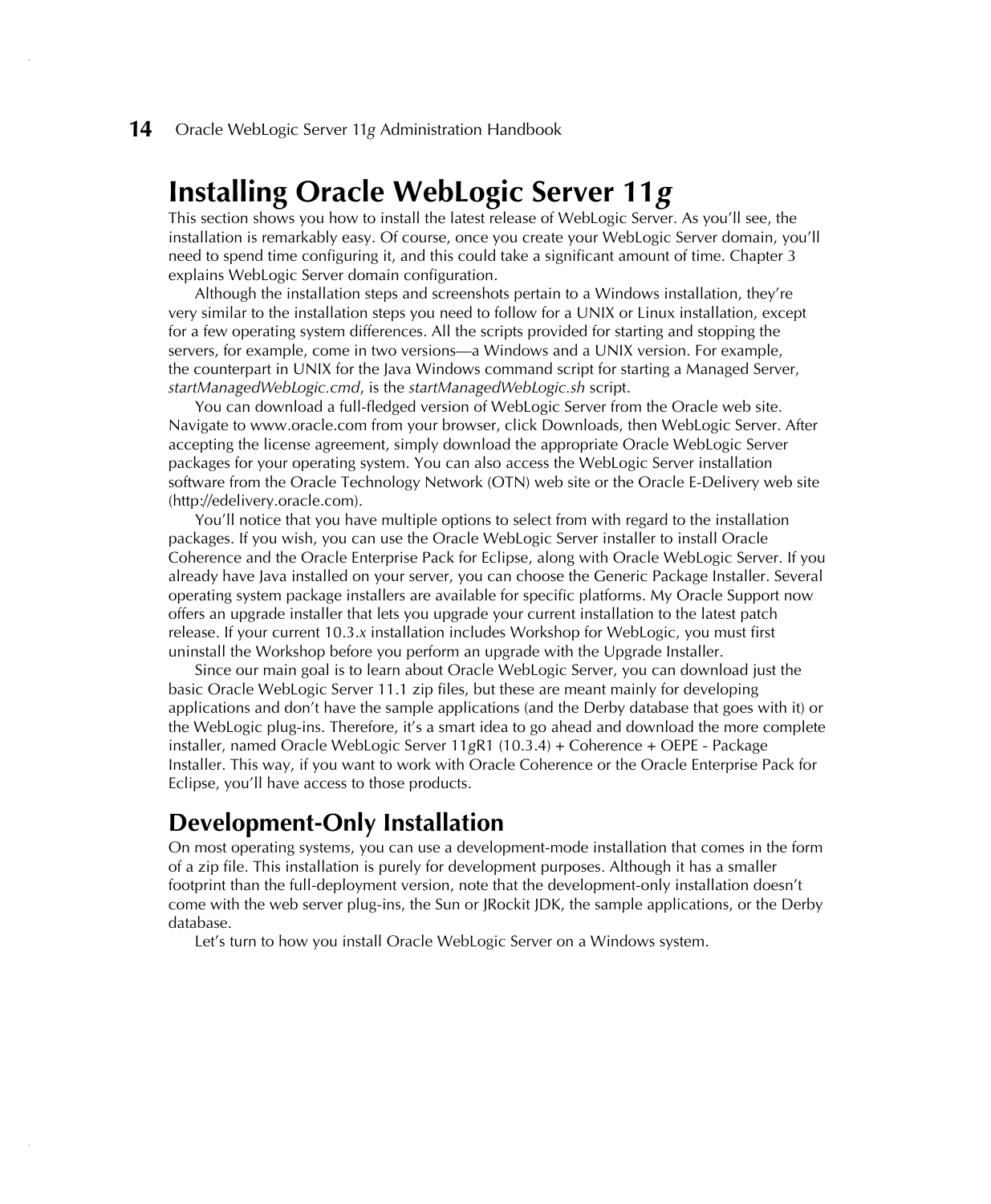## **Installing Oracle WebLogic Server 11g**

This section shows you how to install the latest release of WebLogic Server. As you'll see, the installation is remarkably easy. Of course, once you create your WebLogic Server domain, you'll need to spend time configuring it, and this could take a significant amount of time. Chapter 3 explains WebLogic Server domain configuration.

Although the installation steps and screenshots pertain to a Windows installation, they're very similar to the installation steps you need to follow for a UNIX or Linux installation, except for a few operating system differences. All the scripts provided for starting and stopping the servers, for example, come in two versions—a Windows and a UNIX version. For example, the counterpart in UNIX for the Java Windows command script for starting a Managed Server, *startManagedWebLogic.cmd*, is the *startManagedWebLogic.sh* script.

You can download a full-fledged version of WebLogic Server from the Oracle web site. Navigate to www.oracle.com from your browser, click Downloads, then WebLogic Server. After accepting the license agreement, simply download the appropriate Oracle WebLogic Server packages for your operating system. You can also access the WebLogic Server installation software from the Oracle Technology Network (OTN) web site or the Oracle E-Delivery web site (http://edelivery.oracle.com).

You'll notice that you have multiple options to select from with regard to the installation packages. If you wish, you can use the Oracle WebLogic Server installer to install Oracle Coherence and the Oracle Enterprise Pack for Eclipse, along with Oracle WebLogic Server. If you already have Java installed on your server, you can choose the Generic Package Installer. Several operating system package installers are available for specific platforms. My Oracle Support now offers an upgrade installer that lets you upgrade your current installation to the latest patch release. If your current 10.3.*x* installation includes Workshop for WebLogic, you must first uninstall the Workshop before you perform an upgrade with the Upgrade Installer.

Since our main goal is to learn about Oracle WebLogic Server, you can download just the basic Oracle WebLogic Server 11.1 zip files, but these are meant mainly for developing applications and don't have the sample applications (and the Derby database that goes with it) or the WebLogic plug-ins. Therefore, it's a smart idea to go ahead and download the more complete installer, named Oracle WebLogic Server 11*g*R1 (10.3.4) + Coherence + OEPE - Package Installer. This way, if you want to work with Oracle Coherence or the Oracle Enterprise Pack for Eclipse, you'll have access to those products.

### **Development-Only Installation**

On most operating systems, you can use a development-mode installation that comes in the form of a zip file. This installation is purely for development purposes. Although it has a smaller footprint than the full-deployment version, note that the development-only installation doesn't come with the web server plug-ins, the Sun or JRockit JDK, the sample applications, or the Derby database.

Let's turn to how you install Oracle WebLogic Server on a Windows system.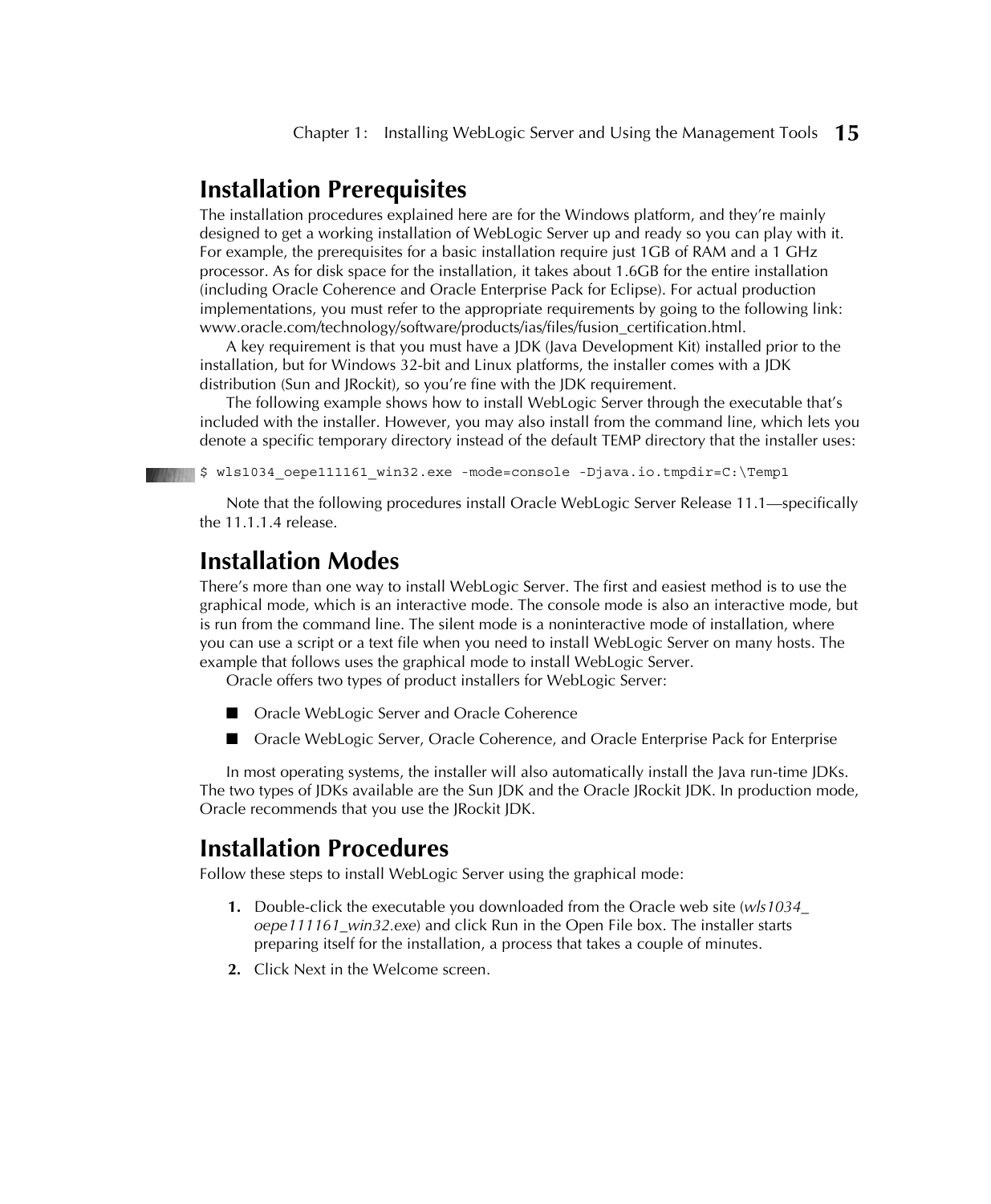### **Installation prerequisites**

The installation procedures explained here are for the Windows platform, and they're mainly designed to get a working installation of WebLogic Server up and ready so you can play with it. For example, the prerequisites for a basic installation require just 1GB of RAM and a 1 GHz processor. As for disk space for the installation, it takes about 1.6GB for the entire installation (including Oracle Coherence and Oracle Enterprise Pack for Eclipse). For actual production implementations, you must refer to the appropriate requirements by going to the following link: www.oracle.com/technology/software/products/ias/files/fusion\_certification.html.

A key requirement is that you must have a JDK (Java Development Kit) installed prior to the installation, but for Windows 32-bit and Linux platforms, the installer comes with a JDK distribution (Sun and JRockit), so you're fine with the JDK requirement.

The following example shows how to install WebLogic Server through the executable that's included with the installer. However, you may also install from the command line, which lets you denote a specific temporary directory instead of the default TEMP directory that the installer uses:

\$ wls1034\_oepe111161\_win32.exe -mode=console -Djava.io.tmpdir=C:\Temp1

Note that the following procedures install Oracle WebLogic Server Release 11.1—specifically the 11.1.1.4 release.

### **Installation Modes**

There's more than one way to install WebLogic Server. The first and easiest method is to use the graphical mode, which is an interactive mode. The console mode is also an interactive mode, but is run from the command line. The silent mode is a noninteractive mode of installation, where you can use a script or a text file when you need to install WebLogic Server on many hosts. The example that follows uses the graphical mode to install WebLogic Server.

Oracle offers two types of product installers for WebLogic Server:

- Oracle WebLogic Server and Oracle Coherence
- Oracle WebLogic Server, Oracle Coherence, and Oracle Enterprise Pack for Enterprise

In most operating systems, the installer will also automatically install the Java run-time JDKs. The two types of JDKs available are the Sun JDK and the Oracle JRockit JDK. In production mode, Oracle recommends that you use the JRockit JDK.

### **Installation procedures**

Follow these steps to install WebLogic Server using the graphical mode:

- **1.** Double-click the executable you downloaded from the Oracle web site (*wls1034\_ oepe111161\_win32.exe*) and click Run in the Open File box. The installer starts preparing itself for the installation, a process that takes a couple of minutes.
- **2.** Click Next in the Welcome screen.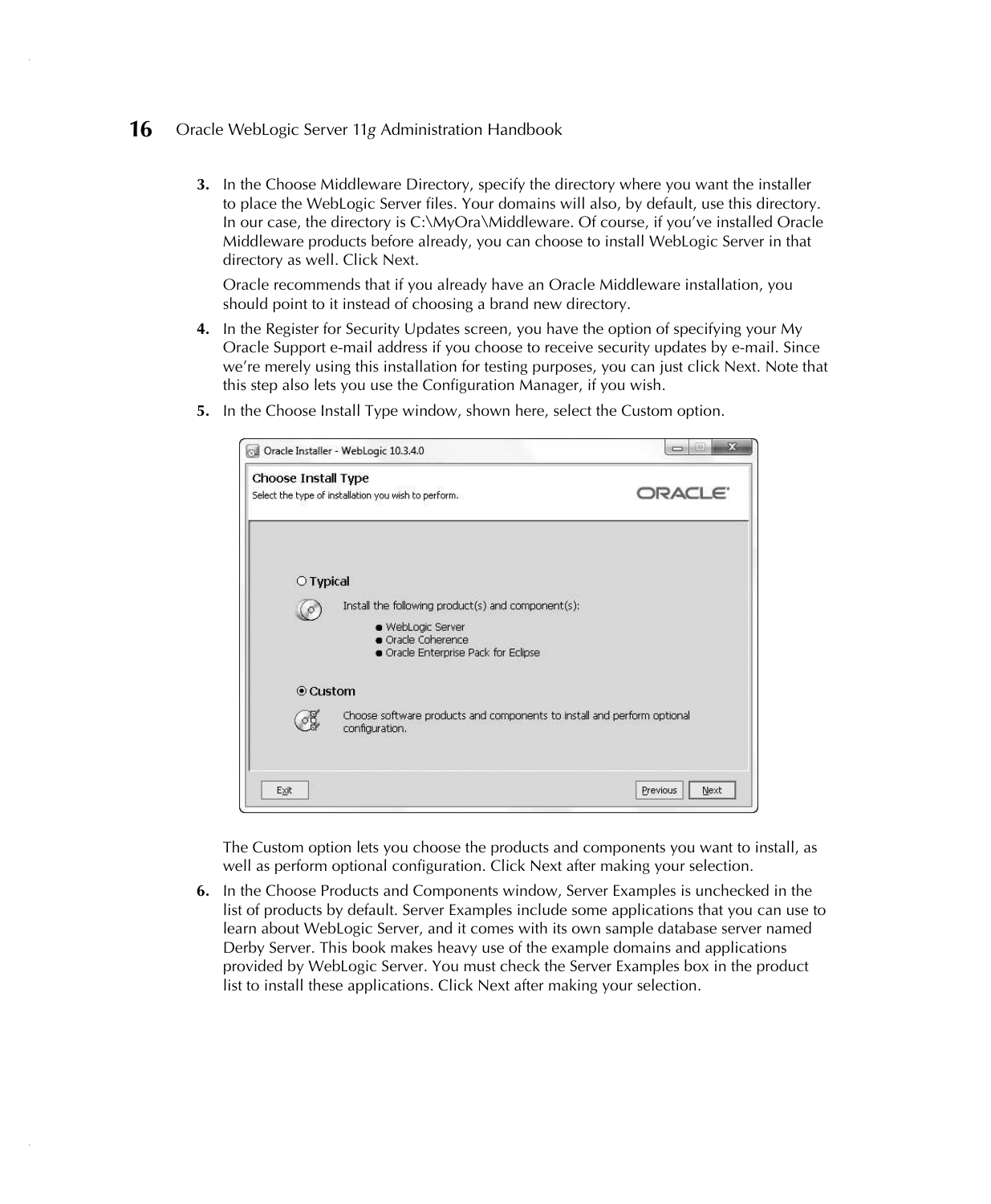- **16** Oracle WebLogic Server 11*g* Administration Handbook
	- **3.** In the Choose Middleware Directory, specify the directory where you want the installer to place the WebLogic Server files. Your domains will also, by default, use this directory. In our case, the directory is C:\MyOra\Middleware. Of course, if you've installed Oracle Middleware products before already, you can choose to install WebLogic Server in that directory as well. Click Next.

Oracle recommends that if you already have an Oracle Middleware installation, you should point to it instead of choosing a brand new directory.

**4.** In the Register for Security Updates screen, you have the option of specifying your My Oracle Support e-mail address if you choose to receive security updates by e-mail. Since we're merely using this installation for testing purposes, you can just click Next. Note that this step also lets you use the Configuration Manager, if you wish.



**5.** In the Choose Install Type window, shown here, select the Custom option.

The Custom option lets you choose the products and components you want to install, as well as perform optional configuration. Click Next after making your selection.

**6.** In the Choose Products and Components window, Server Examples is unchecked in the list of products by default. Server Examples include some applications that you can use to learn about WebLogic Server, and it comes with its own sample database server named Derby Server. This book makes heavy use of the example domains and applications provided by WebLogic Server. You must check the Server Examples box in the product list to install these applications. Click Next after making your selection.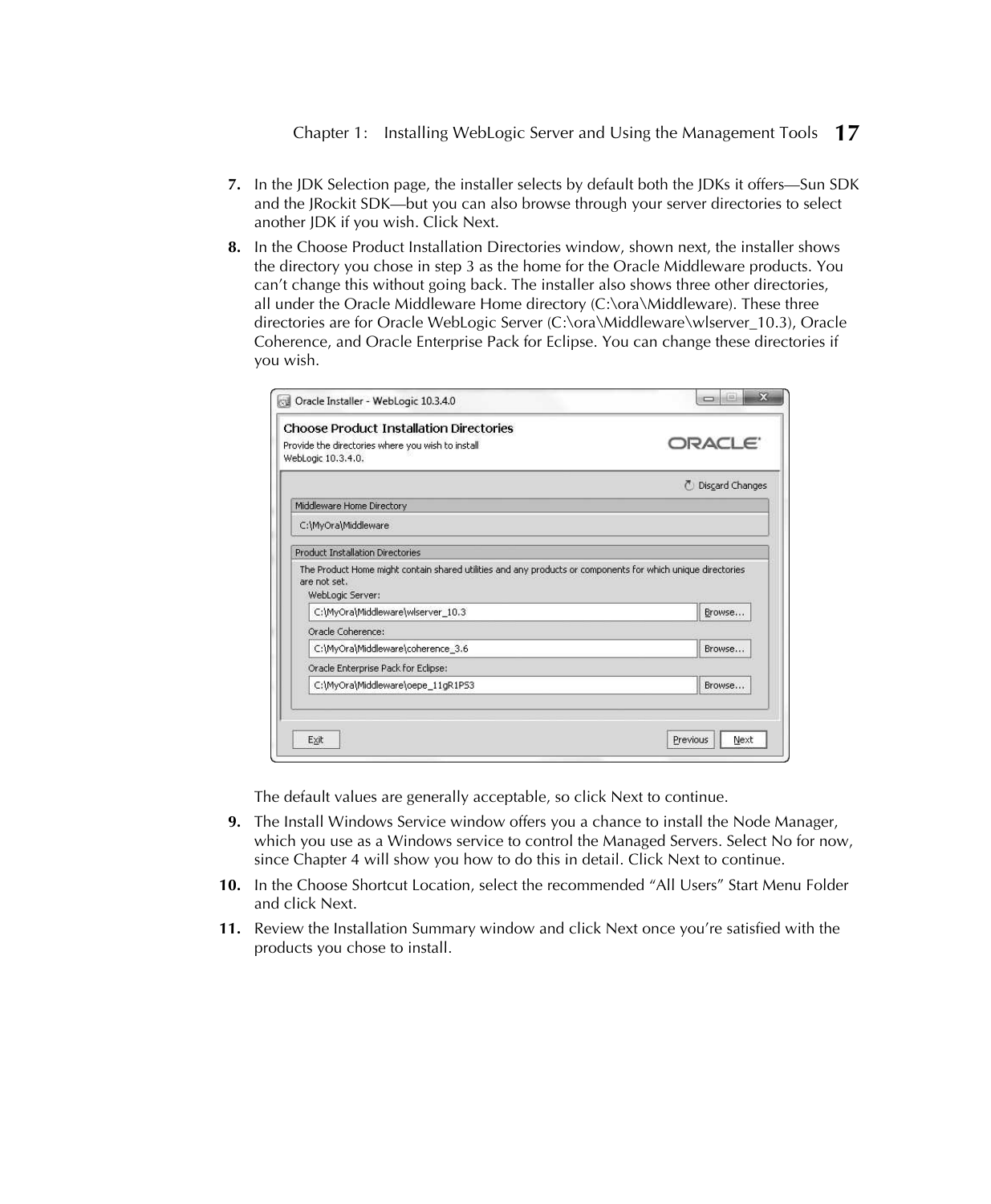- **7.** In the JDK Selection page, the installer selects by default both the JDKs it offers—Sun SDK and the JRockit SDK—but you can also browse through your server directories to select another JDK if you wish. Click Next.
- **8.** In the Choose Product Installation Directories window, shown next, the installer shows the directory you chose in step 3 as the home for the Oracle Middleware products. You can't change this without going back. The installer also shows three other directories, all under the Oracle Middleware Home directory (C:\ora\Middleware). These three directories are for Oracle WebLogic Server (C:\ora\Middleware\wlserver\_10.3), Oracle Coherence, and Oracle Enterprise Pack for Eclipse. You can change these directories if you wish.

| <b>Choose Product Installation Directories</b><br>Provide the directories where you wish to install<br>WebLogic 10.3.4.0.                       | ORACLE                          |
|-------------------------------------------------------------------------------------------------------------------------------------------------|---------------------------------|
|                                                                                                                                                 | <b><i>C</i></b> Discard Changes |
| Middleware Home Directory                                                                                                                       |                                 |
| C:\MyOra\Middleware                                                                                                                             |                                 |
| <b>Product Installation Directories</b>                                                                                                         |                                 |
|                                                                                                                                                 |                                 |
| The Product Home might contain shared utilities and any products or components for which unique directories<br>are not set.<br>WebLogic Server: |                                 |
| C:\MyOra\Middleware\wlserver_10.3                                                                                                               | Browse                          |
| Oracle Coherence:                                                                                                                               |                                 |
| C:\MyOra\Middleware\coherence_3.6                                                                                                               | Browse                          |
| Oracle Enterprise Pack for Eclipse:                                                                                                             |                                 |
| C:\MyOra\Middleware\oepe_11gR1PS3                                                                                                               | Browse                          |

The default values are generally acceptable, so click Next to continue.

- **9.** The Install Windows Service window offers you a chance to install the Node Manager, which you use as a Windows service to control the Managed Servers. Select No for now, since Chapter 4 will show you how to do this in detail. Click Next to continue.
- **10.** In the Choose Shortcut Location, select the recommended "All Users" Start Menu Folder and click Next.
- **11.** Review the Installation Summary window and click Next once you're satisfied with the products you chose to install.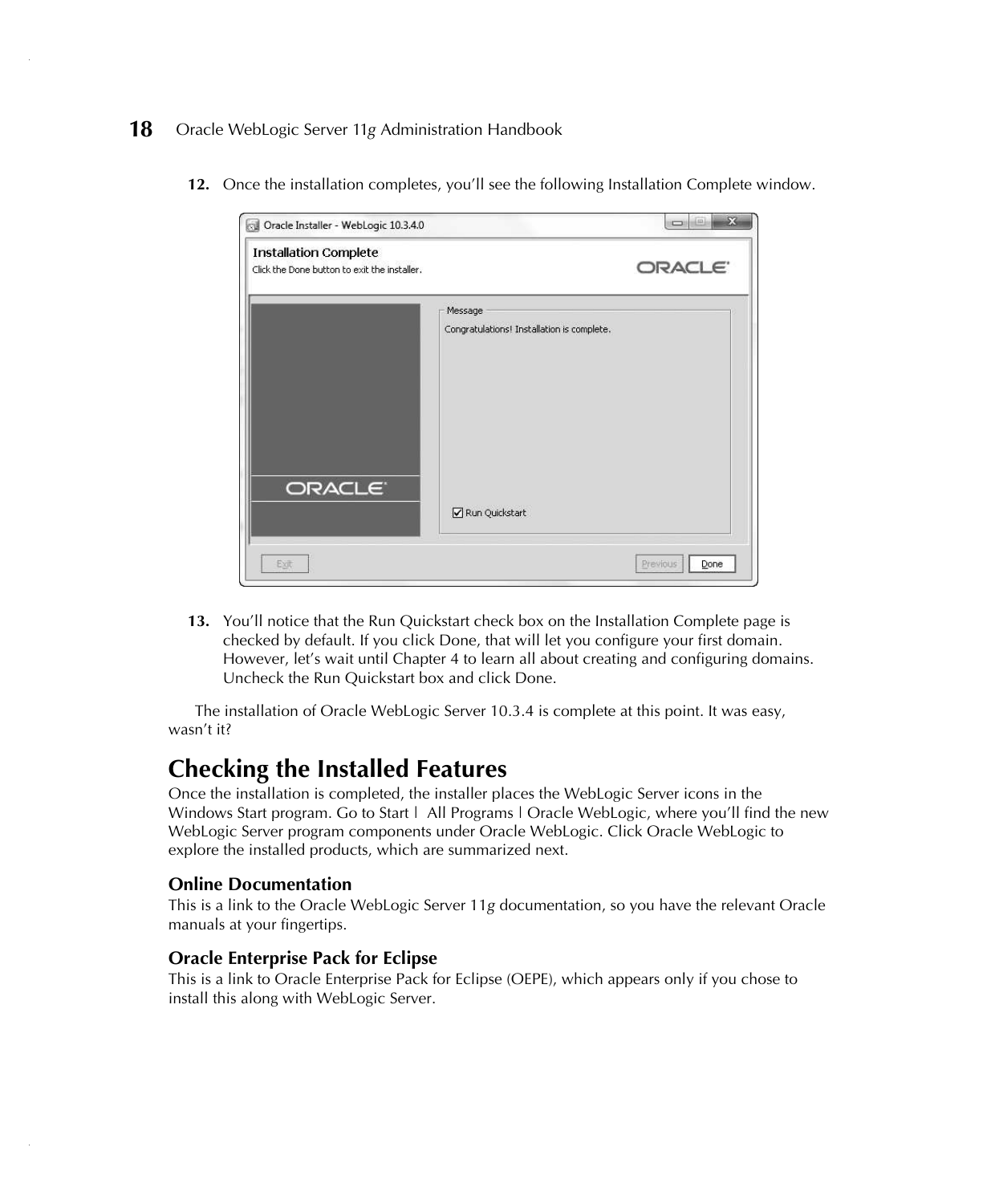- **18** Oracle WebLogic Server 11*g* Administration Handbook
	- **12.** Once the installation completes, you'll see the following Installation Complete window.

| Oracle Installer - WebLogic 10.3.4.0                                         |                                                       | $\mathbf{x}$<br>ij.<br>نصا |
|------------------------------------------------------------------------------|-------------------------------------------------------|----------------------------|
| <b>Installation Complete</b><br>Click the Done button to exit the installer. |                                                       | ORACLE <sup>®</sup>        |
|                                                                              | Message<br>Congratulations! Installation is complete. |                            |
| ORACLE <sup>®</sup><br>Exit                                                  | Run Quickstart                                        | Previous<br>Done           |

**13.** You'll notice that the Run Quickstart check box on the Installation Complete page is checked by default. If you click Done, that will let you configure your first domain. However, let's wait until Chapter 4 to learn all about creating and configuring domains. Uncheck the Run Quickstart box and click Done.

The installation of Oracle WebLogic Server 10.3.4 is complete at this point. It was easy, wasn't it?

### **Checking the Installed Features**

Once the installation is completed, the installer places the WebLogic Server icons in the Windows Start program. Go to Start | All Programs | Oracle WebLogic, where you'll find the new WebLogic Server program components under Oracle WebLogic. Click Oracle WebLogic to explore the installed products, which are summarized next.

#### **Online Documentation**

This is a link to the Oracle WebLogic Server 11*g* documentation, so you have the relevant Oracle manuals at your fingertips.

#### **Oracle Enterprise pack for Eclipse**

This is a link to Oracle Enterprise Pack for Eclipse (OEPE), which appears only if you chose to install this along with WebLogic Server.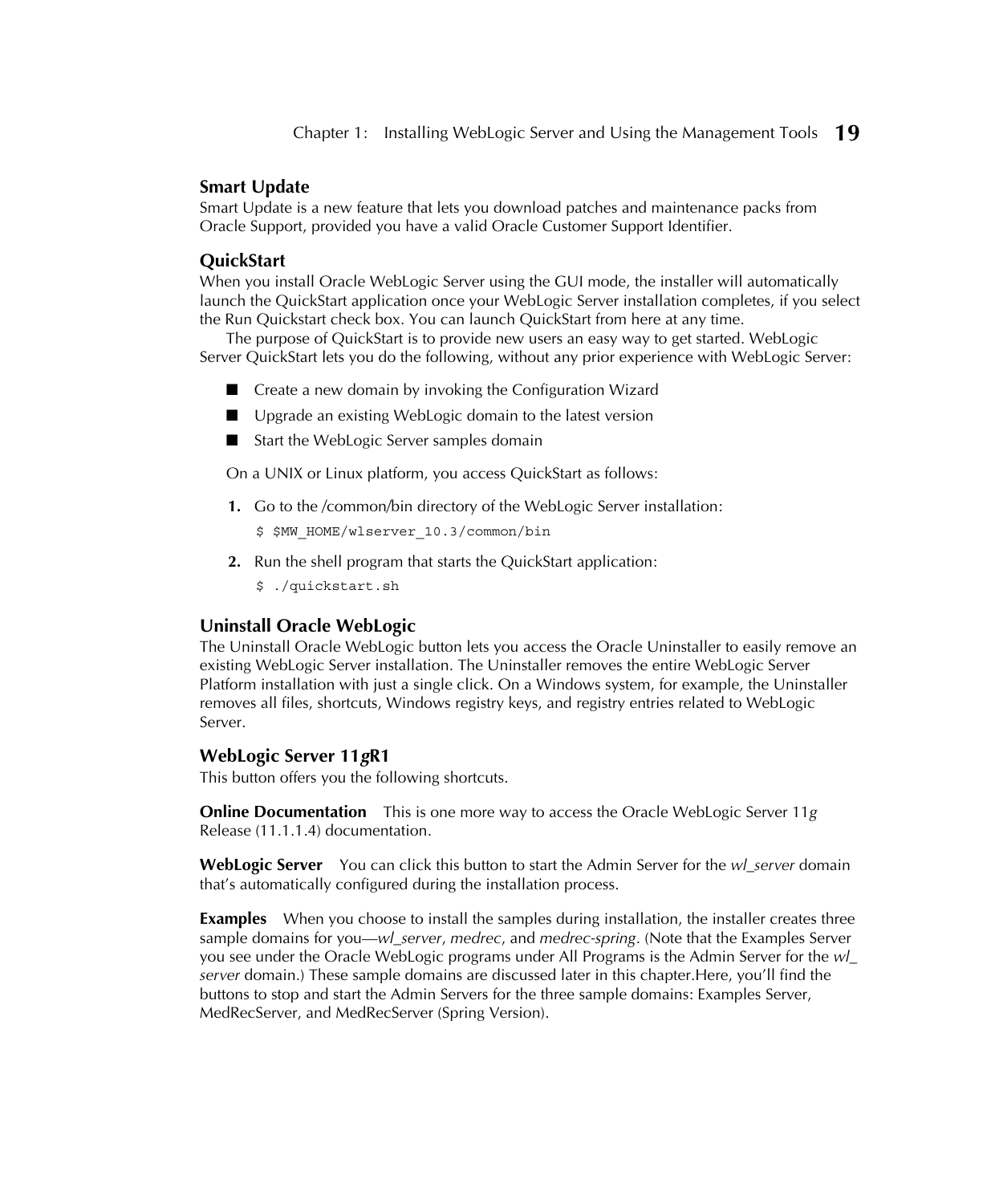#### **Smart Update**

Smart Update is a new feature that lets you download patches and maintenance packs from Oracle Support, provided you have a valid Oracle Customer Support Identifier.

#### **QuickStart**

When you install Oracle WebLogic Server using the GUI mode, the installer will automatically launch the QuickStart application once your WebLogic Server installation completes, if you select the Run Quickstart check box. You can launch QuickStart from here at any time.

The purpose of QuickStart is to provide new users an easy way to get started. WebLogic Server QuickStart lets you do the following, without any prior experience with WebLogic Server:

- Create a new domain by invoking the Configuration Wizard
- Upgrade an existing WebLogic domain to the latest version
- Start the WebLogic Server samples domain

On a UNIX or Linux platform, you access QuickStart as follows:

**1.** Go to the /common/bin directory of the WebLogic Server installation:

\$ \$MW HOME/wlserver 10.3/common/bin

- **2.** Run the shell program that starts the QuickStart application:
	- \$ ./quickstart.sh

#### **Uninstall Oracle WebLogic**

The Uninstall Oracle WebLogic button lets you access the Oracle Uninstaller to easily remove an existing WebLogic Server installation. The Uninstaller removes the entire WebLogic Server Platform installation with just a single click. On a Windows system, for example, the Uninstaller removes all files, shortcuts, Windows registry keys, and registry entries related to WebLogic Server.

#### **WebLogic Server 11gR1**

This button offers you the following shortcuts.

**Online Documentation** This is one more way to access the Oracle WebLogic Server 11*g* Release (11.1.1.4) documentation.

**WebLogic Server** You can click this button to start the Admin Server for the *wl server* domain that's automatically configured during the installation process.

**Examples** When you choose to install the samples during installation, the installer creates three sample domains for you—*wl\_server*, *medrec*, and *medrec-spring*. (Note that the Examples Server you see under the Oracle WebLogic programs under All Programs is the Admin Server for the *wl\_ server* domain.) These sample domains are discussed later in this chapter.Here, you'll find the buttons to stop and start the Admin Servers for the three sample domains: Examples Server, MedRecServer, and MedRecServer (Spring Version).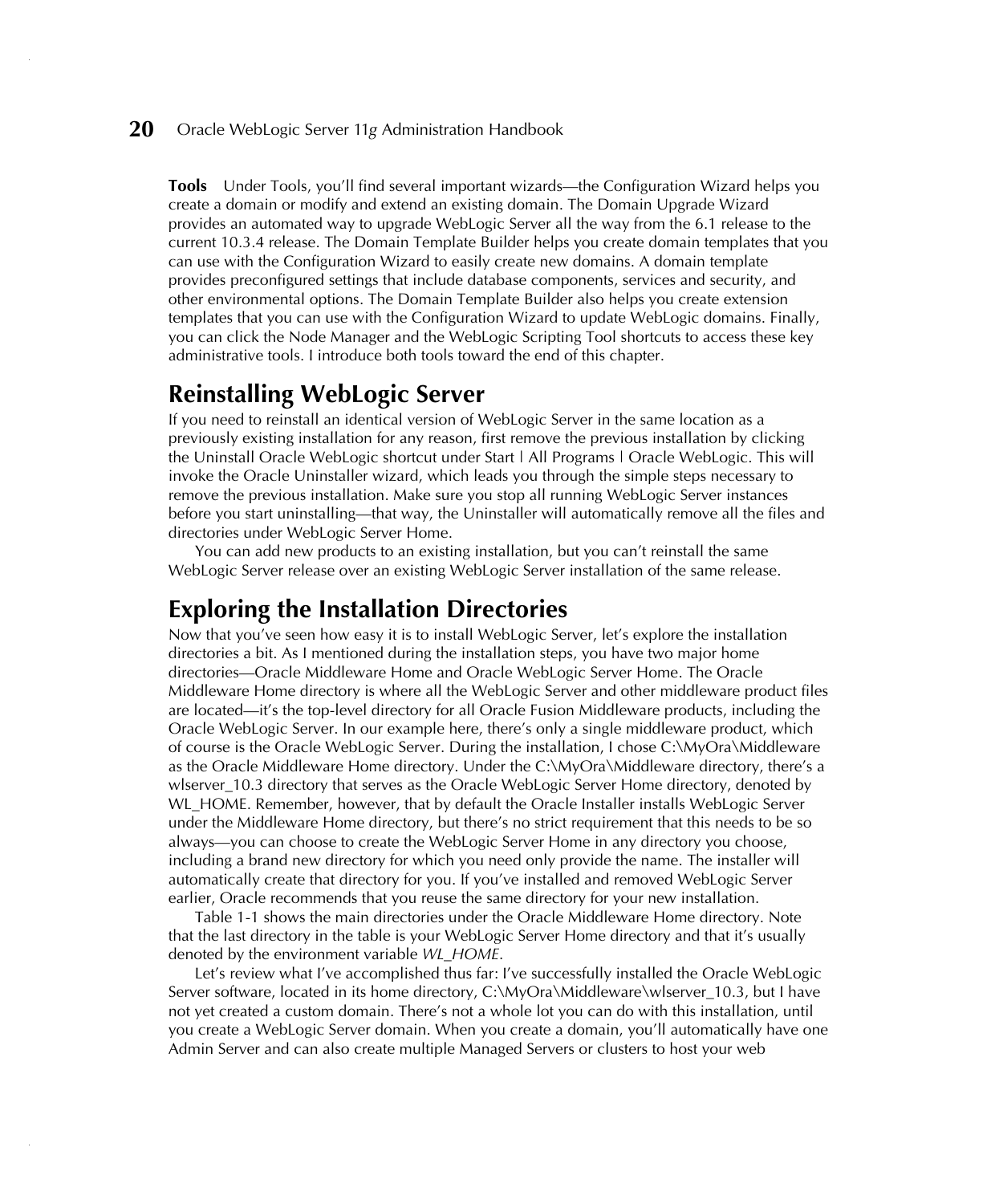**Tools** Under Tools, you'll find several important wizards—the Configuration Wizard helps you create a domain or modify and extend an existing domain. The Domain Upgrade Wizard provides an automated way to upgrade WebLogic Server all the way from the 6.1 release to the current 10.3.4 release. The Domain Template Builder helps you create domain templates that you can use with the Configuration Wizard to easily create new domains. A domain template provides preconfigured settings that include database components, services and security, and other environmental options. The Domain Template Builder also helps you create extension templates that you can use with the Configuration Wizard to update WebLogic domains. Finally, you can click the Node Manager and the WebLogic Scripting Tool shortcuts to access these key administrative tools. I introduce both tools toward the end of this chapter.

### **Reinstalling WebLogic Server**

If you need to reinstall an identical version of WebLogic Server in the same location as a previously existing installation for any reason, first remove the previous installation by clicking the Uninstall Oracle WebLogic shortcut under Start | All Programs | Oracle WebLogic. This will invoke the Oracle Uninstaller wizard, which leads you through the simple steps necessary to remove the previous installation. Make sure you stop all running WebLogic Server instances before you start uninstalling—that way, the Uninstaller will automatically remove all the files and directories under WebLogic Server Home.

You can add new products to an existing installation, but you can't reinstall the same WebLogic Server release over an existing WebLogic Server installation of the same release.

### **Exploring the Installation Directories**

Now that you've seen how easy it is to install WebLogic Server, let's explore the installation directories a bit. As I mentioned during the installation steps, you have two major home directories—Oracle Middleware Home and Oracle WebLogic Server Home. The Oracle Middleware Home directory is where all the WebLogic Server and other middleware product files are located—it's the top-level directory for all Oracle Fusion Middleware products, including the Oracle WebLogic Server. In our example here, there's only a single middleware product, which of course is the Oracle WebLogic Server. During the installation, I chose C:\MyOra\Middleware as the Oracle Middleware Home directory. Under the C:\MyOra\Middleware directory, there's a wlserver\_10.3 directory that serves as the Oracle WebLogic Server Home directory, denoted by WL\_HOME. Remember, however, that by default the Oracle Installer installs WebLogic Server under the Middleware Home directory, but there's no strict requirement that this needs to be so always—you can choose to create the WebLogic Server Home in any directory you choose, including a brand new directory for which you need only provide the name. The installer will automatically create that directory for you. If you've installed and removed WebLogic Server earlier, Oracle recommends that you reuse the same directory for your new installation.

Table 1-1 shows the main directories under the Oracle Middleware Home directory. Note that the last directory in the table is your WebLogic Server Home directory and that it's usually denoted by the environment variable *WL\_HOME*.

Let's review what I've accomplished thus far: I've successfully installed the Oracle WebLogic Server software, located in its home directory, C:\MyOra\Middleware\wlserver\_10.3, but I have not yet created a custom domain. There's not a whole lot you can do with this installation, until you create a WebLogic Server domain. When you create a domain, you'll automatically have one Admin Server and can also create multiple Managed Servers or clusters to host your web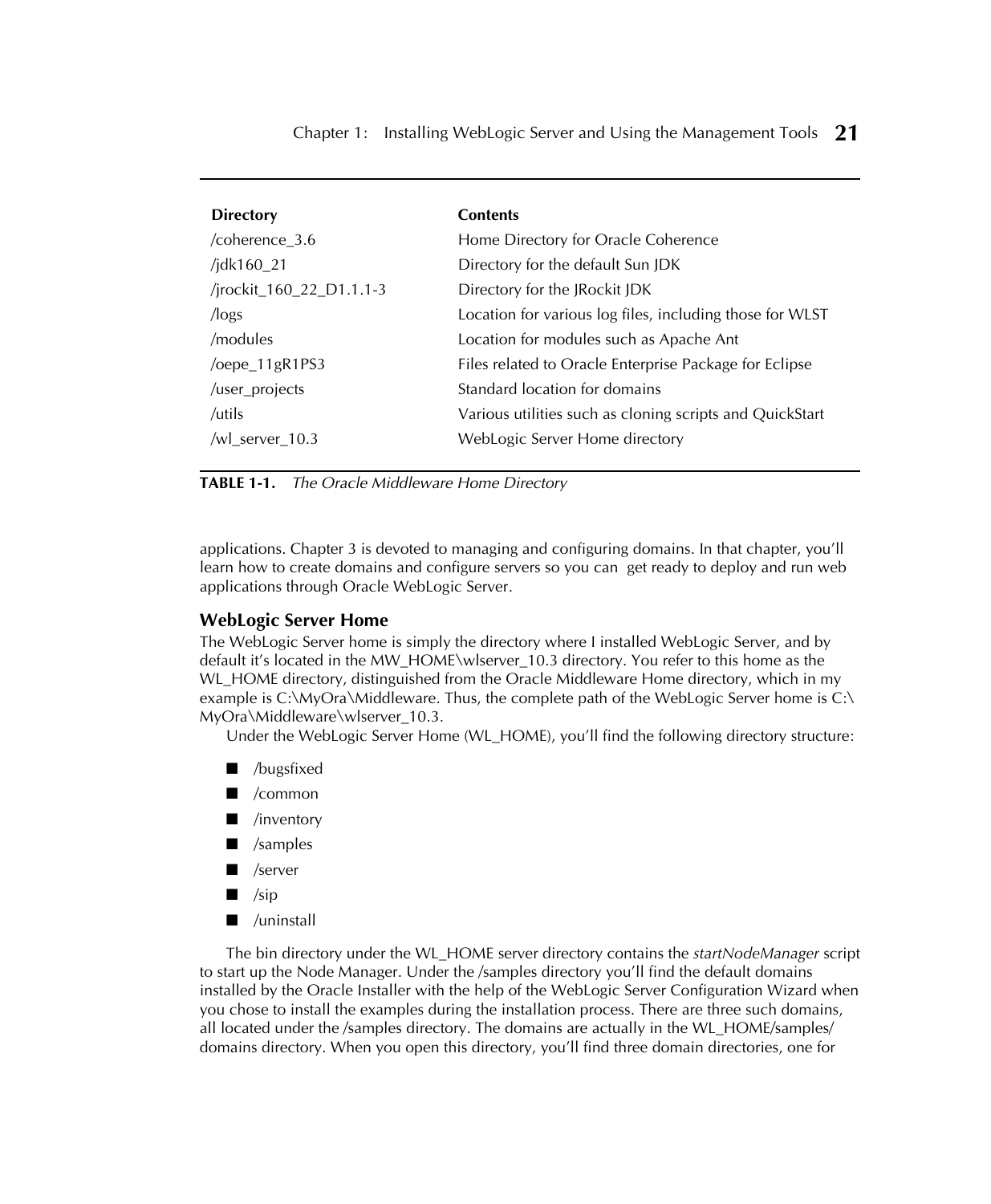| <b>Directory</b>         | <b>Contents</b>                                          |
|--------------------------|----------------------------------------------------------|
| /coherence $3.6$         | Home Directory for Oracle Coherence                      |
| /jdk160_21               | Directory for the default Sun JDK                        |
| /jrockit_160_22_D1.1.1-3 | Directory for the JRockit JDK                            |
| $\log s$                 | Location for various log files, including those for WLST |
| /modules                 | Location for modules such as Apache Ant                  |
| /oepe_11gR1PS3           | Files related to Oracle Enterprise Package for Eclipse   |
| /user projects           | Standard location for domains                            |
| /utils                   | Various utilities such as cloning scripts and QuickStart |
| /wl server $10.3$        | WebLogic Server Home directory                           |

**TABLE 1-1.** The Oracle Middleware Home Directory

applications. Chapter 3 is devoted to managing and configuring domains. In that chapter, you'll learn how to create domains and configure servers so you can get ready to deploy and run web applications through Oracle WebLogic Server.

#### **WebLogic Server Home**

The WebLogic Server home is simply the directory where I installed WebLogic Server, and by default it's located in the MW\_HOME\wlserver\_10.3 directory. You refer to this home as the WL HOME directory, distinguished from the Oracle Middleware Home directory, which in my example is C:\MyOra\Middleware. Thus, the complete path of the WebLogic Server home is C:\ MyOra\Middleware\wlserver\_10.3.

Under the WebLogic Server Home (WL\_HOME), you'll find the following directory structure:

- /bugsfixed
- /common
- /inventory
- /samples
- /server
- /sip
- /uninstall

The bin directory under the WL\_HOME server directory contains the *startNodeManager* script to start up the Node Manager. Under the /samples directory you'll find the default domains installed by the Oracle Installer with the help of the WebLogic Server Configuration Wizard when you chose to install the examples during the installation process. There are three such domains, all located under the /samples directory. The domains are actually in the WL\_HOME/samples/ domains directory. When you open this directory, you'll find three domain directories, one for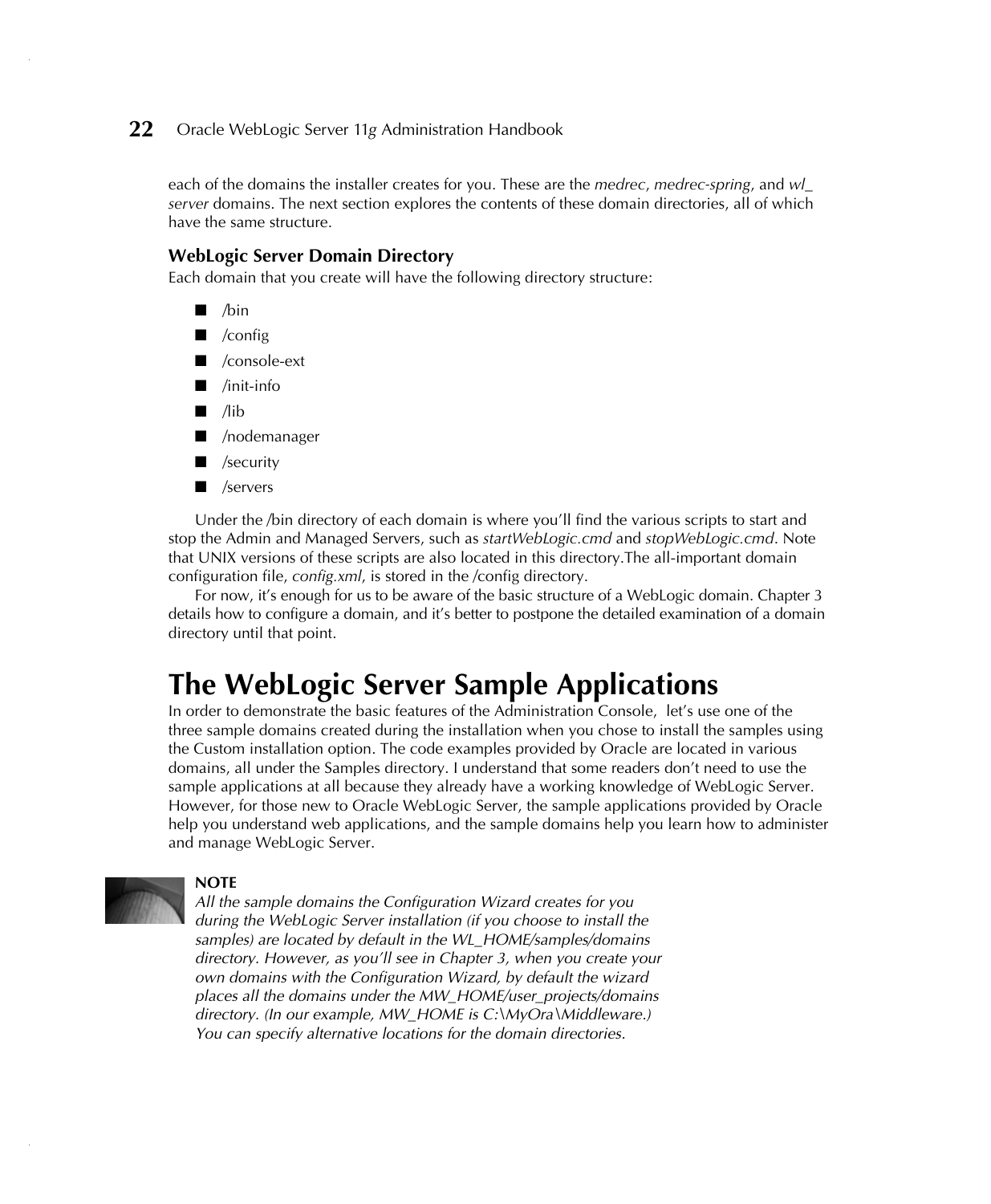each of the domains the installer creates for you. These are the *medrec*, *medrec-spring*, and *wl\_ server* domains. The next section explores the contents of these domain directories, all of which have the same structure.

#### **WebLogic Server Domain Directory**

Each domain that you create will have the following directory structure:

- /bin
- /config
- /console-ext
- /init-info
- /lib
- /nodemanager
- /security
- /servers

Under the /bin directory of each domain is where you'll find the various scripts to start and stop the Admin and Managed Servers, such as *startWebLogic.cmd* and *stopWebLogic.cmd*. Note that UNIX versions of these scripts are also located in this directory.The all-important domain configuration file, *config.xml*, is stored in the /config directory.

For now, it's enough for us to be aware of the basic structure of a WebLogic domain. Chapter 3 details how to configure a domain, and it's better to postpone the detailed examination of a domain directory until that point.

## **The WebLogic Server Sample Applications**

In order to demonstrate the basic features of the Administration Console, let's use one of the three sample domains created during the installation when you chose to install the samples using the Custom installation option. The code examples provided by Oracle are located in various domains, all under the Samples directory. I understand that some readers don't need to use the sample applications at all because they already have a working knowledge of WebLogic Server. However, for those new to Oracle WebLogic Server, the sample applications provided by Oracle help you understand web applications, and the sample domains help you learn how to administer and manage WebLogic Server.



#### **NOTE**

All the sample domains the Configuration Wizard creates for you during the WebLogic Server installation (if you choose to install the samples) are located by default in the WL\_HOME/samples/domains directory. However, as you'll see in Chapter 3, when you create your own domains with the Configuration Wizard, by default the wizard places all the domains under the MW\_HOME/user\_projects/domains directory. (In our example, MW HOME is C:\MyOra\Middleware.) You can specify alternative locations for the domain directories.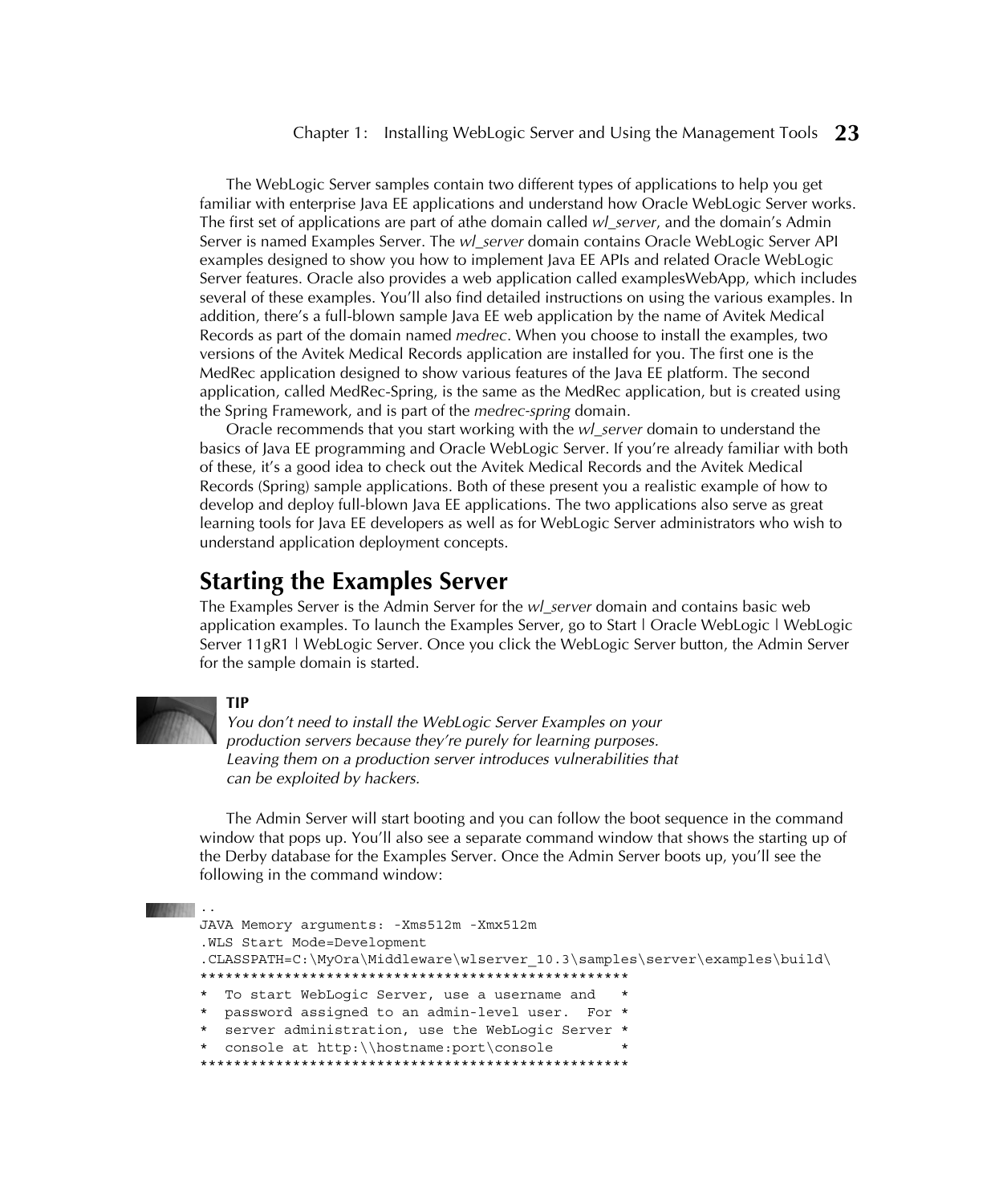The WebLogic Server samples contain two different types of applications to help you get familiar with enterprise Java EE applications and understand how Oracle WebLogic Server works. The first set of applications are part of athe domain called *wl\_server*, and the domain's Admin Server is named Examples Server. The *wl\_server* domain contains Oracle WebLogic Server API examples designed to show you how to implement Java EE APIs and related Oracle WebLogic Server features. Oracle also provides a web application called examplesWebApp, which includes several of these examples. You'll also find detailed instructions on using the various examples. In addition, there's a full-blown sample Java EE web application by the name of Avitek Medical Records as part of the domain named *medrec*. When you choose to install the examples, two versions of the Avitek Medical Records application are installed for you. The first one is the MedRec application designed to show various features of the Java EE platform. The second application, called MedRec-Spring, is the same as the MedRec application, but is created using the Spring Framework, and is part of the *medrec-spring* domain.

Oracle recommends that you start working with the *wl\_server* domain to understand the basics of Java EE programming and Oracle WebLogic Server. If you're already familiar with both of these, it's a good idea to check out the Avitek Medical Records and the Avitek Medical Records (Spring) sample applications. Both of these present you a realistic example of how to develop and deploy full-blown Java EE applications. The two applications also serve as great learning tools for Java EE developers as well as for WebLogic Server administrators who wish to understand application deployment concepts.

### **Starting the Examples Server**

The Examples Server is the Admin Server for the *wl\_server* domain and contains basic web application examples. To launch the Examples Server, go to Start | Oracle WebLogic | WebLogic Server 11gR1 | WebLogic Server. Once you click the WebLogic Server button, the Admin Server for the sample domain is started.



#### **TIp**

You don't need to install the WebLogic Server Examples on your production servers because they're purely for learning purposes. Leaving them on a production server introduces vulnerabilities that can be exploited by hackers.

The Admin Server will start booting and you can follow the boot sequence in the command window that pops up. You'll also see a separate command window that shows the starting up of the Derby database for the Examples Server. Once the Admin Server boots up, you'll see the following in the command window:

```
.. 
     JAVA Memory arguments: -Xms512m -Xmx512m 
      .WLS Start Mode=Development 
      .CLASSPATH=C:\MyOra\Middleware\wlserver_10.3\samples\server\examples\build\ 
      *************************************************** 
        To start WebLogic Server, use a username and
        password assigned to an admin-level user. For *
        server administration, use the WebLogic Server *
       console at http:\\hostname:port\console
      ***************************************************
```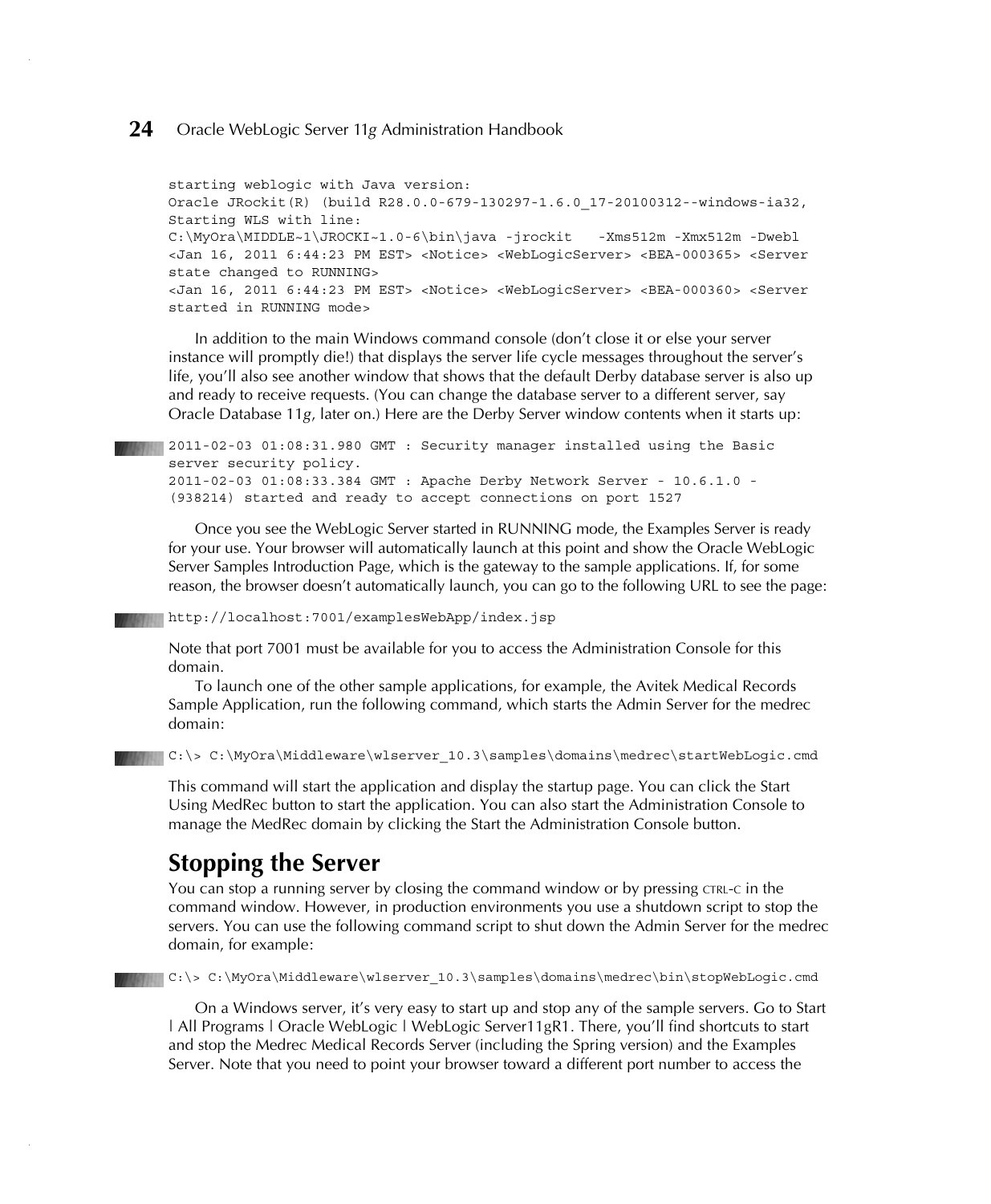```
starting weblogic with Java version: 
Oracle JRockit(R) (build R28.0.0-679-130297-1.6.0_17-20100312--windows-ia32, 
Starting WLS with line: 
C:\MyOra\MIDDLE~1\JROCKI~1.0-6\bin\java -jrockit -Xms512m -Xmx512m -Dwebl 
<Jan 16, 2011 6:44:23 PM EST> <Notice> <WebLogicServer> <BEA-000365> <Server 
state changed to RUNNING> 
<Jan 16, 2011 6:44:23 PM EST> <Notice> <WebLogicServer> <BEA-000360> <Server 
started in RUNNING mode>
```
In addition to the main Windows command console (don't close it or else your server instance will promptly die!) that displays the server life cycle messages throughout the server's life, you'll also see another window that shows that the default Derby database server is also up and ready to receive requests. (You can change the database server to a different server, say Oracle Database 11*g*, later on.) Here are the Derby Server window contents when it starts up:

2011-02-03 01:08:31.980 GMT : Security manager installed using the Basic server security policy. 2011-02-03 01:08:33.384 GMT : Apache Derby Network Server - 10.6.1.0 - (938214) started and ready to accept connections on port 1527

Once you see the WebLogic Server started in RUNNING mode, the Examples Server is ready for your use. Your browser will automatically launch at this point and show the Oracle WebLogic Server Samples Introduction Page, which is the gateway to the sample applications. If, for some reason, the browser doesn't automatically launch, you can go to the following URL to see the page:

http://localhost:7001/examplesWebApp/index.jsp

Note that port 7001 must be available for you to access the Administration Console for this domain.

To launch one of the other sample applications, for example, the Avitek Medical Records Sample Application, run the following command, which starts the Admin Server for the medrec domain:

C:\> C:\MyOra\Middleware\wlserver\_10.3\samples\domains\medrec\startWebLogic.cmd

This command will start the application and display the startup page. You can click the Start Using MedRec button to start the application. You can also start the Administration Console to manage the MedRec domain by clicking the Start the Administration Console button.

### **Stopping the Server**

You can stop a running server by closing the command window or by pressing  $crnc$  in the command window. However, in production environments you use a shutdown script to stop the servers. You can use the following command script to shut down the Admin Server for the medrec domain, for example:

C:\> C:\MyOra\Middleware\wlserver\_10.3\samples\domains\medrec\bin\stopWebLogic.cmd

On a Windows server, it's very easy to start up and stop any of the sample servers. Go to Start | All Programs | Oracle WebLogic | WebLogic Server11gR1. There, you'll find shortcuts to start and stop the Medrec Medical Records Server (including the Spring version) and the Examples Server. Note that you need to point your browser toward a different port number to access the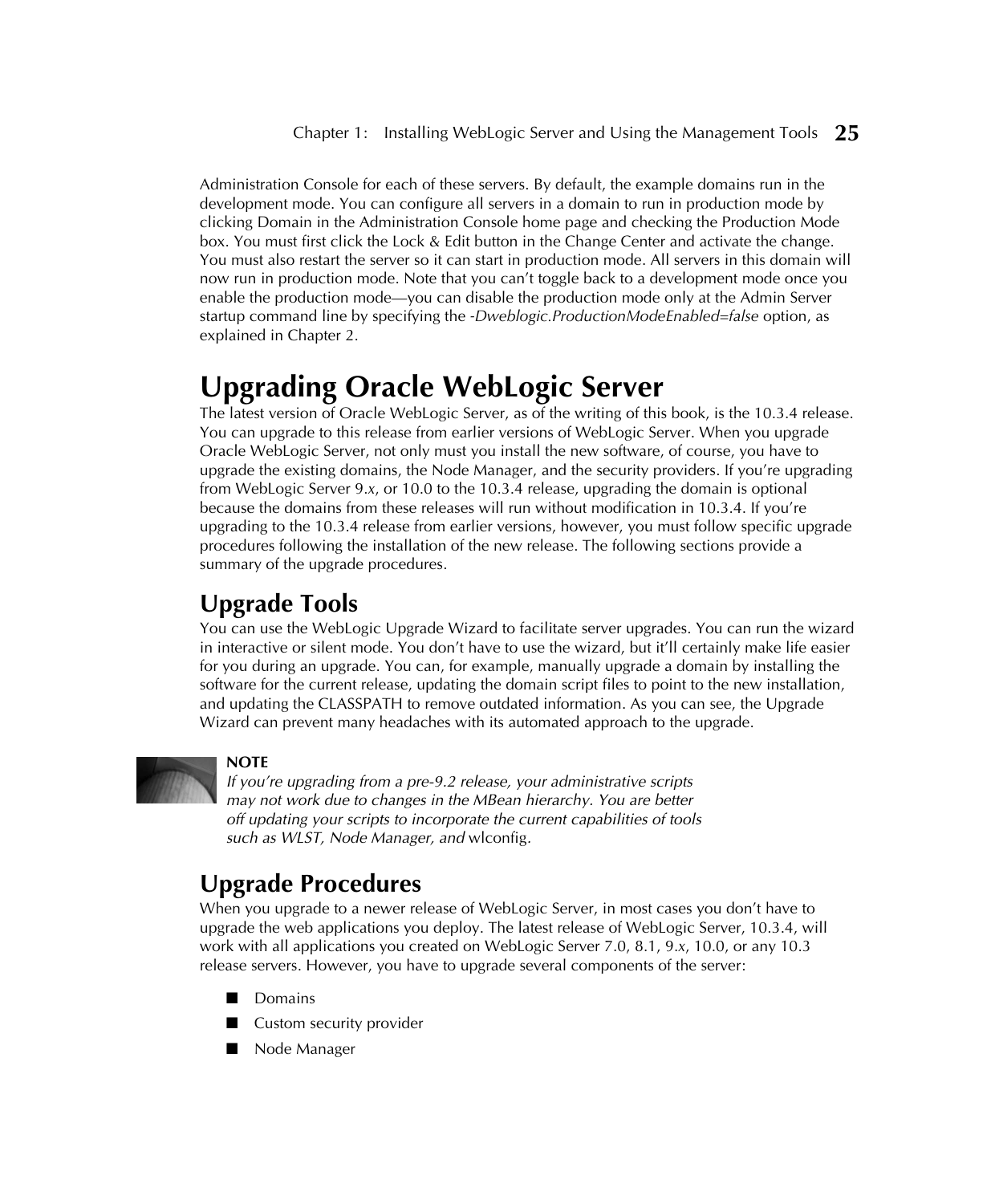Administration Console for each of these servers. By default, the example domains run in the development mode. You can configure all servers in a domain to run in production mode by clicking Domain in the Administration Console home page and checking the Production Mode box. You must first click the Lock & Edit button in the Change Center and activate the change. You must also restart the server so it can start in production mode. All servers in this domain will now run in production mode. Note that you can't toggle back to a development mode once you enable the production mode—you can disable the production mode only at the Admin Server startup command line by specifying the *-Dweblogic.ProductionModeEnabled=false* option, as explained in Chapter 2.

## **Upgrading Oracle WebLogic Server**

The latest version of Oracle WebLogic Server, as of the writing of this book, is the 10.3.4 release. You can upgrade to this release from earlier versions of WebLogic Server. When you upgrade Oracle WebLogic Server, not only must you install the new software, of course, you have to upgrade the existing domains, the Node Manager, and the security providers. If you're upgrading from WebLogic Server 9.*x*, or 10.0 to the 10.3.4 release, upgrading the domain is optional because the domains from these releases will run without modification in 10.3.4. If you're upgrading to the 10.3.4 release from earlier versions, however, you must follow specific upgrade procedures following the installation of the new release. The following sections provide a summary of the upgrade procedures.

### **Upgrade Tools**

You can use the WebLogic Upgrade Wizard to facilitate server upgrades. You can run the wizard in interactive or silent mode. You don't have to use the wizard, but it'll certainly make life easier for you during an upgrade. You can, for example, manually upgrade a domain by installing the software for the current release, updating the domain script files to point to the new installation, and updating the CLASSPATH to remove outdated information. As you can see, the Upgrade Wizard can prevent many headaches with its automated approach to the upgrade.



#### **NOTE**

If you're upgrading from a pre-9.2 release, your administrative scripts may not work due to changes in the MBean hierarchy. You are better off updating your scripts to incorporate the current capabilities of tools such as WLST, Node Manager, and wlconfig.

### **Upgrade procedures**

When you upgrade to a newer release of WebLogic Server, in most cases you don't have to upgrade the web applications you deploy. The latest release of WebLogic Server, 10.3.4, will work with all applications you created on WebLogic Server 7.0, 8.1, 9.*x*, 10.0, or any 10.3 release servers. However, you have to upgrade several components of the server:

- Domains
- Custom security provider
- Node Manager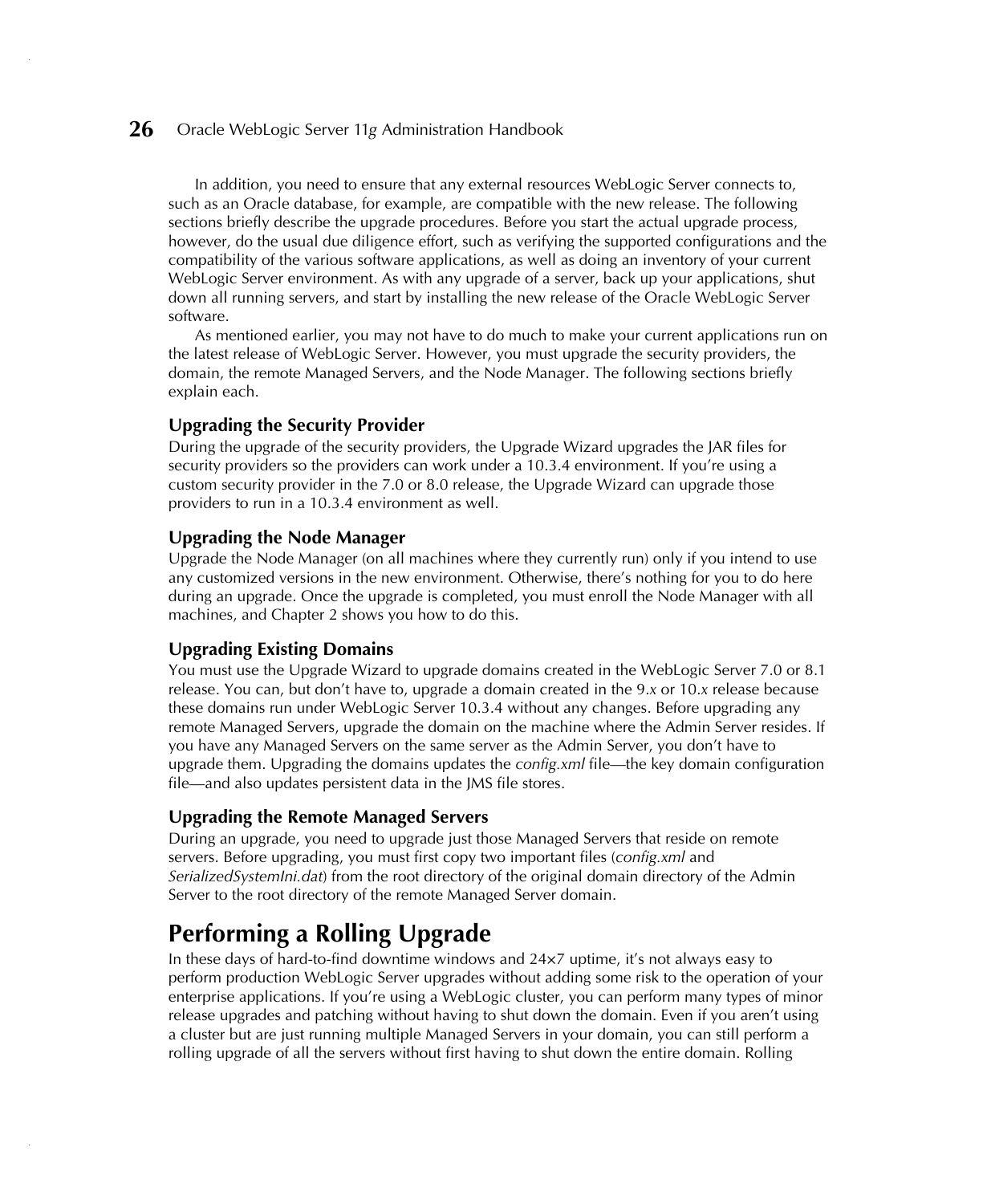In addition, you need to ensure that any external resources WebLogic Server connects to, such as an Oracle database, for example, are compatible with the new release. The following sections briefly describe the upgrade procedures. Before you start the actual upgrade process, however, do the usual due diligence effort, such as verifying the supported configurations and the compatibility of the various software applications, as well as doing an inventory of your current WebLogic Server environment. As with any upgrade of a server, back up your applications, shut down all running servers, and start by installing the new release of the Oracle WebLogic Server software.

As mentioned earlier, you may not have to do much to make your current applications run on the latest release of WebLogic Server. However, you must upgrade the security providers, the domain, the remote Managed Servers, and the Node Manager. The following sections briefly explain each.

#### **Upgrading the Security provider**

During the upgrade of the security providers, the Upgrade Wizard upgrades the JAR files for security providers so the providers can work under a 10.3.4 environment. If you're using a custom security provider in the 7.0 or 8.0 release, the Upgrade Wizard can upgrade those providers to run in a 10.3.4 environment as well.

#### **Upgrading the Node Manager**

Upgrade the Node Manager (on all machines where they currently run) only if you intend to use any customized versions in the new environment. Otherwise, there's nothing for you to do here during an upgrade. Once the upgrade is completed, you must enroll the Node Manager with all machines, and Chapter 2 shows you how to do this.

#### **Upgrading Existing Domains**

You must use the Upgrade Wizard to upgrade domains created in the WebLogic Server 7.0 or 8.1 release. You can, but don't have to, upgrade a domain created in the 9.*x* or 10.*x* release because these domains run under WebLogic Server 10.3.4 without any changes. Before upgrading any remote Managed Servers, upgrade the domain on the machine where the Admin Server resides. If you have any Managed Servers on the same server as the Admin Server, you don't have to upgrade them. Upgrading the domains updates the *config.xml* file—the key domain configuration file—and also updates persistent data in the JMS file stores.

#### **Upgrading the Remote Managed Servers**

During an upgrade, you need to upgrade just those Managed Servers that reside on remote servers. Before upgrading, you must first copy two important files (*config.xml* and *SerializedSystemIni.dat*) from the root directory of the original domain directory of the Admin Server to the root directory of the remote Managed Server domain.

### **performing a Rolling Upgrade**

In these days of hard-to-find downtime windows and 24×7 uptime, it's not always easy to perform production WebLogic Server upgrades without adding some risk to the operation of your enterprise applications. If you're using a WebLogic cluster, you can perform many types of minor release upgrades and patching without having to shut down the domain. Even if you aren't using a cluster but are just running multiple Managed Servers in your domain, you can still perform a rolling upgrade of all the servers without first having to shut down the entire domain. Rolling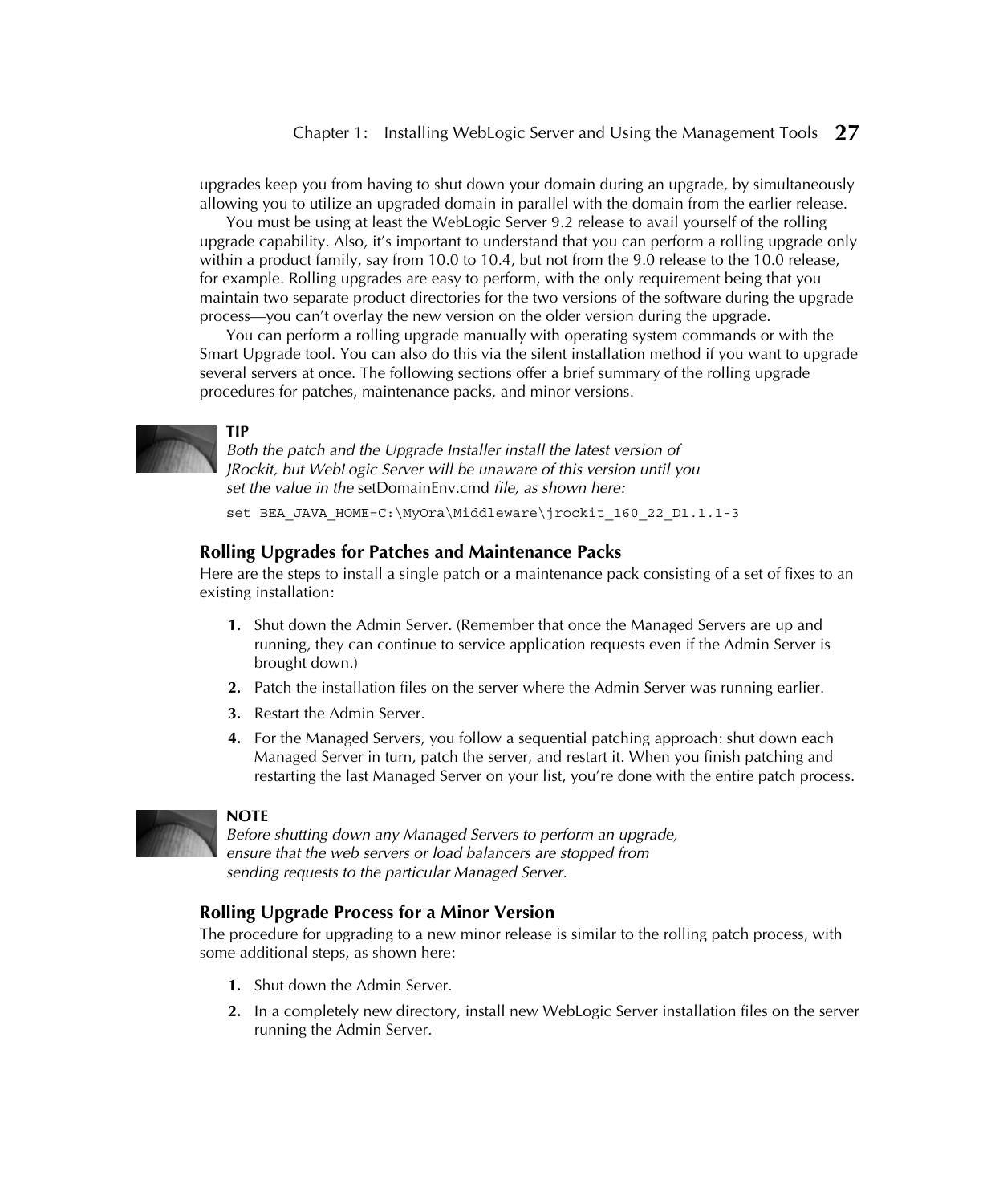upgrades keep you from having to shut down your domain during an upgrade, by simultaneously allowing you to utilize an upgraded domain in parallel with the domain from the earlier release.

You must be using at least the WebLogic Server 9.2 release to avail yourself of the rolling upgrade capability. Also, it's important to understand that you can perform a rolling upgrade only within a product family, say from 10.0 to 10.4, but not from the 9.0 release to the 10.0 release, for example. Rolling upgrades are easy to perform, with the only requirement being that you maintain two separate product directories for the two versions of the software during the upgrade process—you can't overlay the new version on the older version during the upgrade.

You can perform a rolling upgrade manually with operating system commands or with the Smart Upgrade tool. You can also do this via the silent installation method if you want to upgrade several servers at once. The following sections offer a brief summary of the rolling upgrade procedures for patches, maintenance packs, and minor versions.



#### **TIp**

Both the patch and the Upgrade Installer install the latest version of JRockit, but WebLogic Server will be unaware of this version until you set the value in the setDomainEnv.cmd file, as shown here:

set BEA JAVA HOME=C:\MyOra\Middleware\jrockit 160 22 D1.1.1-3

#### **Rolling Upgrades for patches and Maintenance packs**

Here are the steps to install a single patch or a maintenance pack consisting of a set of fixes to an existing installation:

- **1.** Shut down the Admin Server. (Remember that once the Managed Servers are up and running, they can continue to service application requests even if the Admin Server is brought down.)
- **2.** Patch the installation files on the server where the Admin Server was running earlier.
- **3.** Restart the Admin Server.
- **4.** For the Managed Servers, you follow a sequential patching approach: shut down each Managed Server in turn, patch the server, and restart it. When you finish patching and restarting the last Managed Server on your list, you're done with the entire patch process.



#### **NOTE**

Before shutting down any Managed Servers to perform an upgrade, ensure that the web servers or load balancers are stopped from sending requests to the particular Managed Server.

#### **Rolling Upgrade process for a Minor Version**

The procedure for upgrading to a new minor release is similar to the rolling patch process, with some additional steps, as shown here:

- **1.** Shut down the Admin Server.
- **2.** In a completely new directory, install new WebLogic Server installation files on the server running the Admin Server.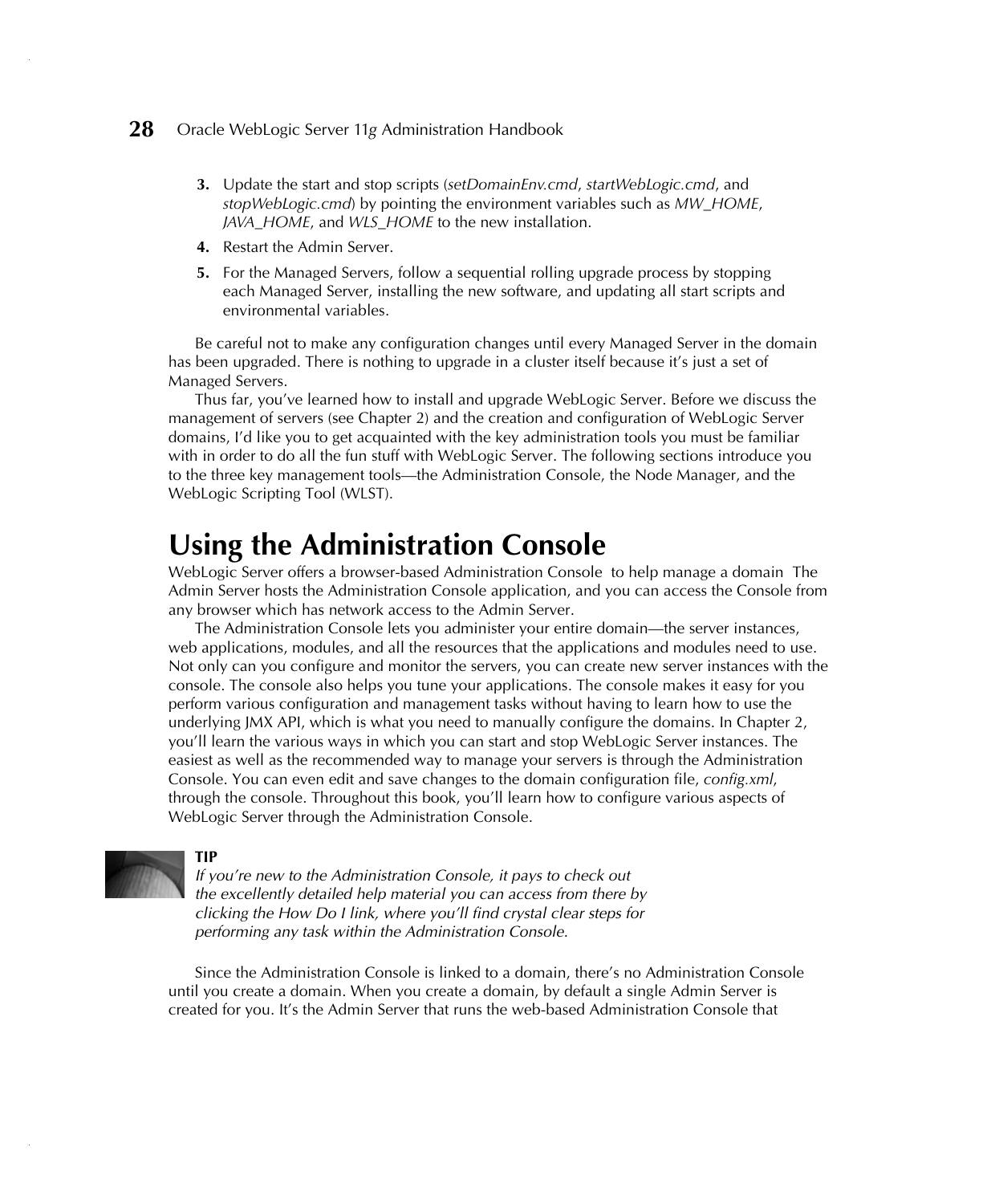- **3.** Update the start and stop scripts (*setDomainEnv.cmd*, *startWebLogic.cmd*, and *stopWebLogic.cmd*) by pointing the environment variables such as *MW\_HOME*, *JAVA\_HOME*, and *WLS\_HOME* to the new installation.
- **4.** Restart the Admin Server.
- **5.** For the Managed Servers, follow a sequential rolling upgrade process by stopping each Managed Server, installing the new software, and updating all start scripts and environmental variables.

Be careful not to make any configuration changes until every Managed Server in the domain has been upgraded. There is nothing to upgrade in a cluster itself because it's just a set of Managed Servers.

Thus far, you've learned how to install and upgrade WebLogic Server. Before we discuss the management of servers (see Chapter 2) and the creation and configuration of WebLogic Server domains, I'd like you to get acquainted with the key administration tools you must be familiar with in order to do all the fun stuff with WebLogic Server. The following sections introduce you to the three key management tools—the Administration Console, the Node Manager, and the WebLogic Scripting Tool (WLST).

### **Using the Administration Console**

WebLogic Server offers a browser-based Administration Console to help manage a domain The Admin Server hosts the Administration Console application, and you can access the Console from any browser which has network access to the Admin Server.

The Administration Console lets you administer your entire domain—the server instances, web applications, modules, and all the resources that the applications and modules need to use. Not only can you configure and monitor the servers, you can create new server instances with the console. The console also helps you tune your applications. The console makes it easy for you perform various configuration and management tasks without having to learn how to use the underlying JMX API, which is what you need to manually configure the domains. In Chapter 2, you'll learn the various ways in which you can start and stop WebLogic Server instances. The easiest as well as the recommended way to manage your servers is through the Administration Console. You can even edit and save changes to the domain configuration file, *config.xml*, through the console. Throughout this book, you'll learn how to configure various aspects of WebLogic Server through the Administration Console.

**TIp**

If you're new to the Administration Console, it pays to check out the excellently detailed help material you can access from there by clicking the How Do I link, where you'll find crystal clear steps for performing any task within the Administration Console.

Since the Administration Console is linked to a domain, there's no Administration Console until you create a domain. When you create a domain, by default a single Admin Server is created for you. It's the Admin Server that runs the web-based Administration Console that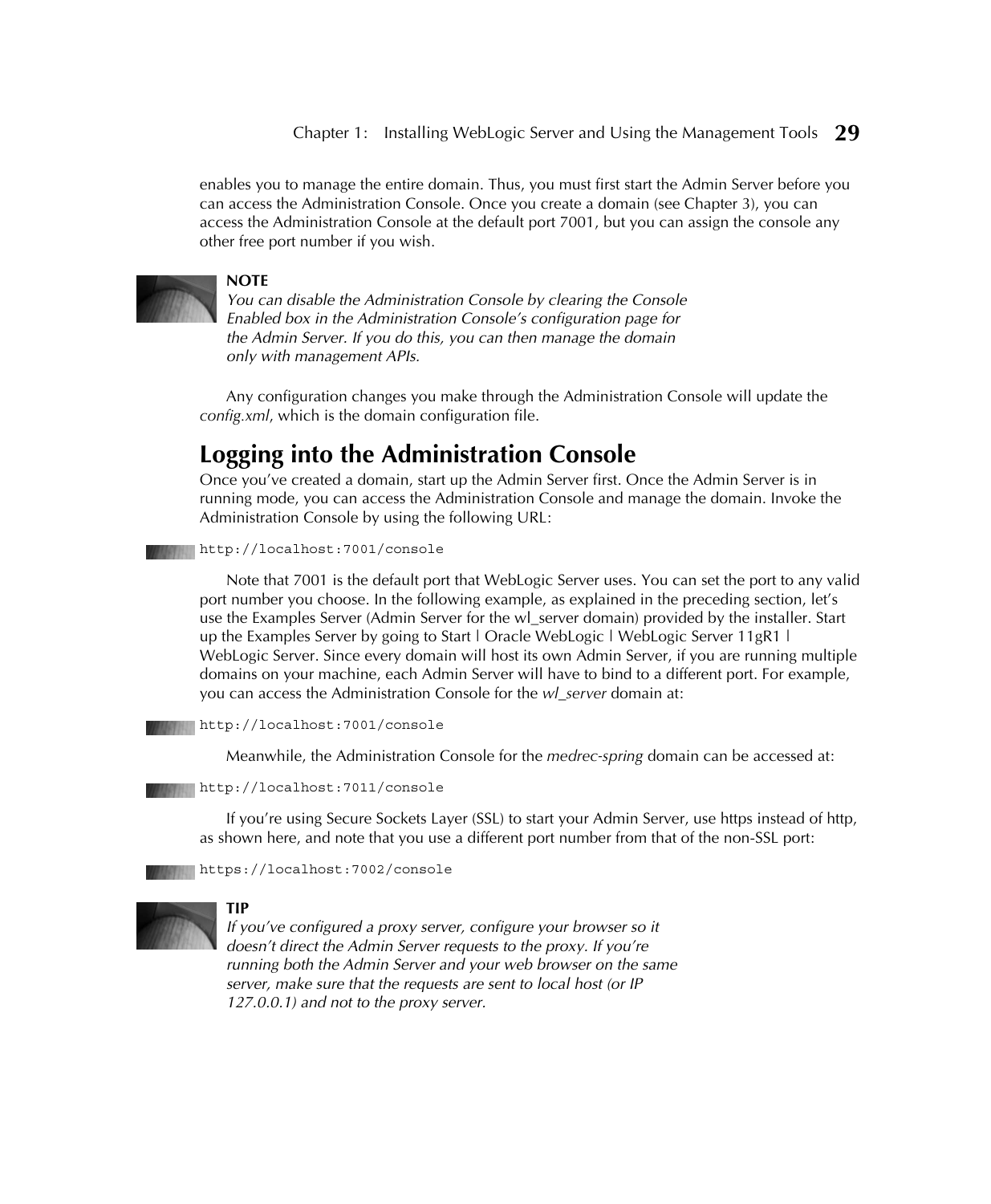enables you to manage the entire domain. Thus, you must first start the Admin Server before you can access the Administration Console. Once you create a domain (see Chapter 3), you can access the Administration Console at the default port 7001, but you can assign the console any other free port number if you wish.



#### **NOTE**

You can disable the Administration Console by clearing the Console Enabled box in the Administration Console's configuration page for the Admin Server. If you do this, you can then manage the domain only with management APIs.

Any configuration changes you make through the Administration Console will update the *config.xml*, which is the domain configuration file.

### **Logging into the Administration Console**

Once you've created a domain, start up the Admin Server first. Once the Admin Server is in running mode, you can access the Administration Console and manage the domain. Invoke the Administration Console by using the following URL:

#### http://localhost:7001/console

Note that 7001 is the default port that WebLogic Server uses. You can set the port to any valid port number you choose. In the following example, as explained in the preceding section, let's use the Examples Server (Admin Server for the wl\_server domain) provided by the installer. Start up the Examples Server by going to Start | Oracle WebLogic | WebLogic Server 11gR1 | WebLogic Server. Since every domain will host its own Admin Server, if you are running multiple domains on your machine, each Admin Server will have to bind to a different port. For example, you can access the Administration Console for the *wl\_server* domain at:

http://localhost:7001/console

Meanwhile, the Administration Console for the *medrec-spring* domain can be accessed at:

#### http://localhost:7011/console

If you're using Secure Sockets Layer (SSL) to start your Admin Server, use https instead of http, as shown here, and note that you use a different port number from that of the non-SSL port:

https://localhost:7002/console



#### **TIp**

If you've configured a proxy server, configure your browser so it doesn't direct the Admin Server requests to the proxy. If you're running both the Admin Server and your web browser on the same server, make sure that the requests are sent to local host (or IP 127.0.0.1) and not to the proxy server.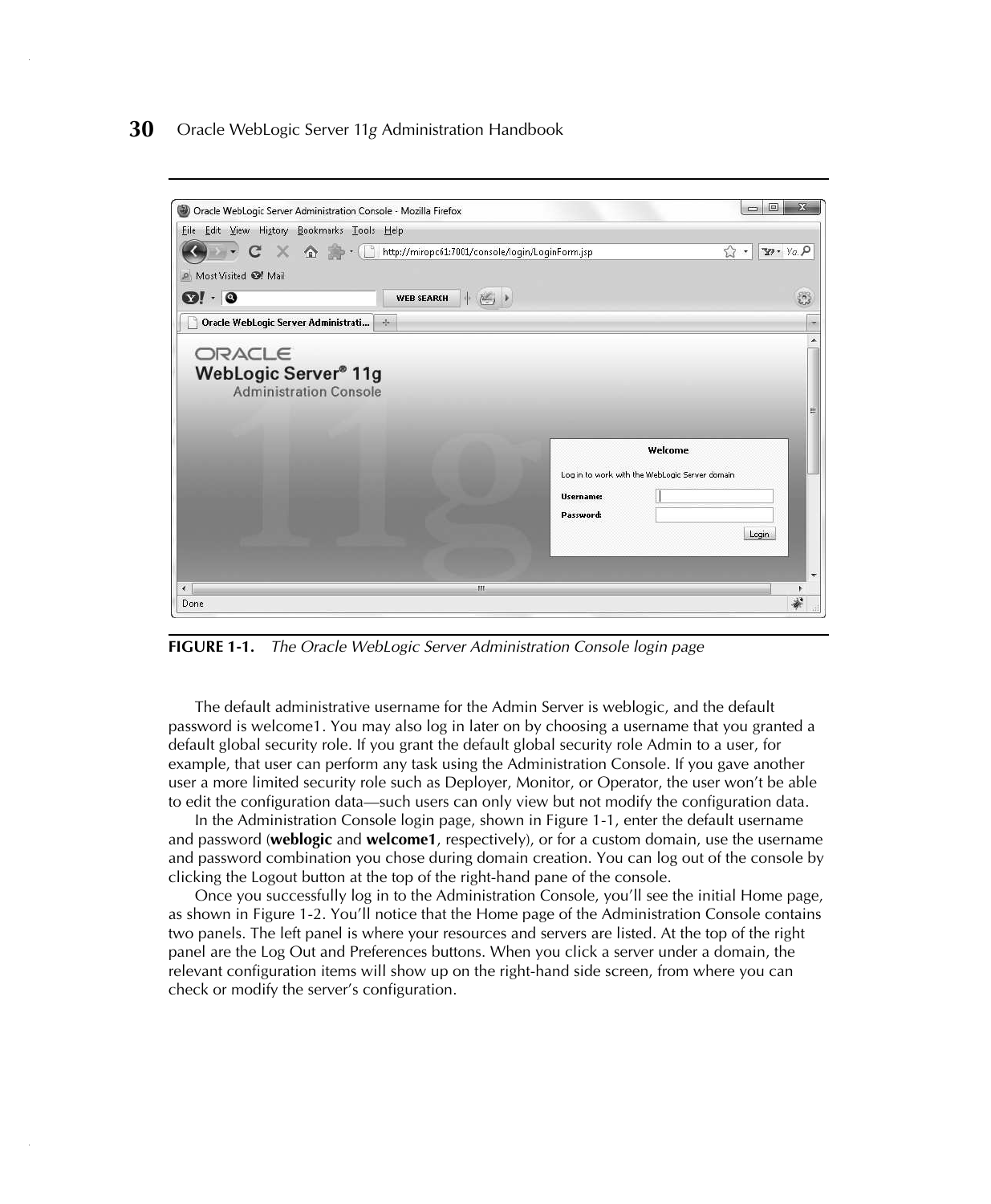

**FIGURE 1-1.** The Oracle WebLogic Server Administration Console login page

The default administrative username for the Admin Server is weblogic, and the default password is welcome1. You may also log in later on by choosing a username that you granted a default global security role. If you grant the default global security role Admin to a user, for example, that user can perform any task using the Administration Console. If you gave another user a more limited security role such as Deployer, Monitor, or Operator, the user won't be able to edit the configuration data—such users can only view but not modify the configuration data.

In the Administration Console login page, shown in Figure 1-1, enter the default username and password (**weblogic** and **welcome1**, respectively), or for a custom domain, use the username and password combination you chose during domain creation. You can log out of the console by clicking the Logout button at the top of the right-hand pane of the console.

Once you successfully log in to the Administration Console, you'll see the initial Home page, as shown in Figure 1-2. You'll notice that the Home page of the Administration Console contains two panels. The left panel is where your resources and servers are listed. At the top of the right panel are the Log Out and Preferences buttons. When you click a server under a domain, the relevant configuration items will show up on the right-hand side screen, from where you can check or modify the server's configuration.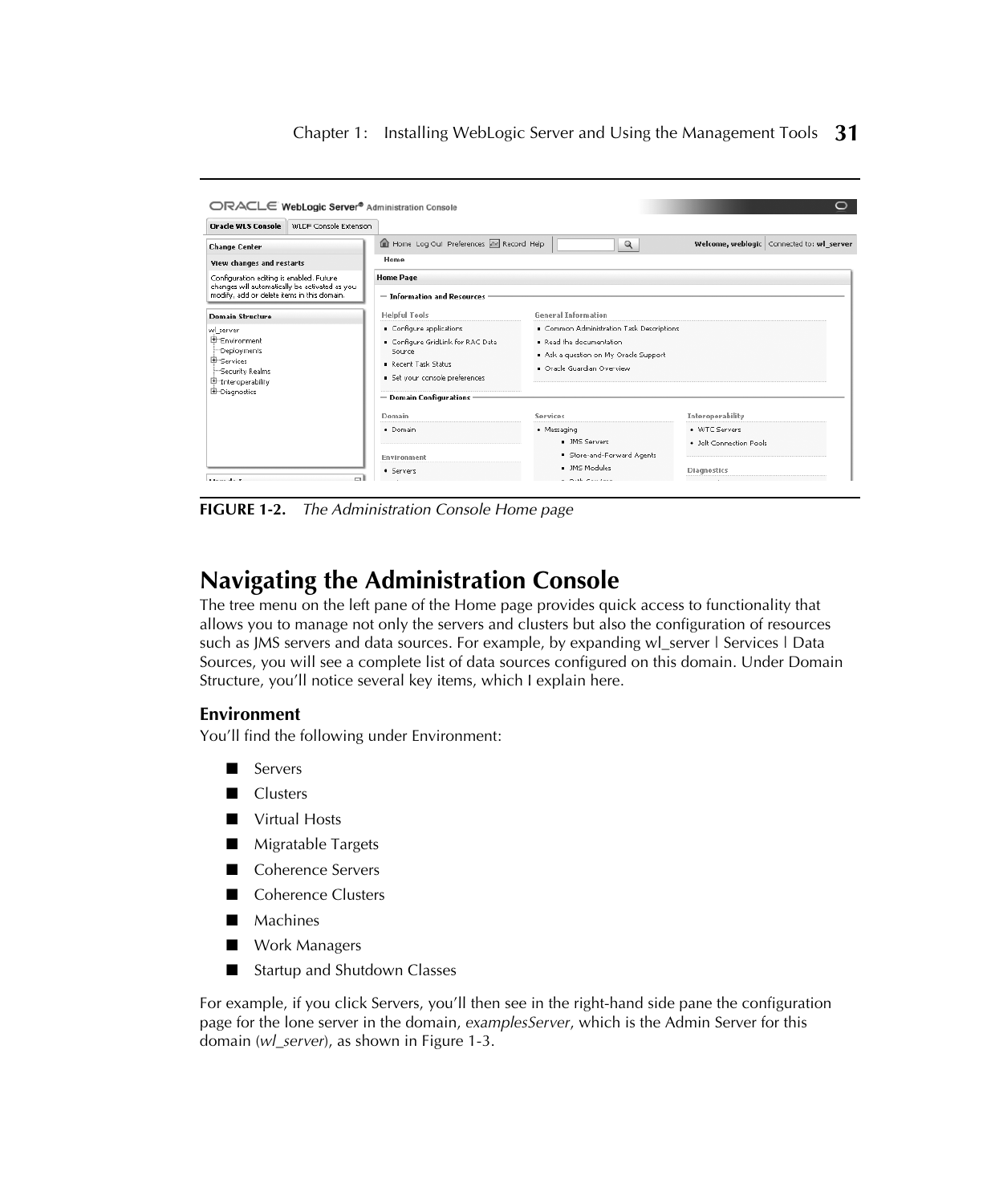| <b>Oracle WLS Console</b>                                                                                                                                              | WLDE Console Extension |                                                                                       |                            |                                             |  |  |  |                         |  |                        |                                         |  |
|------------------------------------------------------------------------------------------------------------------------------------------------------------------------|------------------------|---------------------------------------------------------------------------------------|----------------------------|---------------------------------------------|--|--|--|-------------------------|--|------------------------|-----------------------------------------|--|
| <b>Change Center</b>                                                                                                                                                   |                        | Home Log Out Preferences A Record Help                                                | $\mathbf{Q}$               | Welcome, weblogic   Connected to: wl_server |  |  |  |                         |  |                        |                                         |  |
| View changes and restarts<br>Configuration editing is enabled. Future<br>changes will automatically be activated as you<br>modify, add or delete items in this domain. |                        | Home<br><b>Home Page</b><br>- Information and Resources                               |                            |                                             |  |  |  |                         |  |                        |                                         |  |
|                                                                                                                                                                        |                        |                                                                                       |                            |                                             |  |  |  | <b>Domain Structure</b> |  | <b>Helpful Tools</b>   | <b>General Information</b>              |  |
|                                                                                                                                                                        |                        |                                                                                       |                            |                                             |  |  |  | wl server               |  | Configure applications | Common Administration Task Descriptions |  |
| E-Environment<br>-Deployments                                                                                                                                          |                        | Configure GridLink for RAC Data<br>Source                                             | Read the documentation     |                                             |  |  |  |                         |  |                        |                                         |  |
| El Services                                                                                                                                                            |                        | Ask a question on My Oracle Support<br>Recent Task Status<br>Oracle Guardian Overview |                            |                                             |  |  |  |                         |  |                        |                                         |  |
| -Security Realms<br>E Interoperability                                                                                                                                 |                        | Set your console preferences                                                          |                            |                                             |  |  |  |                         |  |                        |                                         |  |
| El-Diagnostics                                                                                                                                                         |                        | - Domain Configurations                                                               |                            |                                             |  |  |  |                         |  |                        |                                         |  |
|                                                                                                                                                                        |                        | Domain                                                                                | Services                   | <b>Interoperability</b>                     |  |  |  |                         |  |                        |                                         |  |
|                                                                                                                                                                        |                        | · Domain                                                                              | · Messaging                | · WTC Servers                               |  |  |  |                         |  |                        |                                         |  |
|                                                                                                                                                                        |                        |                                                                                       | <b>JMS</b> Servers         | · Jolt Connection Pools                     |  |  |  |                         |  |                        |                                         |  |
|                                                                                                                                                                        |                        | Environment                                                                           | ■ Store-and-Forward Agents |                                             |  |  |  |                         |  |                        |                                         |  |
|                                                                                                                                                                        |                        |                                                                                       | . JMS Modules              |                                             |  |  |  |                         |  |                        |                                         |  |

**FIGURE 1-2.** The Administration Console Home page

### **Navigating the Administration Console**

The tree menu on the left pane of the Home page provides quick access to functionality that allows you to manage not only the servers and clusters but also the configuration of resources such as JMS servers and data sources. For example, by expanding wl\_server | Services | Data Sources, you will see a complete list of data sources configured on this domain. Under Domain Structure, you'll notice several key items, which I explain here.

#### **Environment**

You'll find the following under Environment:

- Servers
- Clusters
- Virtual Hosts
- Migratable Targets
- Coherence Servers
- Coherence Clusters
- Machines
- Work Managers
- Startup and Shutdown Classes

For example, if you click Servers, you'll then see in the right-hand side pane the configuration page for the lone server in the domain, *examplesServer*, which is the Admin Server for this domain (*wl\_server*), as shown in Figure 1-3.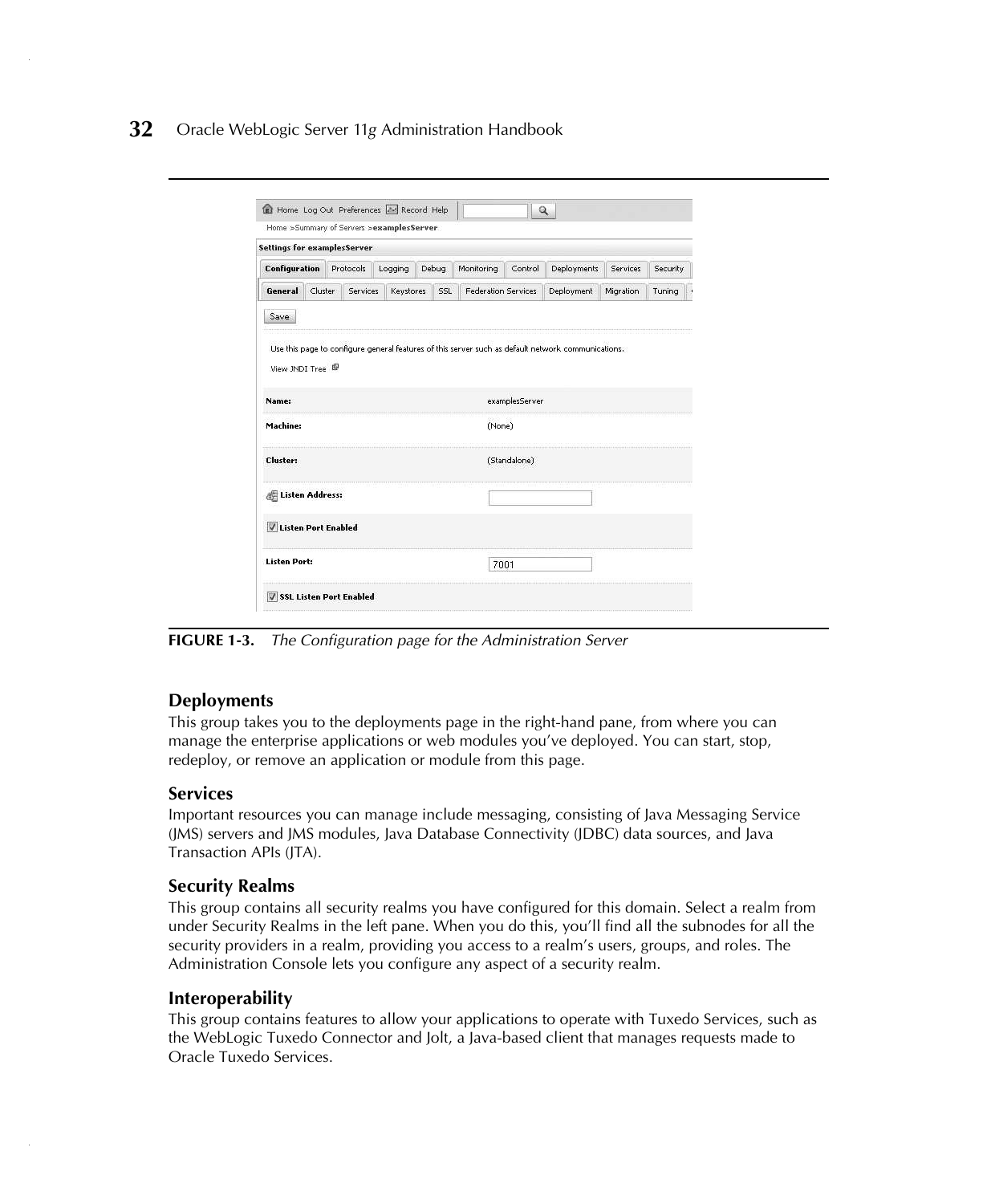| <b>Settings for examplesServer</b> |                             |           |           |       |                     |                |                                                                                                    |           |          |
|------------------------------------|-----------------------------|-----------|-----------|-------|---------------------|----------------|----------------------------------------------------------------------------------------------------|-----------|----------|
| <b>Configuration</b>               |                             | Protocols | Logging   | Debug | Monitoring          | Control        | Deployments                                                                                        | Services  | Security |
| General                            | Cluster                     | Services  | Keystores | SSL   | Federation Services |                | Deployment                                                                                         | Migration | Tuning   |
|                                    | View JNDI Tree <sup>@</sup> |           |           |       |                     |                | Use this page to configure general features of this server such as default network communications. |           |          |
| Name:                              |                             |           |           |       |                     | examplesServer |                                                                                                    |           |          |
|                                    |                             |           |           |       |                     |                |                                                                                                    |           |          |
| Machine:<br>Cluster:               |                             |           |           |       | (None)              | (Standalone)   |                                                                                                    |           |          |
| <b>E Listen Address:</b>           |                             |           |           |       |                     |                |                                                                                                    |           |          |
| Listen Port Enabled                |                             |           |           |       |                     |                |                                                                                                    |           |          |

**FIGURE 1-3.** The Configuration page for the Administration Server

#### **Deployments**

This group takes you to the deployments page in the right-hand pane, from where you can manage the enterprise applications or web modules you've deployed. You can start, stop, redeploy, or remove an application or module from this page.

#### **Services**

Important resources you can manage include messaging, consisting of Java Messaging Service (JMS) servers and JMS modules, Java Database Connectivity (JDBC) data sources, and Java Transaction APIs (JTA).

#### **Security Realms**

This group contains all security realms you have configured for this domain. Select a realm from under Security Realms in the left pane. When you do this, you'll find all the subnodes for all the security providers in a realm, providing you access to a realm's users, groups, and roles. The Administration Console lets you configure any aspect of a security realm.

#### **Interoperability**

This group contains features to allow your applications to operate with Tuxedo Services, such as the WebLogic Tuxedo Connector and Jolt, a Java-based client that manages requests made to Oracle Tuxedo Services.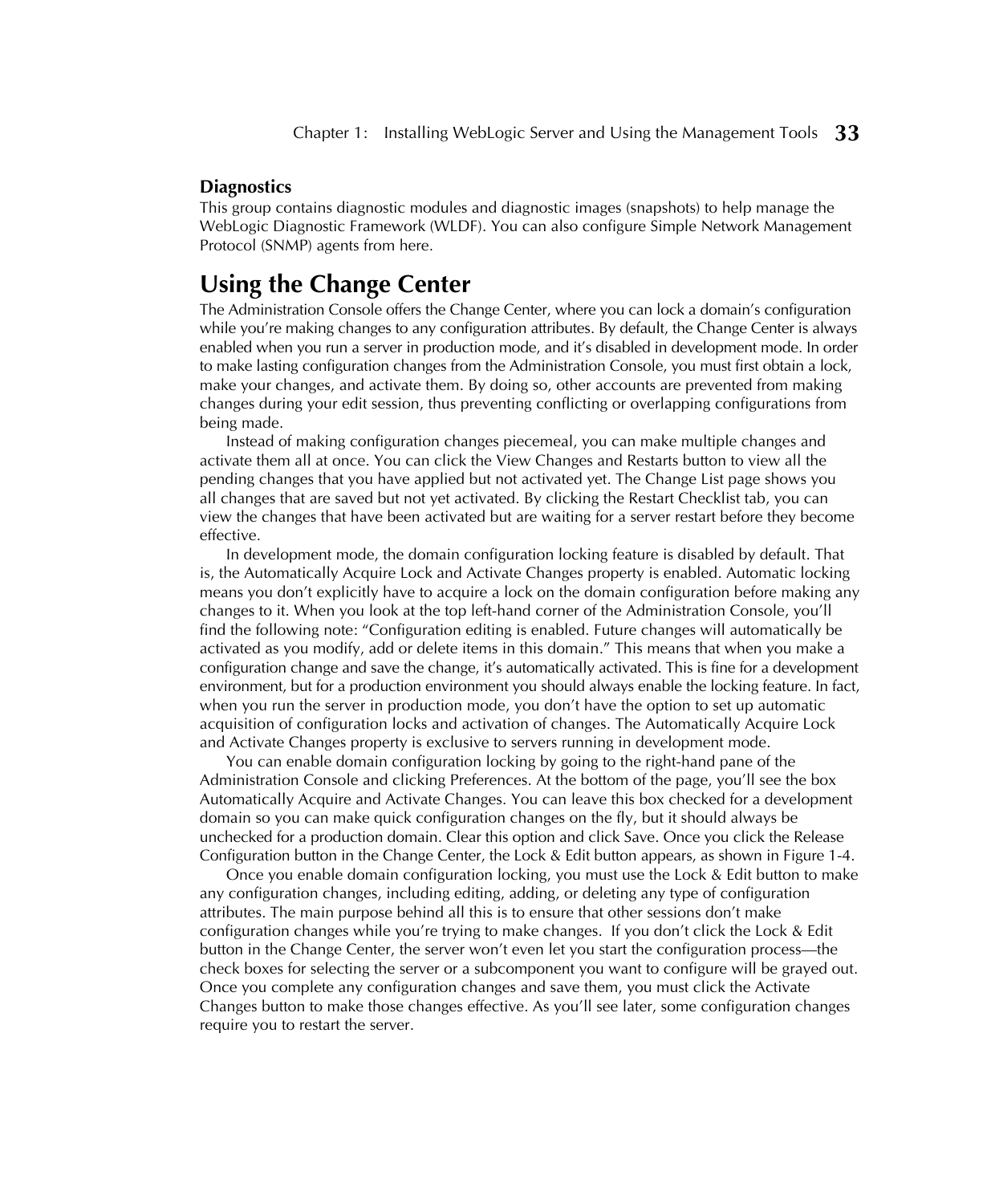#### **Diagnostics**

This group contains diagnostic modules and diagnostic images (snapshots) to help manage the WebLogic Diagnostic Framework (WLDF). You can also configure Simple Network Management Protocol (SNMP) agents from here.

### **Using the Change Center**

The Administration Console offers the Change Center, where you can lock a domain's configuration while you're making changes to any configuration attributes. By default, the Change Center is always enabled when you run a server in production mode, and it's disabled in development mode. In order to make lasting configuration changes from the Administration Console, you must first obtain a lock, make your changes, and activate them. By doing so, other accounts are prevented from making changes during your edit session, thus preventing conflicting or overlapping configurations from being made.

Instead of making configuration changes piecemeal, you can make multiple changes and activate them all at once. You can click the View Changes and Restarts button to view all the pending changes that you have applied but not activated yet. The Change List page shows you all changes that are saved but not yet activated. By clicking the Restart Checklist tab, you can view the changes that have been activated but are waiting for a server restart before they become effective.

In development mode, the domain configuration locking feature is disabled by default. That is, the Automatically Acquire Lock and Activate Changes property is enabled. Automatic locking means you don't explicitly have to acquire a lock on the domain configuration before making any changes to it. When you look at the top left-hand corner of the Administration Console, you'll find the following note: "Configuration editing is enabled. Future changes will automatically be activated as you modify, add or delete items in this domain." This means that when you make a configuration change and save the change, it's automatically activated. This is fine for a development environment, but for a production environment you should always enable the locking feature. In fact, when you run the server in production mode, you don't have the option to set up automatic acquisition of configuration locks and activation of changes. The Automatically Acquire Lock and Activate Changes property is exclusive to servers running in development mode.

You can enable domain configuration locking by going to the right-hand pane of the Administration Console and clicking Preferences. At the bottom of the page, you'll see the box Automatically Acquire and Activate Changes. You can leave this box checked for a development domain so you can make quick configuration changes on the fly, but it should always be unchecked for a production domain. Clear this option and click Save. Once you click the Release Configuration button in the Change Center, the Lock & Edit button appears, as shown in Figure 1-4.

Once you enable domain configuration locking, you must use the Lock & Edit button to make any configuration changes, including editing, adding, or deleting any type of configuration attributes. The main purpose behind all this is to ensure that other sessions don't make configuration changes while you're trying to make changes. If you don't click the Lock & Edit button in the Change Center, the server won't even let you start the configuration process—the check boxes for selecting the server or a subcomponent you want to configure will be grayed out. Once you complete any configuration changes and save them, you must click the Activate Changes button to make those changes effective. As you'll see later, some configuration changes require you to restart the server.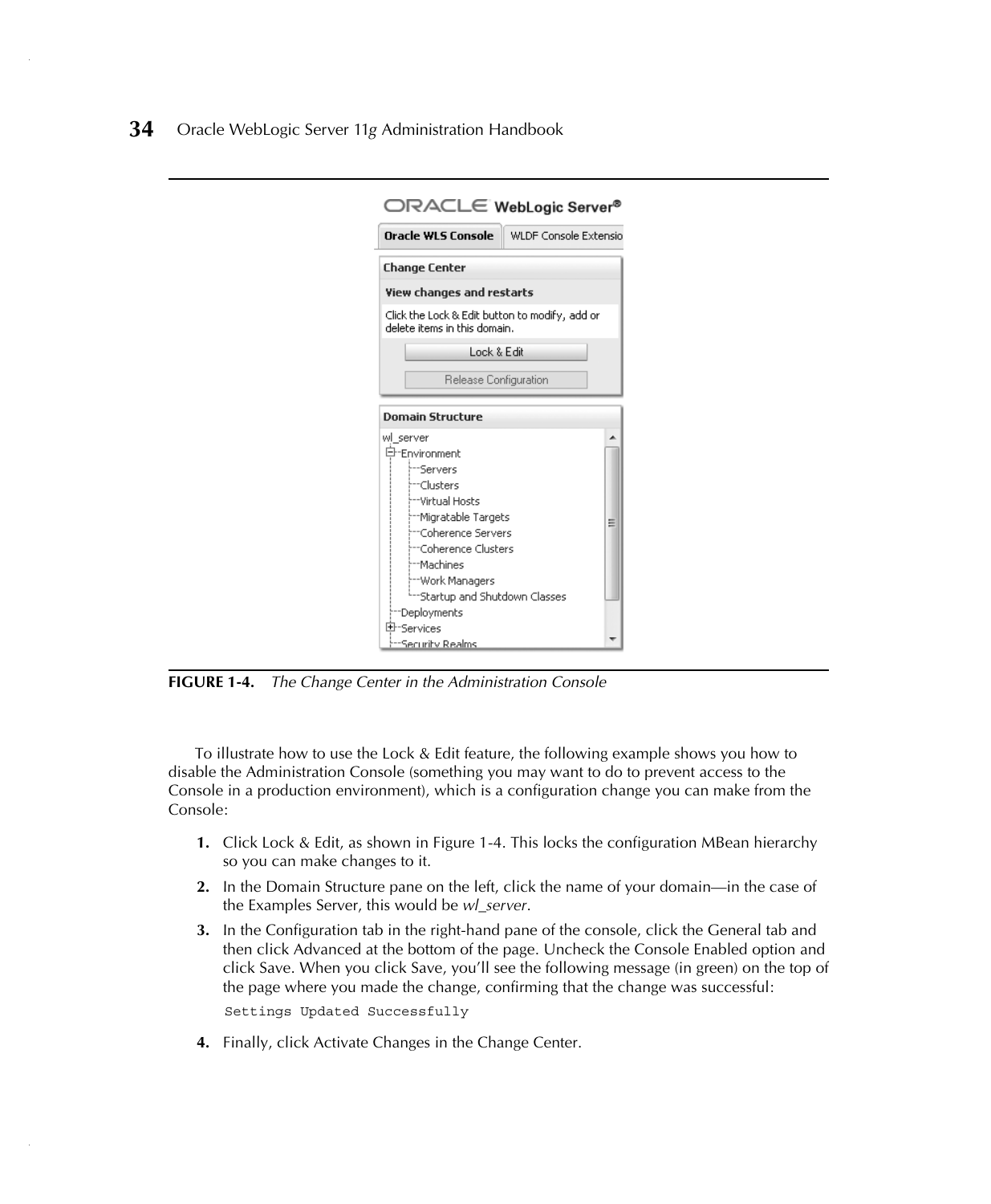|                                                                                | ○RACL∈ WebLogic Server®      |
|--------------------------------------------------------------------------------|------------------------------|
| Oracle WLS Console                                                             | <b>WLDE Console Extensio</b> |
| <b>Change Center</b>                                                           |                              |
| <b>View changes and restarts</b>                                               |                              |
| Click the Lock & Edit button to modify, add or<br>delete items in this domain. |                              |
|                                                                                | Lock & Edit                  |
|                                                                                | Release Configuration        |
|                                                                                |                              |
| <b>Domain Structure</b>                                                        |                              |
| wl server                                                                      |                              |
| 日·Environment                                                                  |                              |
| <sup>-</sup> Servers                                                           |                              |
| <sup>i—</sup> Clusters                                                         |                              |
| i—Virtual Hosts                                                                |                              |
| :††Migratable Targets                                                          | Ξ                            |
| <sup>}---</sup> Coherence Servers                                              |                              |
| <sup>⊱--</sup> Coherence Clusters                                              |                              |
| <sup>i</sup> :--Machines                                                       |                              |
| h∽Work Managers                                                                |                              |
| i--Startup and Shutdown Classes                                                |                              |
| --Deployments                                                                  |                              |
| 田-Services                                                                     |                              |
| itt-Security Realms                                                            |                              |

**FIGURE 1-4.** The Change Center in the Administration Console

To illustrate how to use the Lock & Edit feature, the following example shows you how to disable the Administration Console (something you may want to do to prevent access to the Console in a production environment), which is a configuration change you can make from the Console:

- **1.** Click Lock & Edit, as shown in Figure 1-4. This locks the configuration MBean hierarchy so you can make changes to it.
- **2.** In the Domain Structure pane on the left, click the name of your domain—in the case of the Examples Server, this would be *wl\_server*.
- **3.** In the Configuration tab in the right-hand pane of the console, click the General tab and then click Advanced at the bottom of the page. Uncheck the Console Enabled option and click Save. When you click Save, you'll see the following message (in green) on the top of the page where you made the change, confirming that the change was successful:

Settings Updated Successfully

**4.** Finally, click Activate Changes in the Change Center.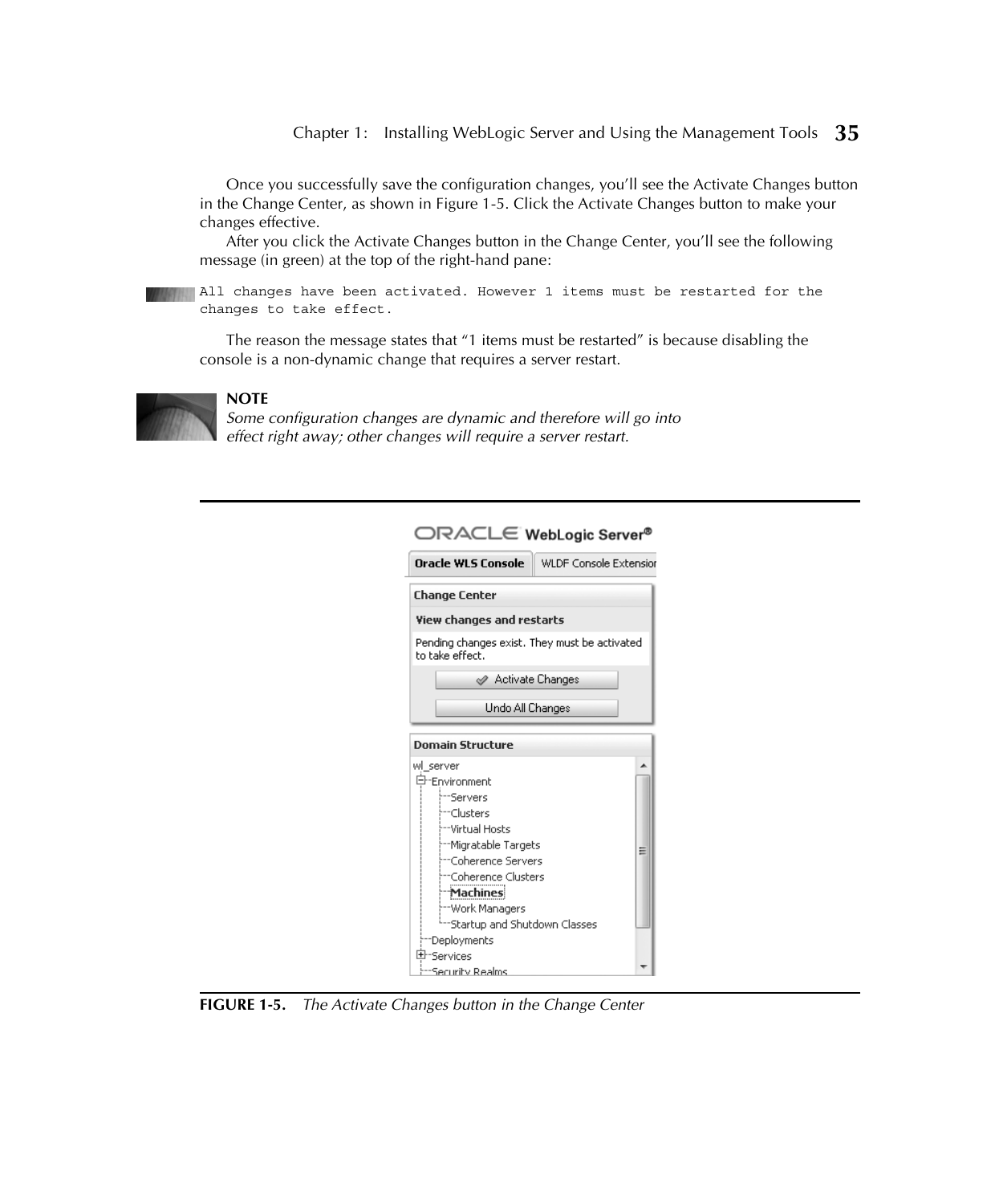Once you successfully save the configuration changes, you'll see the Activate Changes button in the Change Center, as shown in Figure 1-5. Click the Activate Changes button to make your changes effective.

After you click the Activate Changes button in the Change Center, you'll see the following message (in green) at the top of the right-hand pane:

All changes have been activated. However 1 items must be restarted for the changes to take effect.

The reason the message states that "1 items must be restarted" is because disabling the console is a non-dynamic change that requires a server restart.



#### **NOTE**

Some configuration changes are dynamic and therefore will go into effect right away; other changes will require a server restart.

| マA⊂L∈ WebLogic Server®                                                                                                                                                                                                                                                 |   |  |  |  |  |  |
|------------------------------------------------------------------------------------------------------------------------------------------------------------------------------------------------------------------------------------------------------------------------|---|--|--|--|--|--|
| <b>Oracle WLS Console</b><br><b>WLDF Console Extension</b>                                                                                                                                                                                                             |   |  |  |  |  |  |
| <b>Change Center</b>                                                                                                                                                                                                                                                   |   |  |  |  |  |  |
| <b>View changes and restarts</b>                                                                                                                                                                                                                                       |   |  |  |  |  |  |
| Pending changes exist. They must be activated<br>to take effect.                                                                                                                                                                                                       |   |  |  |  |  |  |
| Activate Changes                                                                                                                                                                                                                                                       |   |  |  |  |  |  |
| Undo All Changes                                                                                                                                                                                                                                                       |   |  |  |  |  |  |
| <b>Domain Structure</b>                                                                                                                                                                                                                                                |   |  |  |  |  |  |
| wl_server<br>白-Environment<br><sup>-</sup> Servers<br>--Clusters<br>i—Virtual Hosts<br>:hmMigratable Targets<br><sup>⊱--</sup> Coherence Servers<br>mCoherence Clusters<br>Machines<br>i…Work Managers<br><sup>Lee</sup> Startup and Shutdown Classes<br>--Deployments | Ξ |  |  |  |  |  |
| 田-Services<br><sup>--Security Realms</sup>                                                                                                                                                                                                                             |   |  |  |  |  |  |

**FIGURE 1-5.** The Activate Changes button in the Change Center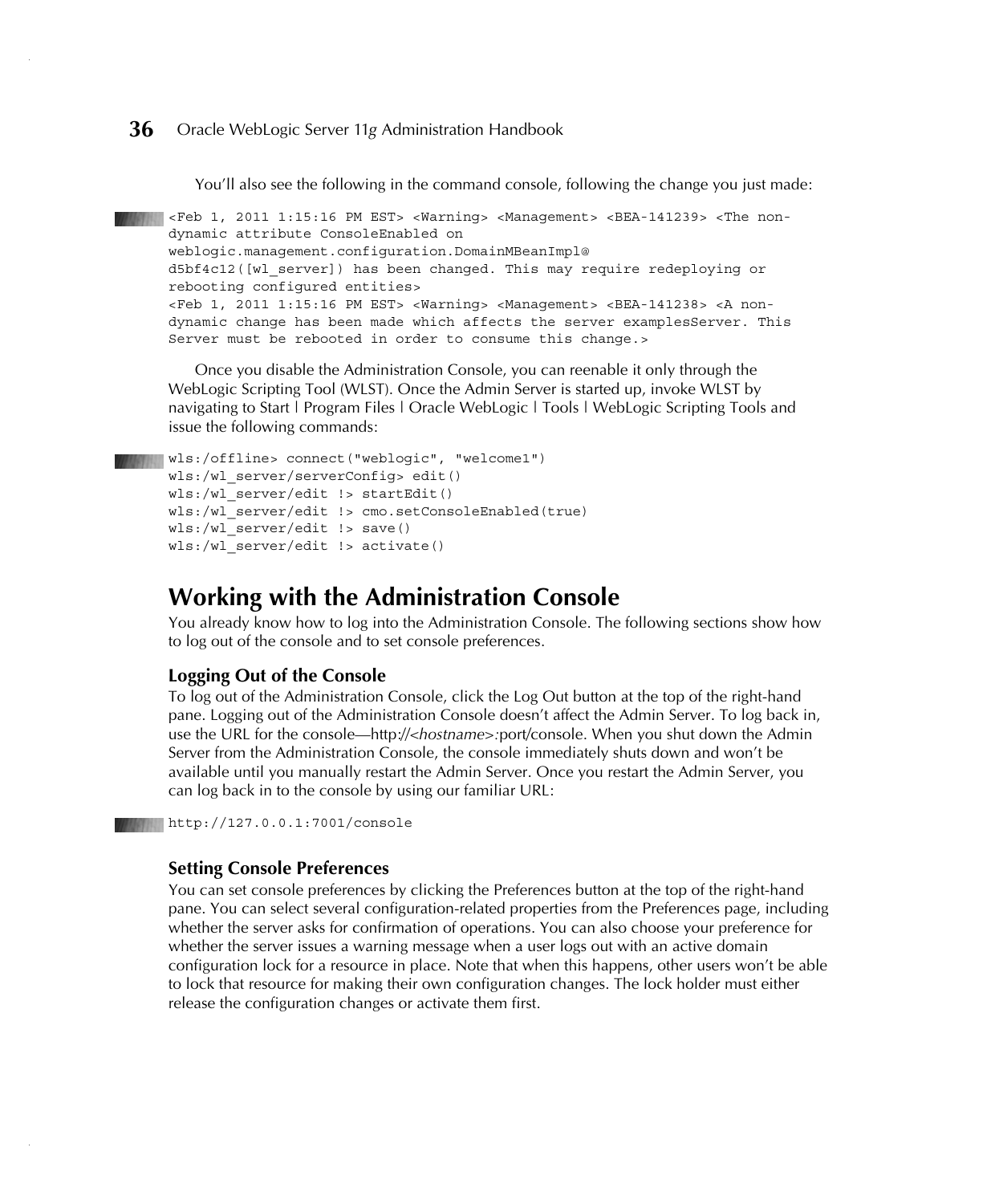You'll also see the following in the command console, following the change you just made:

```
<Feb 1, 2011 1:15:16 PM EST> <Warning> <Management> <BEA-141239> <The non-
     dynamic attribute ConsoleEnabled on 
     weblogic.management.configuration.DomainMBeanImpl@ 
     d5bf4c12([wl_server]) has been changed. This may require redeploying or 
     rebooting configured entities> 
     <Feb 1, 2011 1:15:16 PM EST> <Warning> <Management> <BEA-141238> <A non-
     dynamic change has been made which affects the server examplesServer. This 
     Server must be rebooted in order to consume this change.>
```
Once you disable the Administration Console, you can reenable it only through the WebLogic Scripting Tool (WLST). Once the Admin Server is started up, invoke WLST by navigating to Start | Program Files | Oracle WebLogic | Tools | WebLogic Scripting Tools and issue the following commands:

```
wls:/offline> connect("weblogic", "welcome1") 
     wls:/wl_server/serverConfig> edit() 
     wls:/wl_server/edit !> startEdit() 
     wls:/wl_server/edit !> cmo.setConsoleEnabled(true) 
     wls:/wl_server/edit !> save() 
     wls:/wl server/edit !> activate()
```
### **Working with the Administration Console**

You already know how to log into the Administration Console. The following sections show how to log out of the console and to set console preferences.

#### **Logging Out of the Console**

To log out of the Administration Console, click the Log Out button at the top of the right-hand pane. Logging out of the Administration Console doesn't affect the Admin Server. To log back in, use the URL for the console—http://*<hostname>:*port/console. When you shut down the Admin Server from the Administration Console, the console immediately shuts down and won't be available until you manually restart the Admin Server. Once you restart the Admin Server, you can log back in to the console by using our familiar URL:

http://127.0.0.1:7001/console

#### **Setting Console preferences**

You can set console preferences by clicking the Preferences button at the top of the right-hand pane. You can select several configuration-related properties from the Preferences page, including whether the server asks for confirmation of operations. You can also choose your preference for whether the server issues a warning message when a user logs out with an active domain configuration lock for a resource in place. Note that when this happens, other users won't be able to lock that resource for making their own configuration changes. The lock holder must either release the configuration changes or activate them first.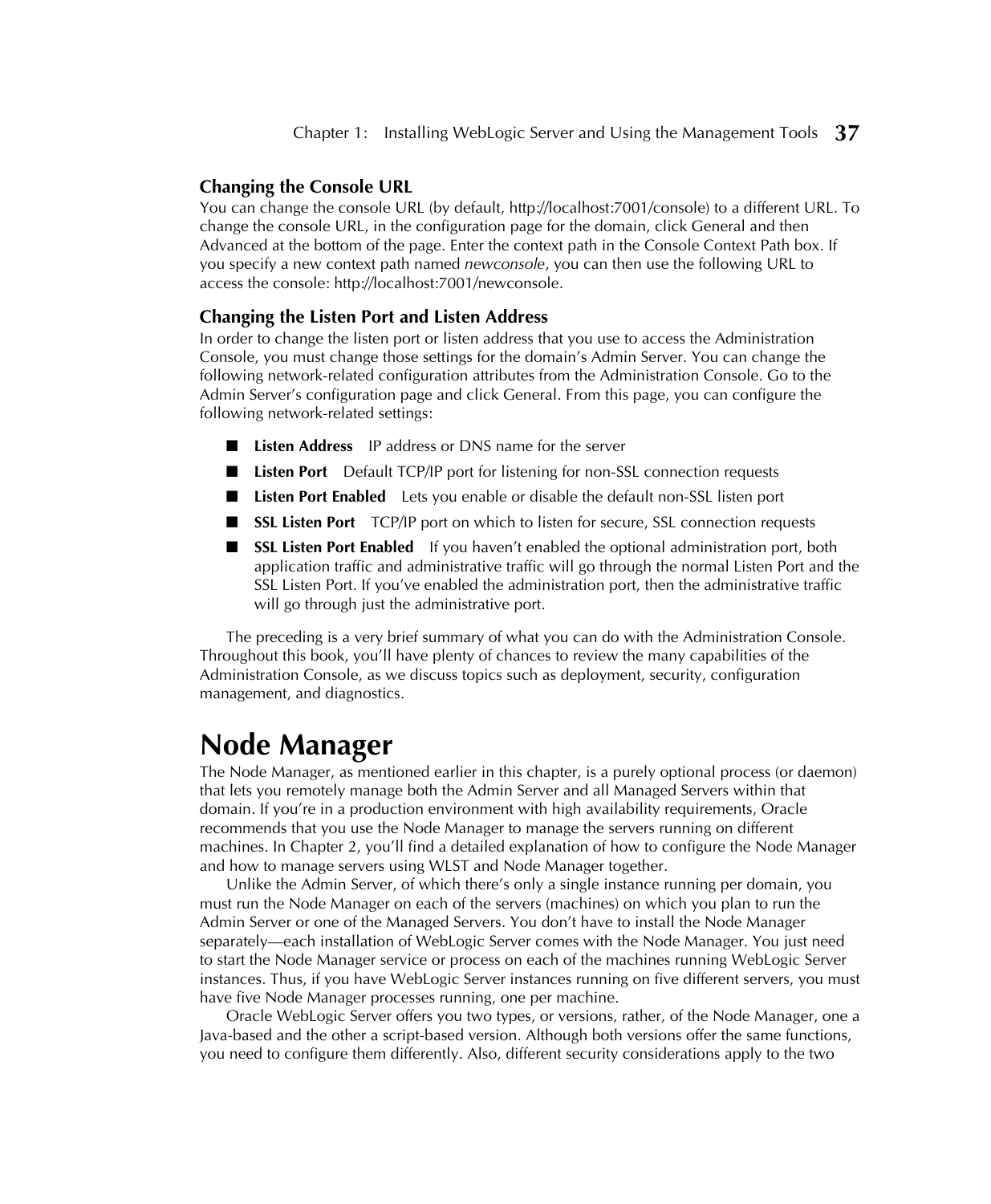#### **Changing the Console URL**

You can change the console URL (by default, http://localhost:7001/console) to a different URL. To change the console URL, in the configuration page for the domain, click General and then Advanced at the bottom of the page. Enter the context path in the Console Context Path box. If you specify a new context path named *newconsole*, you can then use the following URL to access the console: http://localhost:7001/newconsole.

#### **Changing the Listen port and Listen Address**

In order to change the listen port or listen address that you use to access the Administration Console, you must change those settings for the domain's Admin Server. You can change the following network-related configuration attributes from the Administration Console. Go to the Admin Server's configuration page and click General. From this page, you can configure the following network-related settings:

- **Listen Address** IP address or DNS name for the server
- **Listen Port** Default TCP/IP port for listening for non-SSL connection requests
- **Listen Port Enabled** Lets you enable or disable the default non-SSL listen port
- **SSL Listen Port** TCP/IP port on which to listen for secure, SSL connection requests
- **SSL Listen Port Enabled** If you haven't enabled the optional administration port, both application traffic and administrative traffic will go through the normal Listen Port and the SSL Listen Port. If you've enabled the administration port, then the administrative traffic will go through just the administrative port.

The preceding is a very brief summary of what you can do with the Administration Console. Throughout this book, you'll have plenty of chances to review the many capabilities of the Administration Console, as we discuss topics such as deployment, security, configuration management, and diagnostics.

### **Node Manager**

The Node Manager, as mentioned earlier in this chapter, is a purely optional process (or daemon) that lets you remotely manage both the Admin Server and all Managed Servers within that domain. If you're in a production environment with high availability requirements, Oracle recommends that you use the Node Manager to manage the servers running on different machines. In Chapter 2, you'll find a detailed explanation of how to configure the Node Manager and how to manage servers using WLST and Node Manager together.

Unlike the Admin Server, of which there's only a single instance running per domain, you must run the Node Manager on each of the servers (machines) on which you plan to run the Admin Server or one of the Managed Servers. You don't have to install the Node Manager separately—each installation of WebLogic Server comes with the Node Manager. You just need to start the Node Manager service or process on each of the machines running WebLogic Server instances. Thus, if you have WebLogic Server instances running on five different servers, you must have five Node Manager processes running, one per machine.

Oracle WebLogic Server offers you two types, or versions, rather, of the Node Manager, one a Java-based and the other a script-based version. Although both versions offer the same functions, you need to configure them differently. Also, different security considerations apply to the two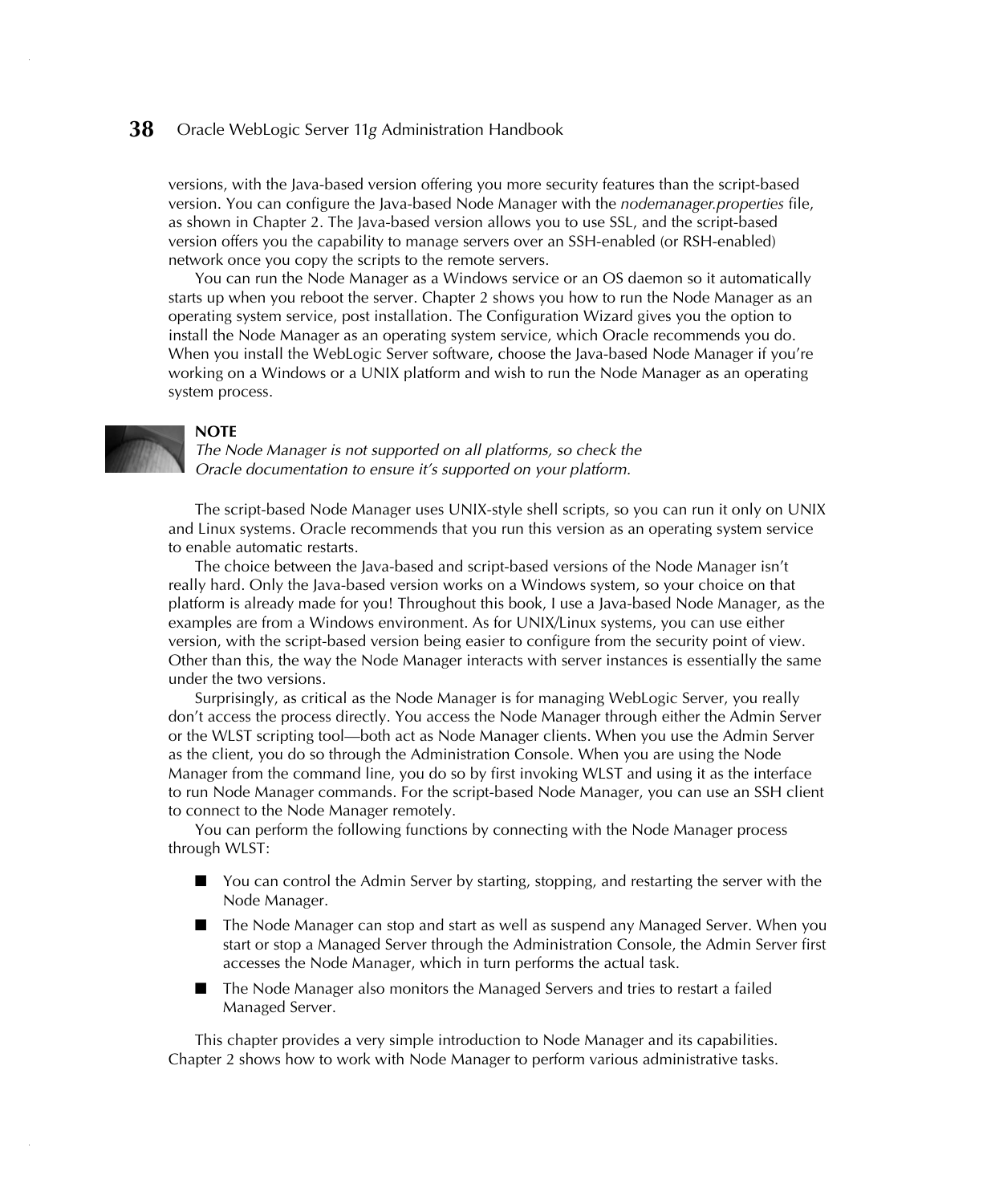versions, with the Java-based version offering you more security features than the script-based version. You can configure the Java-based Node Manager with the *nodemanager.properties* file, as shown in Chapter 2. The Java-based version allows you to use SSL, and the script-based version offers you the capability to manage servers over an SSH-enabled (or RSH-enabled) network once you copy the scripts to the remote servers.

You can run the Node Manager as a Windows service or an OS daemon so it automatically starts up when you reboot the server. Chapter 2 shows you how to run the Node Manager as an operating system service, post installation. The Configuration Wizard gives you the option to install the Node Manager as an operating system service, which Oracle recommends you do. When you install the WebLogic Server software, choose the Java-based Node Manager if you're working on a Windows or a UNIX platform and wish to run the Node Manager as an operating system process.



#### **NOTE**

The Node Manager is not supported on all platforms, so check the Oracle documentation to ensure it's supported on your platform.

The script-based Node Manager uses UNIX-style shell scripts, so you can run it only on UNIX and Linux systems. Oracle recommends that you run this version as an operating system service to enable automatic restarts.

The choice between the Java-based and script-based versions of the Node Manager isn't really hard. Only the Java-based version works on a Windows system, so your choice on that platform is already made for you! Throughout this book, I use a Java-based Node Manager, as the examples are from a Windows environment. As for UNIX/Linux systems, you can use either version, with the script-based version being easier to configure from the security point of view. Other than this, the way the Node Manager interacts with server instances is essentially the same under the two versions.

Surprisingly, as critical as the Node Manager is for managing WebLogic Server, you really don't access the process directly. You access the Node Manager through either the Admin Server or the WLST scripting tool—both act as Node Manager clients. When you use the Admin Server as the client, you do so through the Administration Console. When you are using the Node Manager from the command line, you do so by first invoking WLST and using it as the interface to run Node Manager commands. For the script-based Node Manager, you can use an SSH client to connect to the Node Manager remotely.

You can perform the following functions by connecting with the Node Manager process through WLST:

- You can control the Admin Server by starting, stopping, and restarting the server with the Node Manager.
- The Node Manager can stop and start as well as suspend any Managed Server. When you start or stop a Managed Server through the Administration Console, the Admin Server first accesses the Node Manager, which in turn performs the actual task.
- The Node Manager also monitors the Managed Servers and tries to restart a failed Managed Server.

This chapter provides a very simple introduction to Node Manager and its capabilities. Chapter 2 shows how to work with Node Manager to perform various administrative tasks.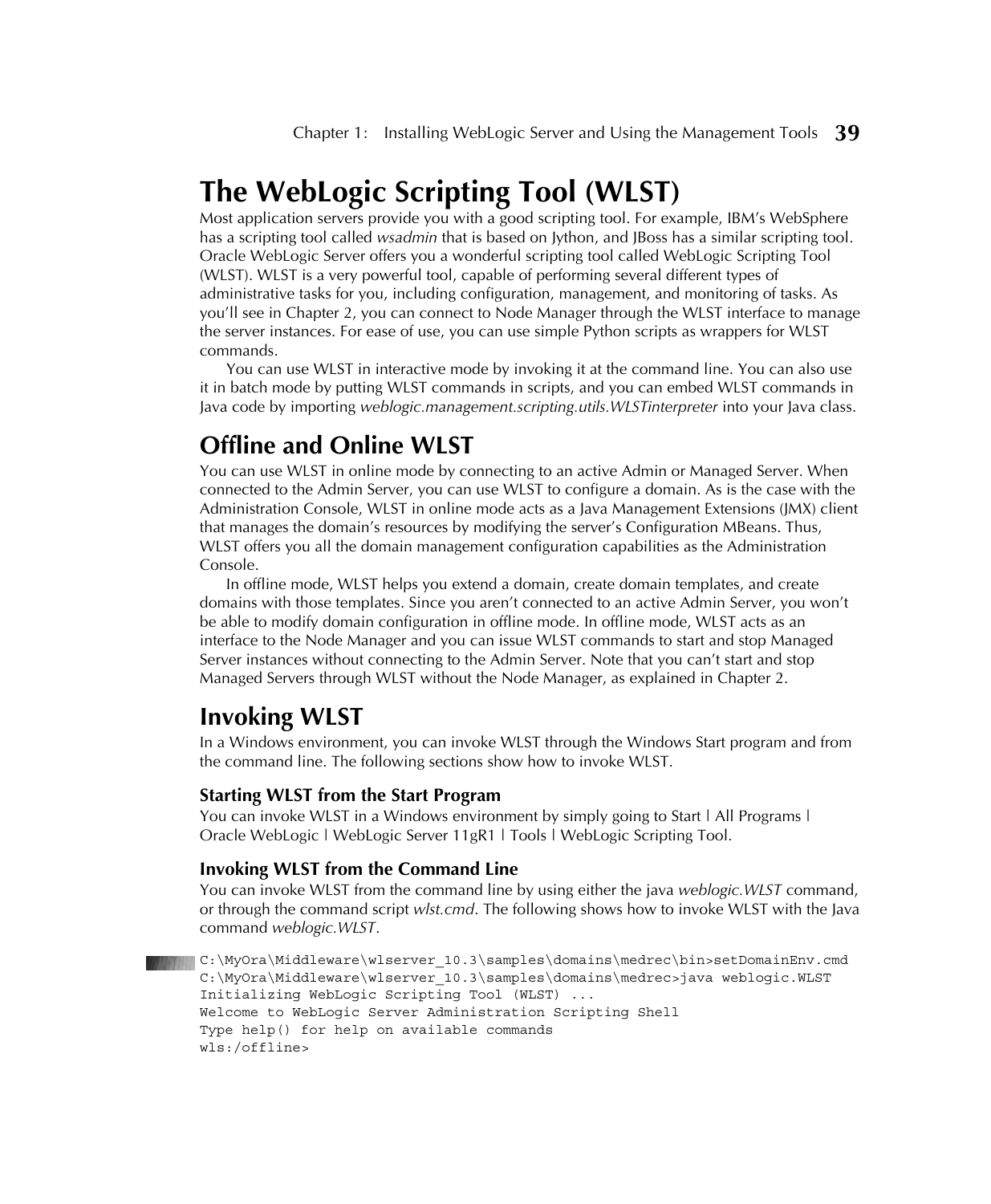# **The WebLogic Scripting Tool (WLST)**

Most application servers provide you with a good scripting tool. For example, IBM's WebSphere has a scripting tool called *wsadmin* that is based on Jython, and JBoss has a similar scripting tool. Oracle WebLogic Server offers you a wonderful scripting tool called WebLogic Scripting Tool (WLST). WLST is a very powerful tool, capable of performing several different types of administrative tasks for you, including configuration, management, and monitoring of tasks. As you'll see in Chapter 2, you can connect to Node Manager through the WLST interface to manage the server instances. For ease of use, you can use simple Python scripts as wrappers for WLST commands.

You can use WLST in interactive mode by invoking it at the command line. You can also use it in batch mode by putting WLST commands in scripts, and you can embed WLST commands in Java code by importing *weblogic.management.scripting.utils.WLSTinterpreter* into your Java class.

### **Offline and Online WLST**

You can use WLST in online mode by connecting to an active Admin or Managed Server. When connected to the Admin Server, you can use WLST to configure a domain. As is the case with the Administration Console, WLST in online mode acts as a Java Management Extensions (JMX) client that manages the domain's resources by modifying the server's Configuration MBeans. Thus, WLST offers you all the domain management configuration capabilities as the Administration Console.

In offline mode, WLST helps you extend a domain, create domain templates, and create domains with those templates. Since you aren't connected to an active Admin Server, you won't be able to modify domain configuration in offline mode. In offline mode, WLST acts as an interface to the Node Manager and you can issue WLST commands to start and stop Managed Server instances without connecting to the Admin Server. Note that you can't start and stop Managed Servers through WLST without the Node Manager, as explained in Chapter 2.

### **Invoking WLST**

In a Windows environment, you can invoke WLST through the Windows Start program and from the command line. The following sections show how to invoke WLST.

#### **Starting WLST from the Start program**

You can invoke WLST in a Windows environment by simply going to Start | All Programs | Oracle WebLogic | WebLogic Server 11gR1 | Tools | WebLogic Scripting Tool.

#### **Invoking WLST from the Command Line**

You can invoke WLST from the command line by using either the java *weblogic.WLST* command, or through the command script *wlst.cmd*. The following shows how to invoke WLST with the Java command *weblogic.WLST*.

C:\MyOra\Middleware\wlserver\_10.3\samples\domains\medrec\bin>setDomainEnv.cmd C:\MyOra\Middleware\wlserver\_10.3\samples\domains\medrec>java weblogic.WLST Initializing WebLogic Scripting Tool (WLST) ... Welcome to WebLogic Server Administration Scripting Shell Type help() for help on available commands wls:/offline>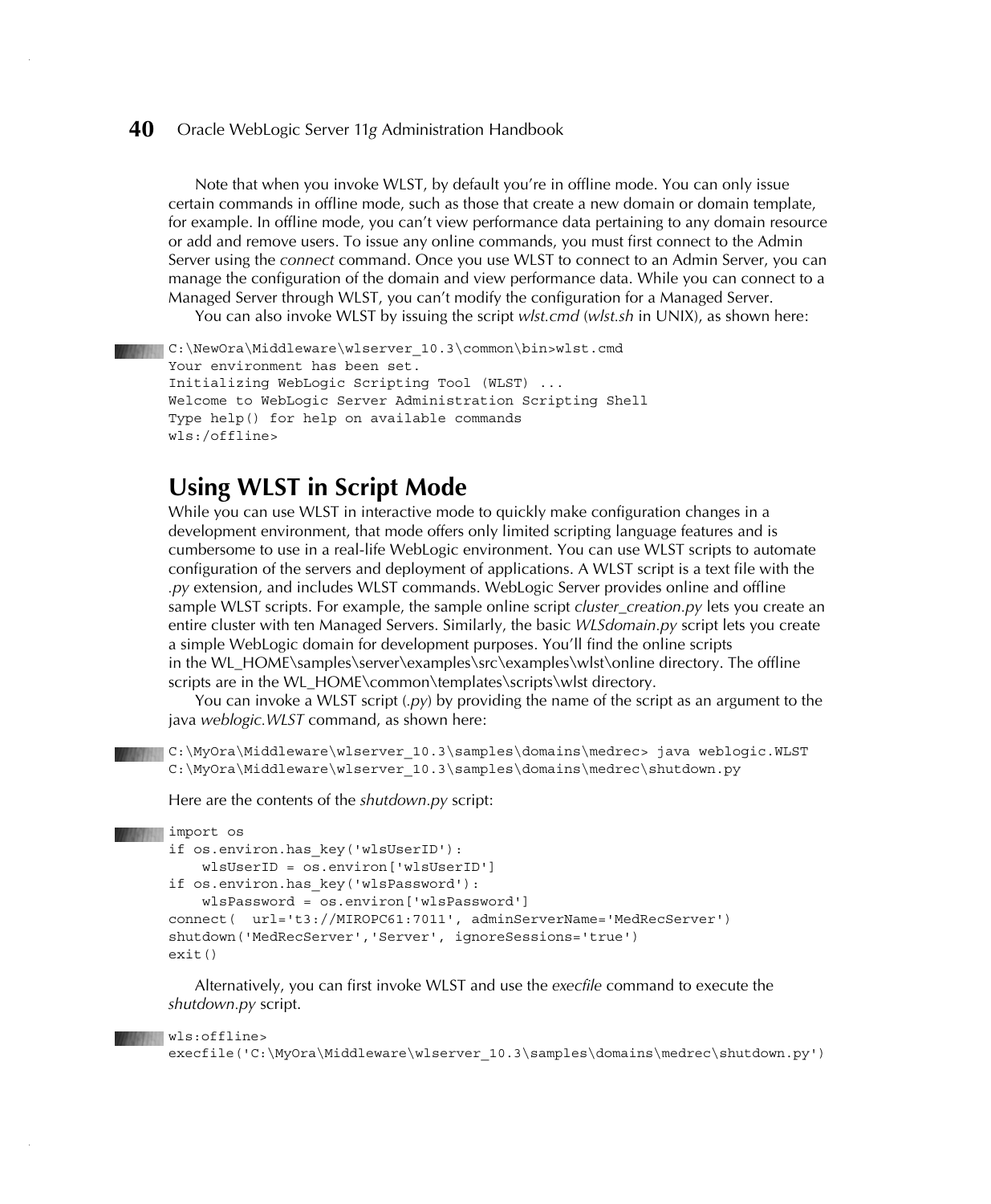Note that when you invoke WLST, by default you're in offline mode. You can only issue certain commands in offline mode, such as those that create a new domain or domain template, for example. In offline mode, you can't view performance data pertaining to any domain resource or add and remove users. To issue any online commands, you must first connect to the Admin Server using the *connect* command. Once you use WLST to connect to an Admin Server, you can manage the configuration of the domain and view performance data. While you can connect to a Managed Server through WLST, you can't modify the configuration for a Managed Server.

You can also invoke WLST by issuing the script *wlst.cmd* (*wlst.sh* in UNIX), as shown here:

```
C:\NewOra\Middleware\wlserver_10.3\common\bin>wlst.cmd 
    Your environment has been set. 
    Initializing WebLogic Scripting Tool (WLST) ... 
    Welcome to WebLogic Server Administration Scripting Shell 
    Type help() for help on available commands 
     wls:/offline>
```
### **Using WLST in Script Mode**

While you can use WLST in interactive mode to quickly make configuration changes in a development environment, that mode offers only limited scripting language features and is cumbersome to use in a real-life WebLogic environment. You can use WLST scripts to automate configuration of the servers and deployment of applications. A WLST script is a text file with the *.py* extension, and includes WLST commands. WebLogic Server provides online and offline sample WLST scripts. For example, the sample online script *cluster\_creation.py* lets you create an entire cluster with ten Managed Servers. Similarly, the basic *WLSdomain.py* script lets you create a simple WebLogic domain for development purposes. You'll find the online scripts in the WL\_HOME\samples\server\examples\src\examples\wlst\online directory. The offline scripts are in the WL\_HOME\common\templates\scripts\wlst directory.

You can invoke a WLST script (*.py*) by providing the name of the script as an argument to the java *weblogic.WLST* command, as shown here:

```
C:\MyOra\Middleware\wlserver_10.3\samples\domains\medrec> java weblogic.WLST 
    C:\MyOra\Middleware\wlserver_10.3\samples\domains\medrec\shutdown.py
```
Here are the contents of the *shutdown.py* script:

```
import os 
     if os.environ.has_key('wlsUserID'): 
          wlsUserID = os.environ['wlsUserID'] 
     if os.environ.has_key('wlsPassword'): 
          wlsPassword = os.environ['wlsPassword'] 
     connect( url='t3://MIROPC61:7011', adminServerName='MedRecServer') 
     shutdown('MedRecServer','Server', ignoreSessions='true') 
     exit()
```
Alternatively, you can first invoke WLST and use the *execfile* command to execute the *shutdown.py* script.

#### wls:offline>

```
execfile('C:\MyOra\Middleware\wlserver_10.3\samples\domains\medrec\shutdown.py')
```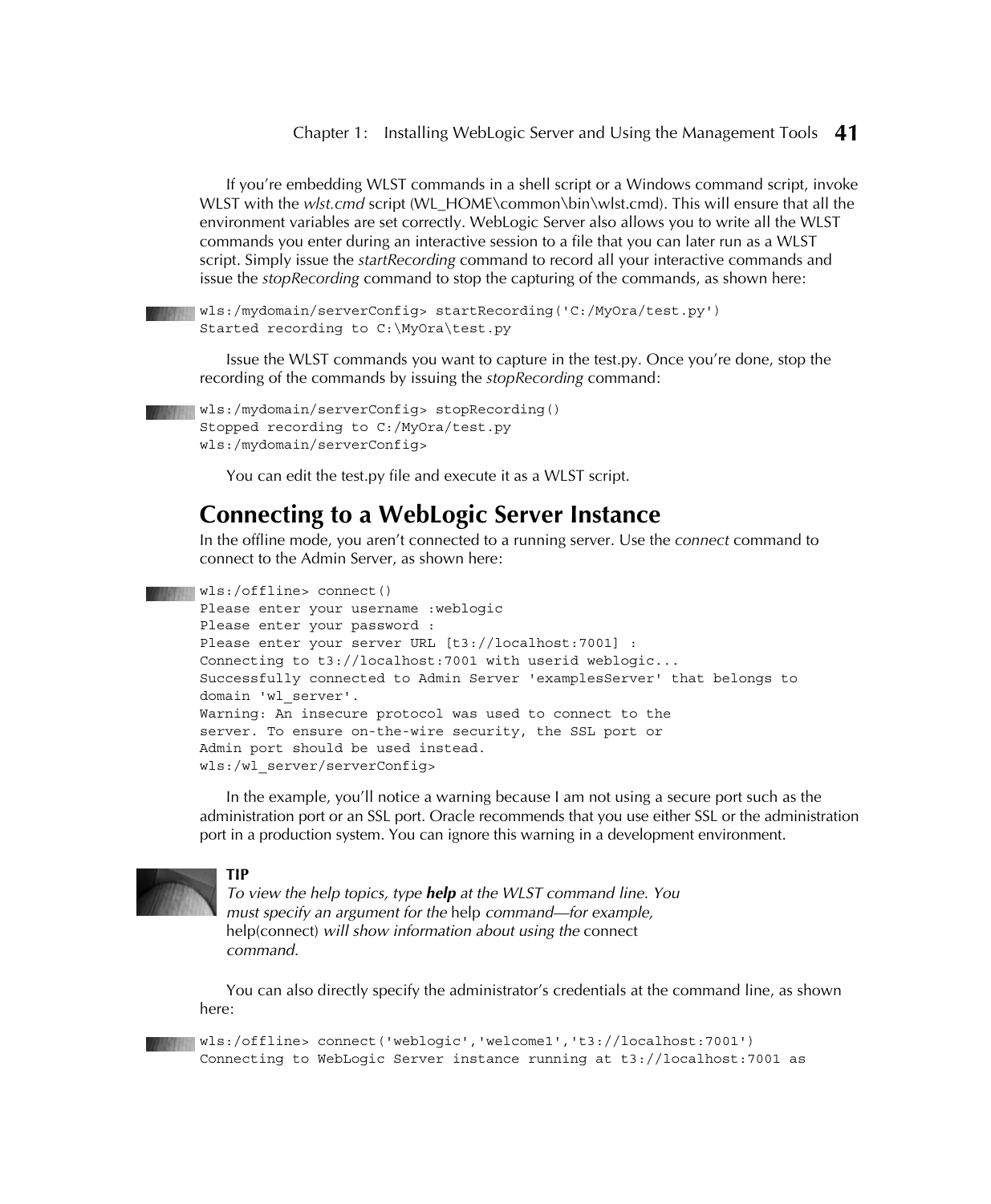If you're embedding WLST commands in a shell script or a Windows command script, invoke WLST with the *wlst.cmd* script (WL\_HOME\common\bin\wlst.cmd). This will ensure that all the environment variables are set correctly. WebLogic Server also allows you to write all the WLST commands you enter during an interactive session to a file that you can later run as a WLST script. Simply issue the *startRecording* command to record all your interactive commands and issue the *stopRecording* command to stop the capturing of the commands, as shown here:

```
wls:/mydomain/serverConfig> startRecording('C:/MyOra/test.py') 
     Started recording to C:\MyOra\test.py
```
Issue the WLST commands you want to capture in the test.py. Once you're done, stop the recording of the commands by issuing the *stopRecording* command:

```
wls:/mydomain/serverConfig> stopRecording()
    Stopped recording to C:/MyOra/test.py 
    wls:/mydomain/serverConfig>
```
You can edit the test.py file and execute it as a WLST script.

### **Connecting to a WebLogic Server Instance**

In the offline mode, you aren't connected to a running server. Use the *connect* command to connect to the Admin Server, as shown here:

#### wls:/offline> connect()

```
Please enter your username :weblogic 
Please enter your password : 
Please enter your server URL [t3://localhost:7001] : 
Connecting to t3://localhost:7001 with userid weblogic... 
Successfully connected to Admin Server 'examplesServer' that belongs to 
domain 'wl_server'. 
Warning: An insecure protocol was used to connect to the 
server. To ensure on-the-wire security, the SSL port or 
Admin port should be used instead. 
wls:/wl_server/serverConfig>
```
In the example, you'll notice a warning because I am not using a secure port such as the administration port or an SSL port. Oracle recommends that you use either SSL or the administration port in a production system. You can ignore this warning in a development environment.



#### **TIp**

To view the help topics, type **help** at the WLST command line. You must specify an argument for the help command—for example, help(connect) will show information about using the connect command.

You can also directly specify the administrator's credentials at the command line, as shown here:

wls:/offline> connect('weblogic','welcome1','t3://localhost:7001') Connecting to WebLogic Server instance running at t3://localhost:7001 as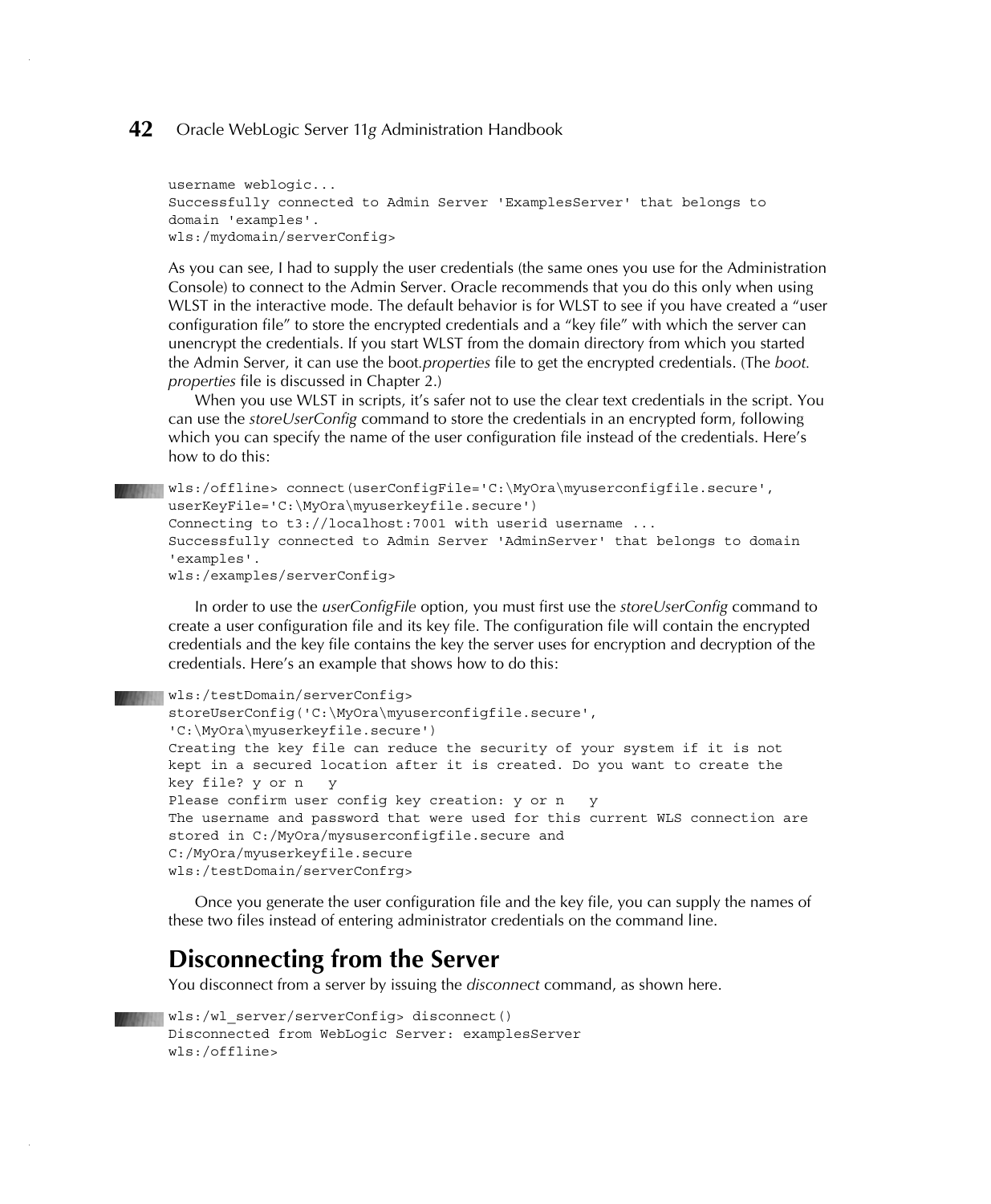```
username weblogic... 
Successfully connected to Admin Server 'ExamplesServer' that belongs to 
domain 'examples'. 
wls:/mydomain/serverConfig>
```
As you can see, I had to supply the user credentials (the same ones you use for the Administration Console) to connect to the Admin Server. Oracle recommends that you do this only when using WLST in the interactive mode. The default behavior is for WLST to see if you have created a "user configuration file" to store the encrypted credentials and a "key file" with which the server can unencrypt the credentials. If you start WLST from the domain directory from which you started the Admin Server, it can use the boot*.properties* file to get the encrypted credentials. (The *boot. properties* file is discussed in Chapter 2.)

When you use WLST in scripts, it's safer not to use the clear text credentials in the script. You can use the *storeUserConfig* command to store the credentials in an encrypted form, following which you can specify the name of the user configuration file instead of the credentials. Here's how to do this:

```
wls:/offline> connect(userConfigFile='C:\MyOra\myuserconfigfile.secure', 
    userKeyFile='C:\MyOra\myuserkeyfile.secure') 
    Connecting to t3://localhost:7001 with userid username ... 
    Successfully connected to Admin Server 'AdminServer' that belongs to domain 
    'examples'. 
    wls:/examples/serverConfig>
```
In order to use the *userConfigFile* option, you must first use the *storeUserConfig* command to create a user configuration file and its key file. The configuration file will contain the encrypted credentials and the key file contains the key the server uses for encryption and decryption of the credentials. Here's an example that shows how to do this:

```
wls:/testDomain/serverConfig>
     storeUserConfig('C:\MyOra\myuserconfigfile.secure', 
     'C:\MyOra\myuserkeyfile.secure') 
     Creating the key file can reduce the security of your system if it is not 
     kept in a secured location after it is created. Do you want to create the 
     key file? y or n y 
     Please confirm user config key creation: y or n y
     The username and password that were used for this current WLS connection are 
     stored in C:/MyOra/mysuserconfigfile.secure and 
     C:/MyOra/myuserkeyfile.secure 
     wls:/testDomain/serverConfrg>
```
Once you generate the user configuration file and the key file, you can supply the names of these two files instead of entering administrator credentials on the command line.

### **Disconnecting from the Server**

You disconnect from a server by issuing the *disconnect* command, as shown here.

```
wls:/wl server/serverConfig> disconnect()
    Disconnected from WebLogic Server: examplesServer 
    wls:/offline>
```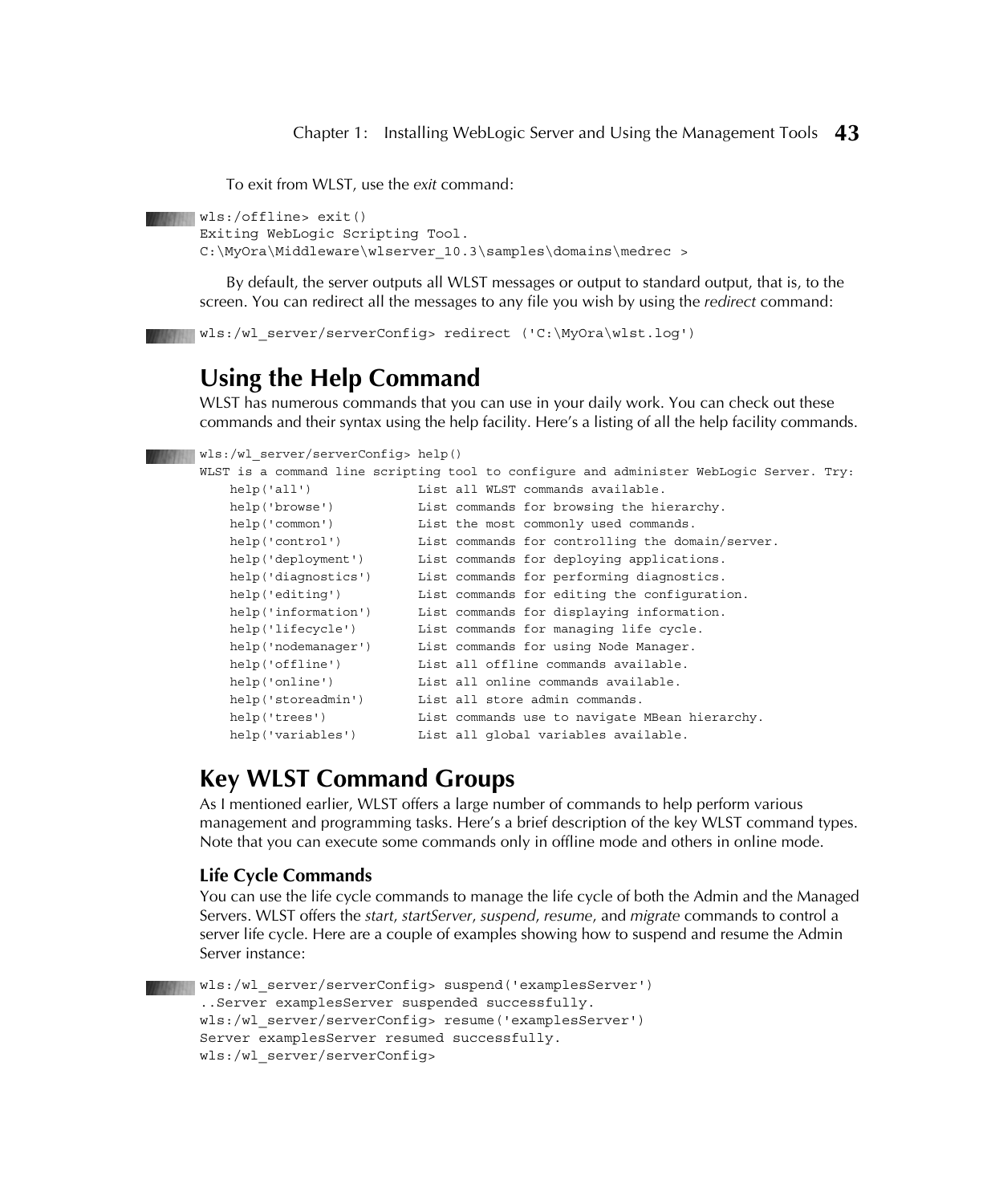To exit from WLST, use the *exit* command:

```
wls:/offline> exit()
     Exiting WebLogic Scripting Tool. 
     C:\MyOra\Middleware\wlserver 10.3\samples\domains\medrec >
```
By default, the server outputs all WLST messages or output to standard output, that is, to the screen. You can redirect all the messages to any file you wish by using the *redirect* command:

```
wls:/wl_server/serverConfig> redirect ('C:\MyOra\wlst.log')
```
### **Using the Help Command**

WLST has numerous commands that you can use in your daily work. You can check out these commands and their syntax using the help facility. Here's a listing of all the help facility commands.

```
wls:/wl server/serverConfig> help()
```

```
WLST is a command line scripting tool to configure and administer WebLogic Server. Try: 
    help('all') List all WLST commands available.
     help('browse') List commands for browsing the hierarchy. 
    help('common') List the most commonly used commands.<br>help('control') List commands for controlling the dom<br>help('deployment') List commands for deploying applicati
                              List commands for controlling the domain/server.
                               List commands for deploying applications.
    help('diagnostics') List commands for performing diagnostics.
     help('editing') List commands for editing the configuration. 
     help('information') List commands for displaying information. 
    help('lifecycle') List commands for managing life cycle.<br>help('nodemanager') List commands for using Node Manager.
                              List commands for using Node Manager.
     help('offline') List all offline commands available. 
    help('online') List all online commands available.<br>help('storeadmin') List all store admin commands.
                               List all store admin commands.
    help('trees') List commands use to navigate MBean hierarchy.
     help('variables') List all global variables available.
```
### **Key WLST Command Groups**

As I mentioned earlier, WLST offers a large number of commands to help perform various management and programming tasks. Here's a brief description of the key WLST command types. Note that you can execute some commands only in offline mode and others in online mode.

#### **Life Cycle Commands**

You can use the life cycle commands to manage the life cycle of both the Admin and the Managed Servers. WLST offers the *start*, *startServer*, *suspend*, *resume*, and *migrate* commands to control a server life cycle. Here are a couple of examples showing how to suspend and resume the Admin Server instance:

```
wls:/wl_server/serverConfig> suspend('examplesServer') 
     ..Server examplesServer suspended successfully. 
     wls:/wl_server/serverConfig> resume('examplesServer') 
     Server examplesServer resumed successfully. 
     wls:/wl_server/serverConfig>
```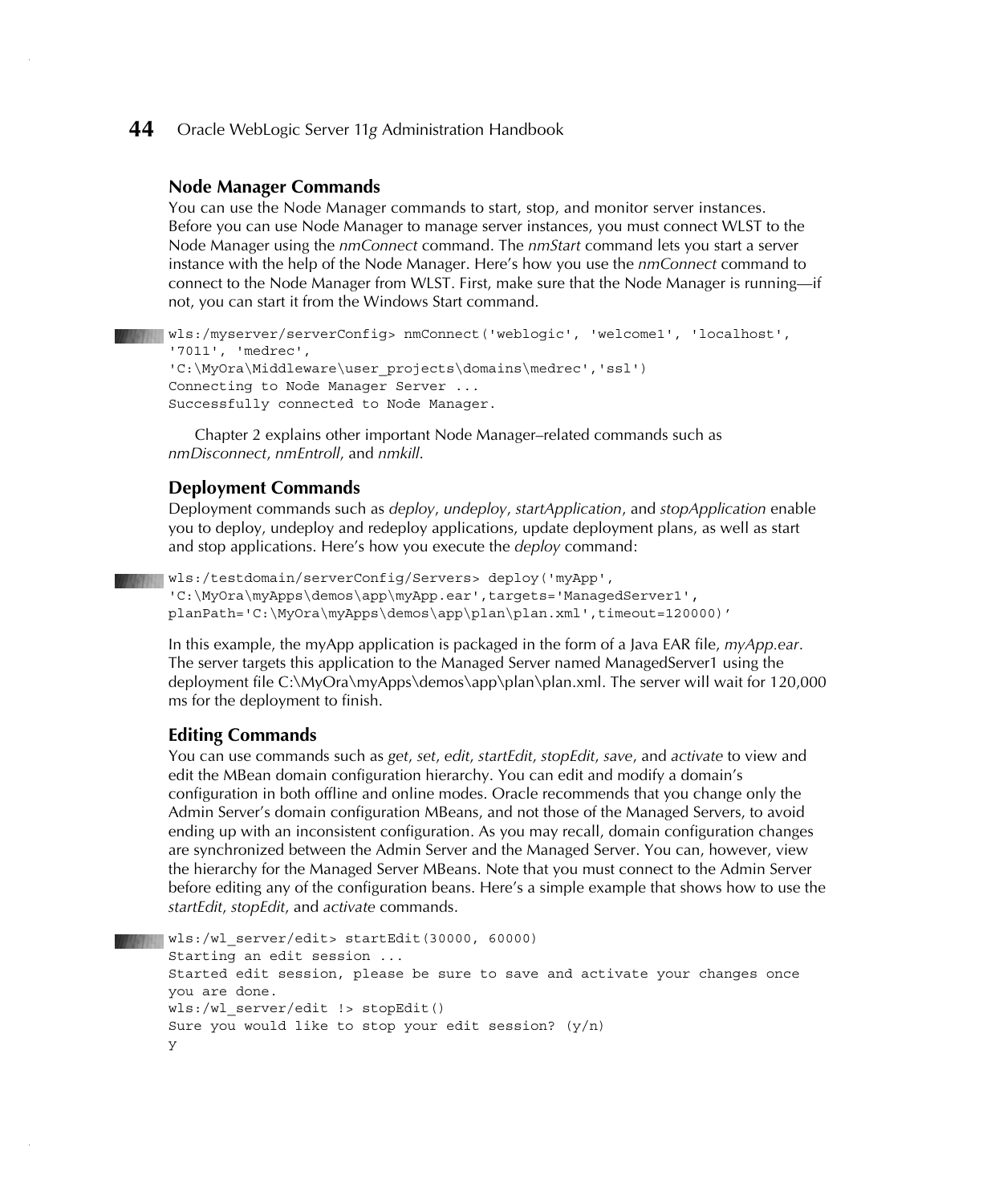#### **Node Manager Commands**

You can use the Node Manager commands to start, stop, and monitor server instances. Before you can use Node Manager to manage server instances, you must connect WLST to the Node Manager using the *nmConnect* command. The *nmStart* command lets you start a server instance with the help of the Node Manager. Here's how you use the *nmConnect* command to connect to the Node Manager from WLST. First, make sure that the Node Manager is running—if not, you can start it from the Windows Start command.

```
wls:/myserver/serverConfig> nmConnect('weblogic', 'welcome1', 'localhost', 
     '7011', 'medrec', 
     'C:\MyOra\Middleware\user_projects\domains\medrec','ssl') 
     Connecting to Node Manager Server ... 
     Successfully connected to Node Manager.
```
Chapter 2 explains other important Node Manager–related commands such as *nmDisconnect*, *nmEntroll*, and *nmkill*.

#### **Deployment Commands**

Deployment commands such as *deploy*, *undeploy*, *startApplication*, and *stopApplication* enable you to deploy, undeploy and redeploy applications, update deployment plans, as well as start and stop applications. Here's how you execute the *deploy* command:

```
wls:/testdomain/serverConfig/Servers> deploy('myApp', 
'C:\MyOra\myApps\demos\app\myApp.ear',targets='ManagedServer1', 
planPath='C:\MyOra\myApps\demos\app\plan\plan.xml',timeout=120000)'
```
In this example, the myApp application is packaged in the form of a Java EAR file, *myApp.ear*. The server targets this application to the Managed Server named ManagedServer1 using the deployment file C:\MyOra\myApps\demos\app\plan\plan.xml. The server will wait for 120,000 ms for the deployment to finish.

#### **Editing Commands**

You can use commands such as *get*, *set*, *edit*, *startEdit*, *stopEdit*, *save*, and *activate* to view and edit the MBean domain configuration hierarchy. You can edit and modify a domain's configuration in both offline and online modes. Oracle recommends that you change only the Admin Server's domain configuration MBeans, and not those of the Managed Servers, to avoid ending up with an inconsistent configuration. As you may recall, domain configuration changes are synchronized between the Admin Server and the Managed Server. You can, however, view the hierarchy for the Managed Server MBeans. Note that you must connect to the Admin Server before editing any of the configuration beans. Here's a simple example that shows how to use the *startEdit*, *stopEdit*, and *activate* commands.

```
wls:/wl server/edit> startEdit(30000, 60000)
     Starting an edit session ... 
     Started edit session, please be sure to save and activate your changes once 
     you are done. 
     wls:/wl_server/edit !> stopEdit() 
     Sure you would like to stop your edit session? (y/n)y
```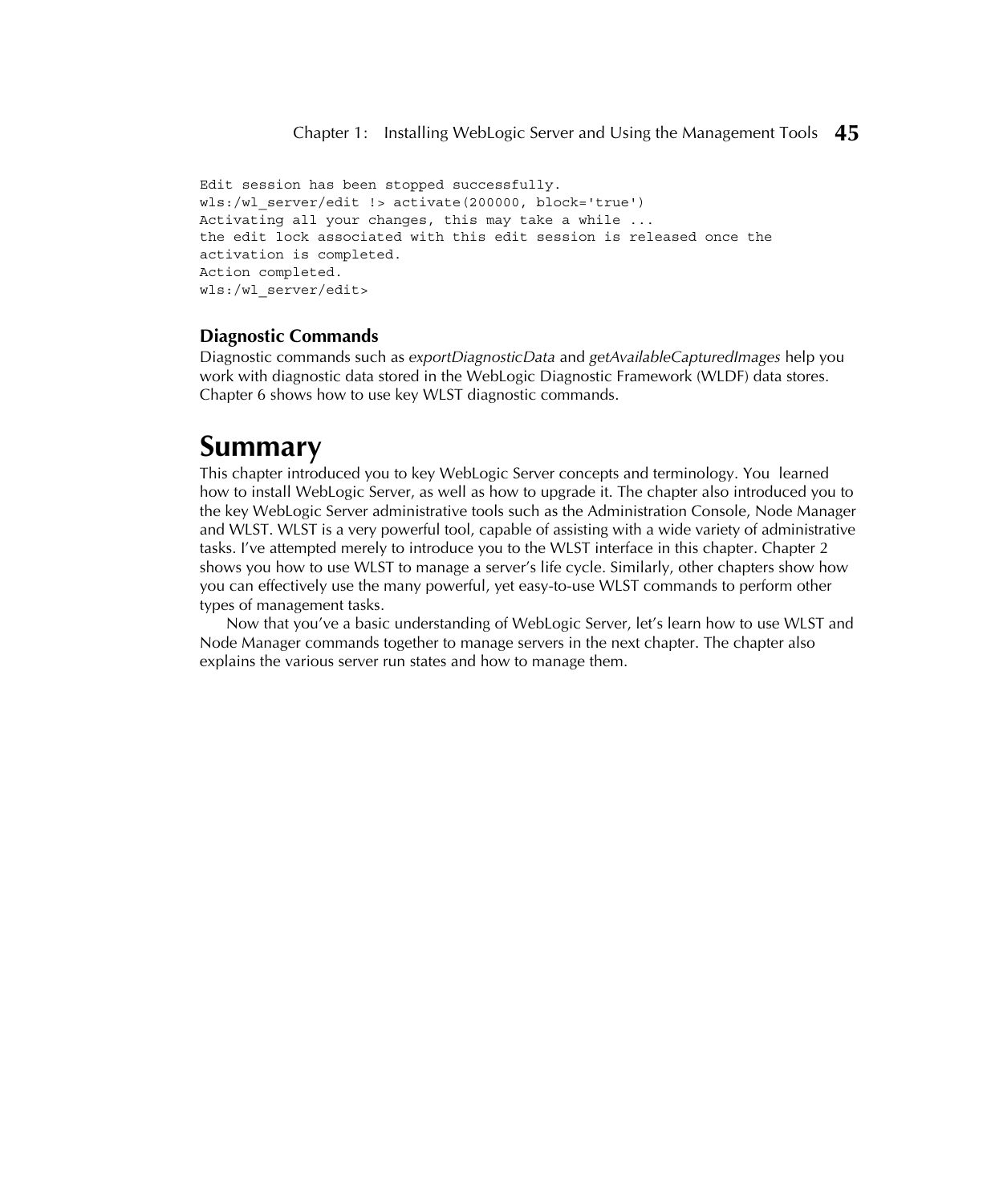```
Edit session has been stopped successfully. 
wls:/wl_server/edit !> activate(200000, block='true') 
Activating all your changes, this may take a while ... 
the edit lock associated with this edit session is released once the 
activation is completed. 
Action completed. 
wls:/wl_server/edit>
```
#### **Diagnostic Commands**

Diagnostic commands such as *exportDiagnosticData* and *getAvailableCapturedImages* help you work with diagnostic data stored in the WebLogic Diagnostic Framework (WLDF) data stores. Chapter 6 shows how to use key WLST diagnostic commands.

### **Summary**

This chapter introduced you to key WebLogic Server concepts and terminology. You learned how to install WebLogic Server, as well as how to upgrade it. The chapter also introduced you to the key WebLogic Server administrative tools such as the Administration Console, Node Manager and WLST. WLST is a very powerful tool, capable of assisting with a wide variety of administrative tasks. I've attempted merely to introduce you to the WLST interface in this chapter. Chapter 2 shows you how to use WLST to manage a server's life cycle. Similarly, other chapters show how you can effectively use the many powerful, yet easy-to-use WLST commands to perform other types of management tasks.

Now that you've a basic understanding of WebLogic Server, let's learn how to use WLST and Node Manager commands together to manage servers in the next chapter. The chapter also explains the various server run states and how to manage them.